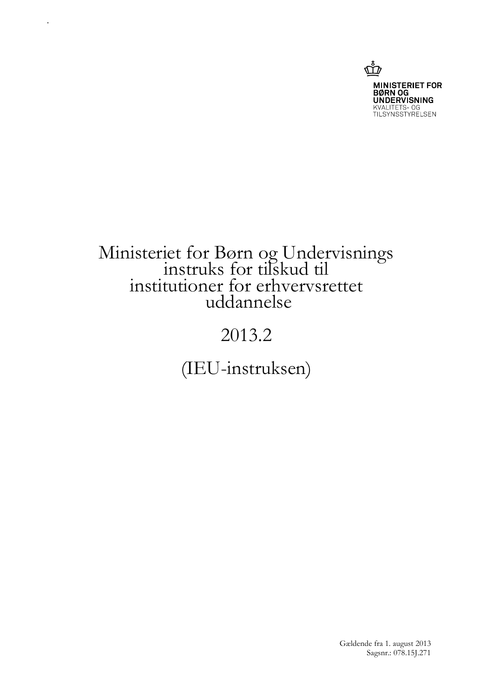

# Ministeriet for Børn og Undervisnings instruks for tilskud til institutioner for erhvervsrettet uddannelse

.

# 2013.2

(IEU-instruksen)

Gældende fra 1. august 2013 Sagsnr.: 078.15J.271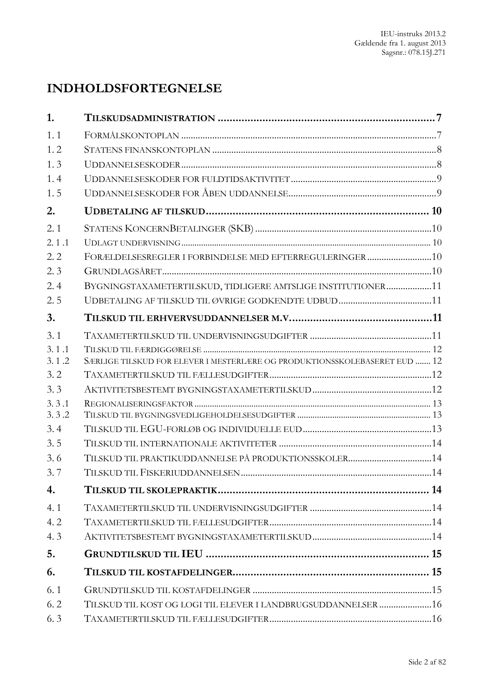# **INDHOLDSFORTEGNELSE**

| 1.    |                                                                            |  |
|-------|----------------------------------------------------------------------------|--|
| 1.1   |                                                                            |  |
| 1, 2  |                                                                            |  |
| 1.3   |                                                                            |  |
| 1, 4  |                                                                            |  |
| 1.5   |                                                                            |  |
| 2.    |                                                                            |  |
| 2.1   |                                                                            |  |
| 2.1.1 |                                                                            |  |
| 2.2   | FORÆLDELSESREGLER I FORBINDELSE MED EFTERREGULERINGER10                    |  |
| 2.3   |                                                                            |  |
| 2.4   | BYGNINGSTAXAMETERTILSKUD, TIDLIGERE AMTSLIGE INSTITUTIONER11               |  |
| 2.5   |                                                                            |  |
| 3.    |                                                                            |  |
| 3.1   |                                                                            |  |
| 3.1.1 |                                                                            |  |
| 3.1.2 | SÆRLIGE TILSKUD FOR ELEVER I MESTERLÆRE OG PRODUKTIONSSKOLEBASERET EUD  12 |  |
| 3.2   |                                                                            |  |
| 3.3   |                                                                            |  |
| 3.3.1 |                                                                            |  |
| 3.3.2 |                                                                            |  |
| 3.4   |                                                                            |  |
| 3.5   |                                                                            |  |
| 3.6   |                                                                            |  |
| 3.7   |                                                                            |  |
| 4.    |                                                                            |  |
| 4.1   |                                                                            |  |
| 4.2   |                                                                            |  |
| 4.3   |                                                                            |  |
| 5.    |                                                                            |  |
| 6.    |                                                                            |  |
| 6.1   |                                                                            |  |
| 6.2   | TILSKUD TIL KOST OG LOGI TIL ELEVER I LANDBRUGSUDDANNELSER 16              |  |
| 6.3   |                                                                            |  |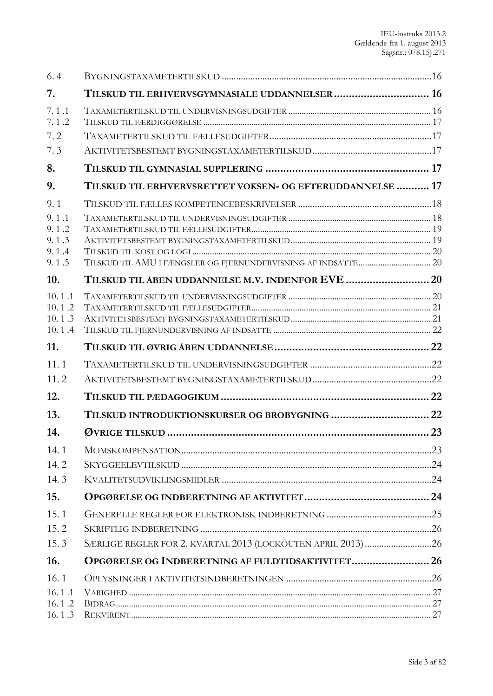| 6.4              |                                                           |    |
|------------------|-----------------------------------------------------------|----|
| 7.               | TILSKUD TIL ERHVERVSGYMNASIALE UDDANNELSER 16             |    |
| 7.1.1<br>7.1.2   |                                                           |    |
| 7.2              |                                                           |    |
| 7.3              |                                                           |    |
| 8.               |                                                           |    |
| 9.               | TILSKUD TIL ERHVERVSRETTET VOKSEN- OG EFTERUDDANNELSE  17 |    |
| 9.1              |                                                           |    |
| 9.1.1            |                                                           |    |
| 9.1.2<br>9.1.3   |                                                           |    |
| 9.1.4            |                                                           |    |
| 9.1.5            |                                                           |    |
| 10.              |                                                           |    |
| 10.1.1           |                                                           |    |
| 10.1.2           |                                                           |    |
| 10.1.3<br>10.1.4 |                                                           |    |
| 11.              |                                                           |    |
| 11.1             |                                                           |    |
| 11.2             |                                                           |    |
| 12.              |                                                           |    |
| 13.              |                                                           |    |
| 14.              |                                                           | 23 |
| 14.1             |                                                           |    |
| 14.2             |                                                           |    |
| 14.3             |                                                           |    |
| 15.              |                                                           |    |
| 15.1             |                                                           |    |
| 15.2             |                                                           |    |
| 15.3             |                                                           |    |
| 16.              | OPGØRELSE OG INDBERETNING AF FULDTIDSAKTIVITET 26         |    |
| 16.1             |                                                           |    |
| 16.1.1           |                                                           |    |
| 16.1.2<br>16.1.3 |                                                           |    |
|                  |                                                           |    |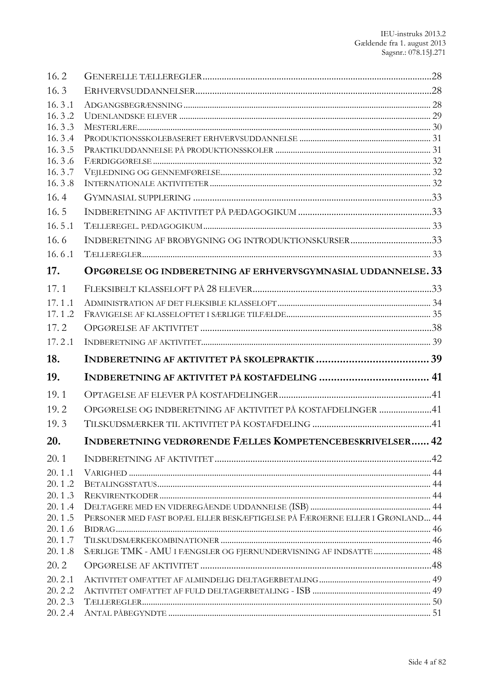| 16.2             |                                                                             |  |
|------------------|-----------------------------------------------------------------------------|--|
| 16.3             |                                                                             |  |
| 16.3.1           |                                                                             |  |
| 16.3.2           |                                                                             |  |
| 16.3.3<br>16.3.4 |                                                                             |  |
| 16.3.5           |                                                                             |  |
| 16.3.6           |                                                                             |  |
| 16.3.7           |                                                                             |  |
| 16.3.8           |                                                                             |  |
| 16.4             |                                                                             |  |
| 16.5             |                                                                             |  |
| 16.5.1           |                                                                             |  |
| 16.6             |                                                                             |  |
| 16.6.1           |                                                                             |  |
| 17.              | OPGØRELSE OG INDBERETNING AF ERHVERVSGYMNASIAL UDDANNELSE. 33               |  |
| 17.1             |                                                                             |  |
| 17.1.1           |                                                                             |  |
| 17.1.2           |                                                                             |  |
| 17.2             |                                                                             |  |
| 17.2.1           |                                                                             |  |
|                  |                                                                             |  |
| 18.              |                                                                             |  |
| 19.              |                                                                             |  |
| 19.1             |                                                                             |  |
| 19.2             | OPGØRELSE OG INDBERETNING AF AKTIVITET PÅ KOSTAFDELINGER 41                 |  |
| 19.3             |                                                                             |  |
| 20.              | INDBERETNING VEDRØRENDE FÆLLES KOMPETENCEBESKRIVELSER 42                    |  |
| 20.1             |                                                                             |  |
| 20.1.1           |                                                                             |  |
| 20.1.2           |                                                                             |  |
| 20.1.3           |                                                                             |  |
| 20.1.4           |                                                                             |  |
| 20.1.5           | PERSONER MED FAST BOPÆL ELLER BESKÆFTIGELSE PÅ FÆRØERNE ELLER I GRØNLAND 44 |  |
| 20.1.6<br>20.1.7 |                                                                             |  |
| 20.1.8           | SÆRLIGE TMK - AMU I FÆNGSLER OG FJERNUNDERVISNING AF INDSATTE  48           |  |
| 20.2             |                                                                             |  |
| 20.2.1           |                                                                             |  |
| 20.2.2           |                                                                             |  |
| 20.2.3<br>20.2.4 |                                                                             |  |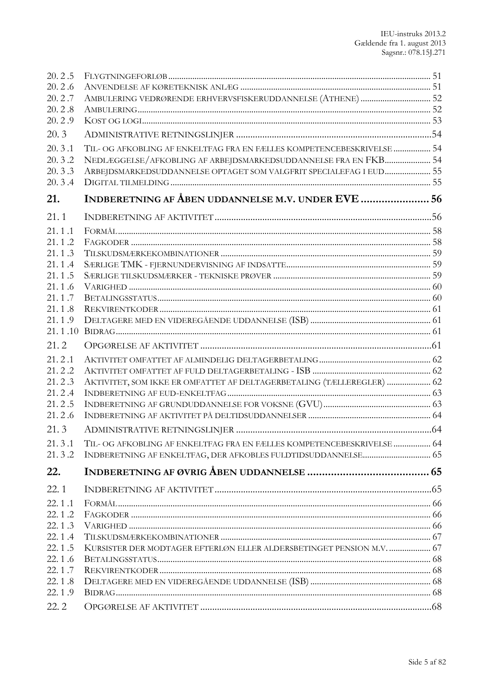| 20.2.5           |                                                                        |  |
|------------------|------------------------------------------------------------------------|--|
| 20.2.6           |                                                                        |  |
| 20.2.7           |                                                                        |  |
| 20.2.8           |                                                                        |  |
| 20.2.9           |                                                                        |  |
| 20.3             |                                                                        |  |
| 20.3.1           | TIL- OG AFKOBLING AF ENKELTFAG FRA EN FÆLLES KOMPETENCEBESKRIVELSE  54 |  |
| 20.3.2           | NEDLÆGGELSE/AFKOBLING AF ARBEJDSMARKEDSUDDANNELSE FRA EN FKB 54        |  |
| 20.3.3           | ARBEJDSMARKEDSUDDANNELSE OPTAGET SOM VALGFRIT SPECIALEFAG I EUD 55     |  |
| 20.3.4           |                                                                        |  |
| 21.              | INDBERETNING AF ÅBEN UDDANNELSE M.V. UNDER EVE  56                     |  |
| 21.1             |                                                                        |  |
| 21.1.1           |                                                                        |  |
| 21.1.2           |                                                                        |  |
| 21.1.3           |                                                                        |  |
| 21.1.4           |                                                                        |  |
| 21.1.5           |                                                                        |  |
| 21.1.6           |                                                                        |  |
| 21.1.7<br>21.1.8 |                                                                        |  |
| 21.1.9           |                                                                        |  |
|                  |                                                                        |  |
| 21.2             |                                                                        |  |
| 21.2.1           |                                                                        |  |
| 21.2.2           |                                                                        |  |
| 21.2.3           | AKTIVITET, SOM IKKE ER OMFATTET AF DELTAGERBETALING (TÆLLEREGLER)  62  |  |
| 21.2.4           |                                                                        |  |
| 21.2.5           |                                                                        |  |
| 21.2.6           |                                                                        |  |
| 21.3             |                                                                        |  |
| 21.3.1           | TIL- OG AFKOBLING AF ENKELTFAG FRA EN FÆLLES KOMPETENCEBESKRIVELSE  64 |  |
| 21.3.2           |                                                                        |  |
| 22.              |                                                                        |  |
| 22.1             |                                                                        |  |
| 22.1.1           |                                                                        |  |
| 22.1.2           |                                                                        |  |
| 22.1.3           |                                                                        |  |
| 22.1.4           |                                                                        |  |
| 22.1.5           | KURSISTER DER MODTAGER EFTERLØN ELLER ALDERSBETINGET PENSION M.V.  67  |  |
| 22.1.6           |                                                                        |  |
| 22.1.7           |                                                                        |  |
| 22.1.8<br>22.1.9 |                                                                        |  |
|                  |                                                                        |  |
| 22.2             |                                                                        |  |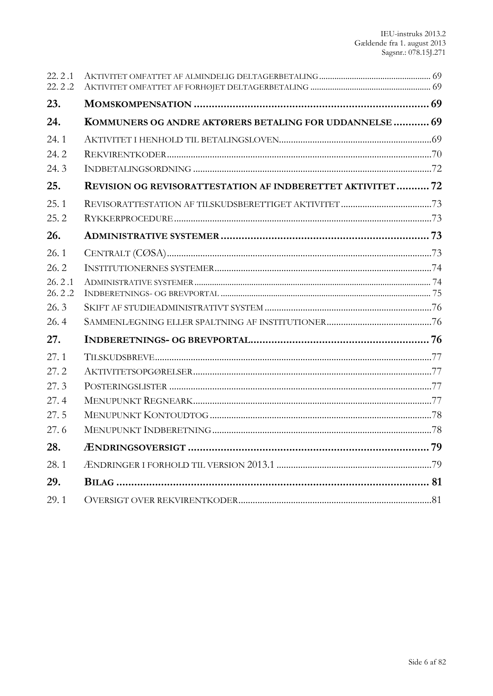| 22.2.1<br>22.2.2 |                                                                   |  |
|------------------|-------------------------------------------------------------------|--|
| 23.              |                                                                   |  |
| 24.              | KOMMUNERS OG ANDRE AKTØRERS BETALING FOR UDDANNELSE  69           |  |
| 24.1             |                                                                   |  |
| 24.2             |                                                                   |  |
| 24.3             |                                                                   |  |
| 25.              | <b>REVISION OG REVISORATTESTATION AF INDBERETTET AKTIVITET 72</b> |  |
| 25.1             |                                                                   |  |
| 25.2             |                                                                   |  |
| 26.              |                                                                   |  |
| 26.1             |                                                                   |  |
| 26.2             |                                                                   |  |
| 26.2.1           |                                                                   |  |
| 26.2.2<br>26.3   |                                                                   |  |
| 26.4             |                                                                   |  |
|                  |                                                                   |  |
| 27.              |                                                                   |  |
| 27.1             |                                                                   |  |
| 27.2             |                                                                   |  |
| 27.3             |                                                                   |  |
| 27.4             |                                                                   |  |
| 27.5<br>27.6     |                                                                   |  |
|                  |                                                                   |  |
| 28.              |                                                                   |  |
| 28.1             |                                                                   |  |
| 29.              |                                                                   |  |
| 29.1             |                                                                   |  |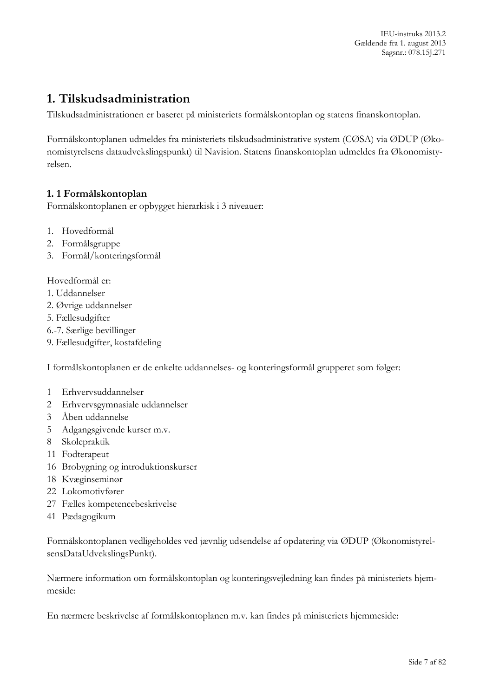IEU-instruks 2013.2 Gældende fra 1. august 2013 Sagsnr.: 078.15J.271

# <span id="page-6-0"></span>**1. Tilskudsadministration**

Tilskudsadministrationen er baseret på ministeriets formålskontoplan og statens finanskontoplan.

Formålskontoplanen udmeldes fra ministeriets tilskudsadministrative system (CØSA) via ØDUP (Økonomistyrelsens dataudvekslingspunkt) til Navision. Statens finanskontoplan udmeldes fra Økonomistyrelsen.

#### <span id="page-6-1"></span>**1. 1 Formålskontoplan**

Formålskontoplanen er opbygget hierarkisk i 3 niveauer:

- 1. Hovedformål
- 2. Formålsgruppe
- 3. Formål/konteringsformål

Hovedformål er:

- 1. Uddannelser
- 2. Øvrige uddannelser
- 5. Fællesudgifter
- 6.-7. Særlige bevillinger
- 9. Fællesudgifter, kostafdeling

I formålskontoplanen er de enkelte uddannelses- og konteringsformål grupperet som følger:

- 1 Erhvervsuddannelser
- 2 Erhvervsgymnasiale uddannelser
- 3 Åben uddannelse
- 5 Adgangsgivende kurser m.v.
- 8 Skolepraktik
- 11 Fodterapeut
- 16 Brobygning og introduktionskurser
- 18 Kvæginseminør
- 22 Lokomotivfører
- 27 Fælles kompetencebeskrivelse
- 41 Pædagogikum

Formålskontoplanen vedligeholdes ved jævnlig udsendelse af opdatering via ØDUP (ØkonomistyrelsensDataUdvekslingsPunkt).

Nærmere information om formålskontoplan og konteringsvejledning kan findes på ministeriets hjemmeside:

En nærmere beskrivelse af formålskontoplanen m.v. kan findes på ministeriets hjemmeside: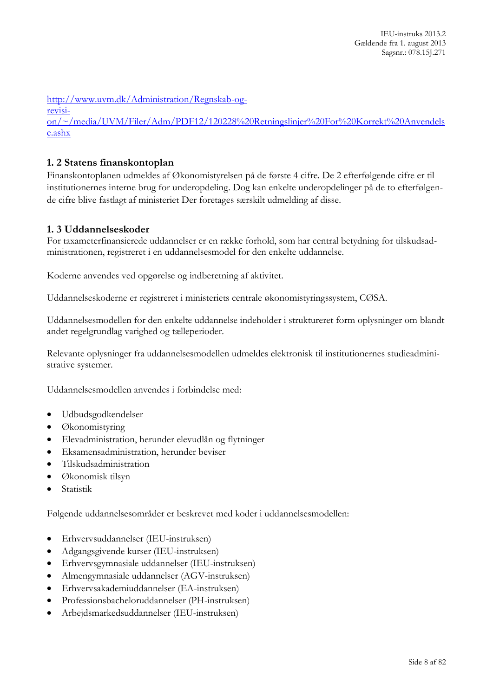[http://www.uvm.dk/Administration/Regnskab-og-](http://www.uvm.dk/Administration/Regnskab-og-revision/~/media/UVM/Filer/Adm/PDF12/120228%20Retningslinjer%20For%20Korrekt%20Anvendelse.ashx)

[on/~/media/UVM/Filer/Adm/PDF12/120228%20Retningslinjer%20For%20Korrekt%20Anvendels](http://www.uvm.dk/Administration/Regnskab-og-revision/~/media/UVM/Filer/Adm/PDF12/120228%20Retningslinjer%20For%20Korrekt%20Anvendelse.ashx) [e.ashx](http://www.uvm.dk/Administration/Regnskab-og-revision/~/media/UVM/Filer/Adm/PDF12/120228%20Retningslinjer%20For%20Korrekt%20Anvendelse.ashx)

### <span id="page-7-0"></span>**1. 2 Statens finanskontoplan**

[revisi-](http://www.uvm.dk/Administration/Regnskab-og-revision/~/media/UVM/Filer/Adm/PDF12/120228%20Retningslinjer%20For%20Korrekt%20Anvendelse.ashx)

Finanskontoplanen udmeldes af Økonomistyrelsen på de første 4 cifre. De 2 efterfølgende cifre er til institutionernes interne brug for underopdeling. Dog kan enkelte underopdelinger på de to efterfølgende cifre blive fastlagt af ministeriet Der foretages særskilt udmelding af disse.

#### <span id="page-7-1"></span>**1. 3 Uddannelseskoder**

For taxameterfinansierede uddannelser er en række forhold, som har central betydning for tilskudsadministrationen, registreret i en uddannelsesmodel for den enkelte uddannelse.

Koderne anvendes ved opgørelse og indberetning af aktivitet.

Uddannelseskoderne er registreret i ministeriets centrale økonomistyringssystem, CØSA.

Uddannelsesmodellen for den enkelte uddannelse indeholder i struktureret form oplysninger om blandt andet regelgrundlag varighed og tælleperioder.

Relevante oplysninger fra uddannelsesmodellen udmeldes elektronisk til institutionernes studieadministrative systemer.

Uddannelsesmodellen anvendes i forbindelse med:

- Udbudsgodkendelser
- Økonomistyring
- Elevadministration, herunder elevudlån og flytninger
- Eksamensadministration, herunder beviser
- Tilskudsadministration
- Økonomisk tilsyn
- Statistik

Følgende uddannelsesområder er beskrevet med koder i uddannelsesmodellen:

- Erhvervsuddannelser (IEU-instruksen)
- Adgangsgivende kurser (IEU-instruksen)
- Erhvervsgymnasiale uddannelser (IEU-instruksen)
- Almengymnasiale uddannelser (AGV-instruksen)
- Erhvervsakademiuddannelser (EA-instruksen)
- Professionsbacheloruddannelser (PH-instruksen)
- Arbejdsmarkedsuddannelser (IEU-instruksen)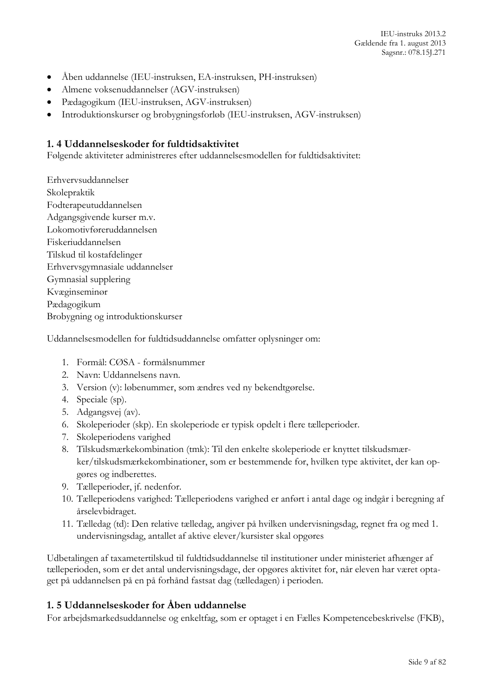- Åben uddannelse (IEU-instruksen, EA-instruksen, PH-instruksen)
- Almene voksenuddannelser (AGV-instruksen)
- Pædagogikum (IEU-instruksen, AGV-instruksen)
- Introduktionskurser og brobygningsforløb (IEU-instruksen, AGV-instruksen)

#### <span id="page-8-0"></span>**1. 4 Uddannelseskoder for fuldtidsaktivitet**

Følgende aktiviteter administreres efter uddannelsesmodellen for fuldtidsaktivitet:

Erhvervsuddannelser Skolepraktik Fodterapeutuddannelsen Adgangsgivende kurser m.v. Lokomotivføreruddannelsen Fiskeriuddannelsen Tilskud til kostafdelinger Erhvervsgymnasiale uddannelser Gymnasial supplering Kvæginseminør Pædagogikum Brobygning og introduktionskurser

Uddannelsesmodellen for fuldtidsuddannelse omfatter oplysninger om:

- 1. Formål: CØSA formålsnummer
- 2. Navn: Uddannelsens navn.
- 3. Version (v): løbenummer, som ændres ved ny bekendtgørelse.
- 4. Speciale (sp).
- 5. Adgangsvej (av).
- 6. Skoleperioder (skp). En skoleperiode er typisk opdelt i flere tælleperioder.
- 7. Skoleperiodens varighed
- 8. Tilskudsmærkekombination (tmk): Til den enkelte skoleperiode er knyttet tilskudsmærker/tilskudsmærkekombinationer, som er bestemmende for, hvilken type aktivitet, der kan opgøres og indberettes.
- 9. Tælleperioder, jf. nedenfor.
- 10. Tælleperiodens varighed: Tælleperiodens varighed er anført i antal dage og indgår i beregning af årselevbidraget.
- 11. Tælledag (td): Den relative tælledag, angiver på hvilken undervisningsdag, regnet fra og med 1. undervisningsdag, antallet af aktive elever/kursister skal opgøres

Udbetalingen af taxametertilskud til fuldtidsuddannelse til institutioner under ministeriet afhænger af tælleperioden, som er det antal undervisningsdage, der opgøres aktivitet for, når eleven har været optaget på uddannelsen på en på forhånd fastsat dag (tælledagen) i perioden.

#### <span id="page-8-1"></span>**1. 5 Uddannelseskoder for Åben uddannelse**

For arbejdsmarkedsuddannelse og enkeltfag, som er optaget i en Fælles Kompetencebeskrivelse (FKB),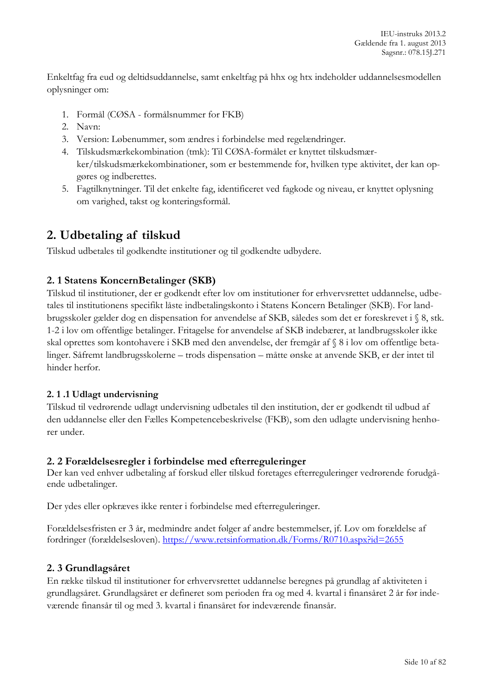Enkeltfag fra eud og deltidsuddannelse, samt enkeltfag på hhx og htx indeholder uddannelsesmodellen oplysninger om:

- 1. Formål (CØSA formålsnummer for FKB)
- 2. Navn:
- 3. Version: Løbenummer, som ændres i forbindelse med regelændringer.
- 4. Tilskudsmærkekombination (tmk): Til CØSA-formålet er knyttet tilskudsmærker/tilskudsmærkekombinationer, som er bestemmende for, hvilken type aktivitet, der kan opgøres og indberettes.
- 5. Fagtilknytninger. Til det enkelte fag, identificeret ved fagkode og niveau, er knyttet oplysning om varighed, takst og konteringsformål.

# <span id="page-9-0"></span>**2. Udbetaling af tilskud**

Tilskud udbetales til godkendte institutioner og til godkendte udbydere.

### <span id="page-9-1"></span>**2. 1 Statens KoncernBetalinger (SKB)**

Tilskud til institutioner, der er godkendt efter lov om institutioner for erhvervsrettet uddannelse, udbetales til institutionens specifikt låste indbetalingskonto i Statens Koncern Betalinger (SKB). For landbrugsskoler gælder dog en dispensation for anvendelse af SKB, således som det er foreskrevet i § 8, stk. 1-2 i lov om offentlige betalinger. Fritagelse for anvendelse af SKB indebærer, at landbrugsskoler ikke skal oprettes som kontohavere i SKB med den anvendelse, der fremgår af § 8 i lov om offentlige betalinger. Såfremt landbrugsskolerne – trods dispensation – måtte ønske at anvende SKB, er der intet til hinder herfor.

#### <span id="page-9-2"></span>**2. 1 .1 Udlagt undervisning**

Tilskud til vedrørende udlagt undervisning udbetales til den institution, der er godkendt til udbud af den uddannelse eller den Fælles Kompetencebeskrivelse (FKB), som den udlagte undervisning henhører under.

#### <span id="page-9-3"></span>**2. 2 Forældelsesregler i forbindelse med efterreguleringer**

Der kan ved enhver udbetaling af forskud eller tilskud foretages efterreguleringer vedrørende forudgående udbetalinger.

Der ydes eller opkræves ikke renter i forbindelse med efterreguleringer.

Forældelsesfristen er 3 år, medmindre andet følger af andre bestemmelser, jf. Lov om forældelse af fordringer (forældelsesloven). <https://www.retsinformation.dk/Forms/R0710.aspx?id=2655>

#### <span id="page-9-4"></span>**2. 3 Grundlagsåret**

En række tilskud til institutioner for erhvervsrettet uddannelse beregnes på grundlag af aktiviteten i grundlagsåret. Grundlagsåret er defineret som perioden fra og med 4. kvartal i finansåret 2 år før indeværende finansår til og med 3. kvartal i finansåret før indeværende finansår.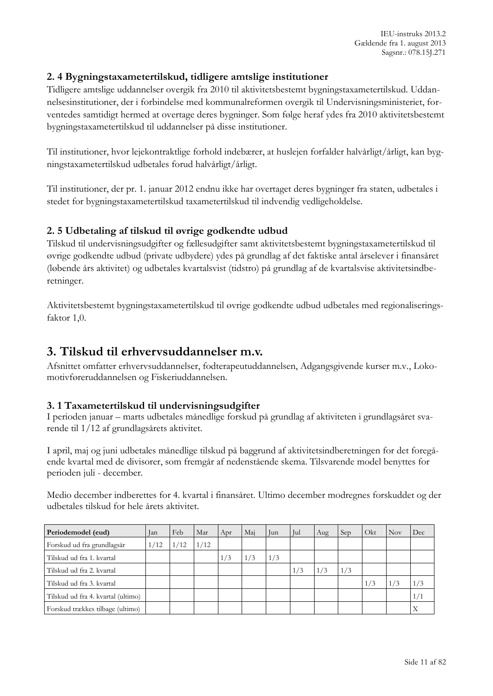### <span id="page-10-0"></span>**2. 4 Bygningstaxametertilskud, tidligere amtslige institutioner**

Tidligere amtslige uddannelser overgik fra 2010 til aktivitetsbestemt bygningstaxametertilskud. Uddannelsesinstitutioner, der i forbindelse med kommunalreformen overgik til Undervisningsministeriet, forventedes samtidigt hermed at overtage deres bygninger. Som følge heraf ydes fra 2010 aktivitetsbestemt bygningstaxametertilskud til uddannelser på disse institutioner.

Til institutioner, hvor lejekontraktlige forhold indebærer, at huslejen forfalder halvårligt/årligt, kan bygningstaxametertilskud udbetales forud halvårligt/årligt.

Til institutioner, der pr. 1. januar 2012 endnu ikke har overtaget deres bygninger fra staten, udbetales i stedet for bygningstaxametertilskud taxametertilskud til indvendig vedligeholdelse.

#### <span id="page-10-1"></span>**2. 5 Udbetaling af tilskud til øvrige godkendte udbud**

Tilskud til undervisningsudgifter og fællesudgifter samt aktivitetsbestemt bygningstaxametertilskud til øvrige godkendte udbud (private udbydere) ydes på grundlag af det faktiske antal årselever i finansåret (løbende års aktivitet) og udbetales kvartalsvist (tidstro) på grundlag af de kvartalsvise aktivitetsindberetninger.

Aktivitetsbestemt bygningstaxametertilskud til øvrige godkendte udbud udbetales med regionaliseringsfaktor 1,0.

# <span id="page-10-2"></span>**3. Tilskud til erhvervsuddannelser m.v.**

Afsnittet omfatter erhvervsuddannelser, fodterapeutuddannelsen, Adgangsgivende kurser m.v., Lokomotivføreruddannelsen og Fiskeriuddannelsen.

#### <span id="page-10-3"></span>**3. 1 Taxametertilskud til undervisningsudgifter**

I perioden januar – marts udbetales månedlige forskud på grundlag af aktiviteten i grundlagsåret svarende til 1/12 af grundlagsårets aktivitet.

I april, maj og juni udbetales månedlige tilskud på baggrund af aktivitetsindberetningen for det foregående kvartal med de divisorer, som fremgår af nedenstående skema. Tilsvarende model benyttes for perioden juli - december.

Medio december indberettes for 4. kvartal i finansåret. Ultimo december modregnes forskuddet og der udbetales tilskud for hele årets aktivitet.

| Periodemodel (eud)                 | Jan  | Feb  | Mar  | Apr | Mai | Jun | l Jul | Aug | Sep | Okt | <b>Nov</b> | Dec           |
|------------------------------------|------|------|------|-----|-----|-----|-------|-----|-----|-----|------------|---------------|
| Forskud ud fra grundlagsår         | 1/12 | 1/12 | 1/12 |     |     |     |       |     |     |     |            |               |
| Tilskud ud fra 1. kvartal          |      |      |      | 1/3 | 1/3 | 1/3 |       |     |     |     |            |               |
| Tilskud ud fra 2. kvartal          |      |      |      |     |     |     | 1/3   | 1/3 | 1/3 |     |            |               |
| Tilskud ud fra 3. kvartal          |      |      |      |     |     |     |       |     |     | 1/3 | 1/3        | $\frac{1}{3}$ |
| Tilskud ud fra 4. kvartal (ultimo) |      |      |      |     |     |     |       |     |     |     |            | 1/1           |
| Forskud trækkes tilbage (ultimo)   |      |      |      |     |     |     |       |     |     |     |            |               |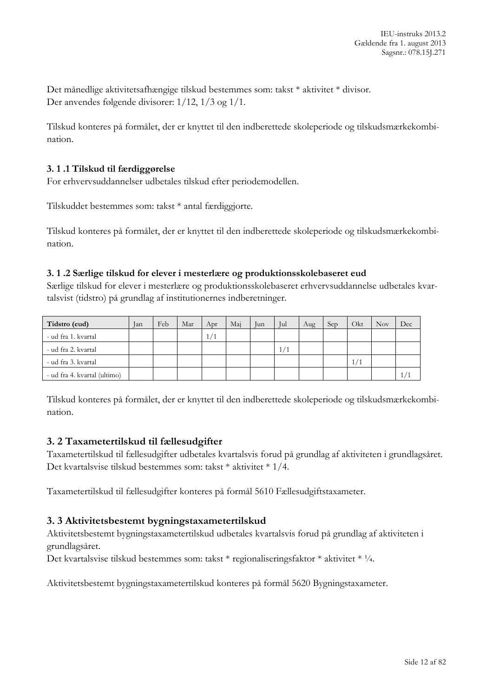Det månedlige aktivitetsafhængige tilskud bestemmes som: takst \* aktivitet \* divisor. Der anvendes følgende divisorer: 1/12, 1/3 og 1/1.

Tilskud konteres på formålet, der er knyttet til den indberettede skoleperiode og tilskudsmærkekombination.

#### <span id="page-11-0"></span>**3. 1 .1 Tilskud til færdiggørelse**

For erhvervsuddannelser udbetales tilskud efter periodemodellen.

Tilskuddet bestemmes som: takst \* antal færdiggjorte.

Tilskud konteres på formålet, der er knyttet til den indberettede skoleperiode og tilskudsmærkekombination.

#### <span id="page-11-1"></span>**3. 1 .2 Særlige tilskud for elever i mesterlære og produktionsskolebaseret eud**

Særlige tilskud for elever i mesterlære og produktionsskolebaseret erhvervsuddannelse udbetales kvartalsvist (tidstro) på grundlag af institutionernes indberetninger.

| Tidstro (eud)                | Jan | Feb | Mar | Apr | Mai | Jun | Jul | Aug | Sep | Okt | <b>Nov</b> | Dec |
|------------------------------|-----|-----|-----|-----|-----|-----|-----|-----|-----|-----|------------|-----|
| - ud fra 1. kvartal          |     |     |     | 1/1 |     |     |     |     |     |     |            |     |
| - ud fra 2. kvartal          |     |     |     |     |     |     |     |     |     |     |            |     |
| - ud fra 3. kvartal          |     |     |     |     |     |     |     |     |     | 1/1 |            |     |
| - ud fra 4. kvartal (ultimo) |     |     |     |     |     |     |     |     |     |     |            |     |

Tilskud konteres på formålet, der er knyttet til den indberettede skoleperiode og tilskudsmærkekombination.

#### <span id="page-11-2"></span>**3. 2 Taxametertilskud til fællesudgifter**

Taxametertilskud til fællesudgifter udbetales kvartalsvis forud på grundlag af aktiviteten i grundlagsåret. Det kvartalsvise tilskud bestemmes som: takst \* aktivitet \* 1/4.

Taxametertilskud til fællesudgifter konteres på formål 5610 Fællesudgiftstaxameter.

#### <span id="page-11-3"></span>**3. 3 Aktivitetsbestemt bygningstaxametertilskud**

Aktivitetsbestemt bygningstaxametertilskud udbetales kvartalsvis forud på grundlag af aktiviteten i grundlagsåret.

Det kvartalsvise tilskud bestemmes som: takst \* regionaliseringsfaktor \* aktivitet \* ¼.

Aktivitetsbestemt bygningstaxametertilskud konteres på formål 5620 Bygningstaxameter.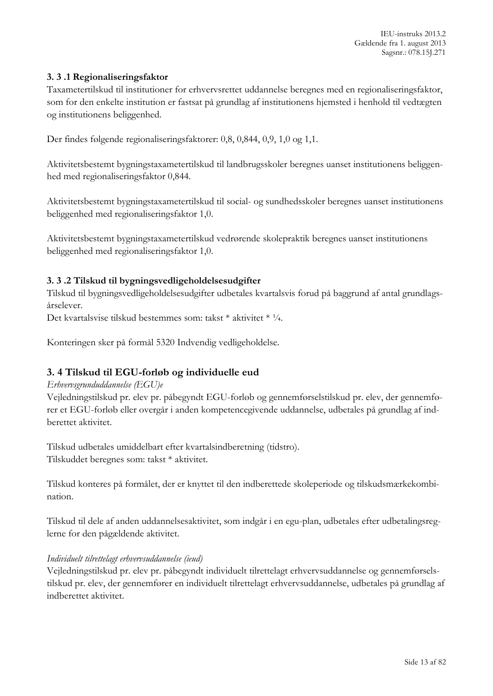#### <span id="page-12-0"></span>**3. 3 .1 Regionaliseringsfaktor**

Taxametertilskud til institutioner for erhvervsrettet uddannelse beregnes med en regionaliseringsfaktor, som for den enkelte institution er fastsat på grundlag af institutionens hjemsted i henhold til vedtægten og institutionens beliggenhed.

Der findes følgende regionaliseringsfaktorer: 0,8, 0,844, 0,9, 1,0 og 1,1.

Aktivitetsbestemt bygningstaxametertilskud til landbrugsskoler beregnes uanset institutionens beliggenhed med regionaliseringsfaktor 0,844.

Aktivitetsbestemt bygningstaxametertilskud til social- og sundhedsskoler beregnes uanset institutionens beliggenhed med regionaliseringsfaktor 1,0.

Aktivitetsbestemt bygningstaxametertilskud vedrørende skolepraktik beregnes uanset institutionens beliggenhed med regionaliseringsfaktor 1,0.

#### <span id="page-12-1"></span>**3. 3 .2 Tilskud til bygningsvedligeholdelsesudgifter**

Tilskud til bygningsvedligeholdelsesudgifter udbetales kvartalsvis forud på baggrund af antal grundlagsårselever.

Det kvartalsvise tilskud bestemmes som: takst \* aktivitet \* ¼.

Konteringen sker på formål 5320 Indvendig vedligeholdelse.

### <span id="page-12-2"></span>**3. 4 Tilskud til EGU-forløb og individuelle eud**

#### *Erhvervsgrunduddannelse (EGU)e*

Vejledningstilskud pr. elev pr. påbegyndt EGU-forløb og gennemførselstilskud pr. elev, der gennemfører et EGU-forløb eller overgår i anden kompetencegivende uddannelse, udbetales på grundlag af indberettet aktivitet.

Tilskud udbetales umiddelbart efter kvartalsindberetning (tidstro). Tilskuddet beregnes som: takst \* aktivitet.

Tilskud konteres på formålet, der er knyttet til den indberettede skoleperiode og tilskudsmærkekombination.

Tilskud til dele af anden uddannelsesaktivitet, som indgår i en egu-plan, udbetales efter udbetalingsreglerne for den pågældende aktivitet.

#### *Individuelt tilrettelagt erhvervsuddannelse (ieud)*

Vejledningstilskud pr. elev pr. påbegyndt individuelt tilrettelagt erhvervsuddannelse og gennemførselstilskud pr. elev, der gennemfører en individuelt tilrettelagt erhvervsuddannelse, udbetales på grundlag af indberettet aktivitet.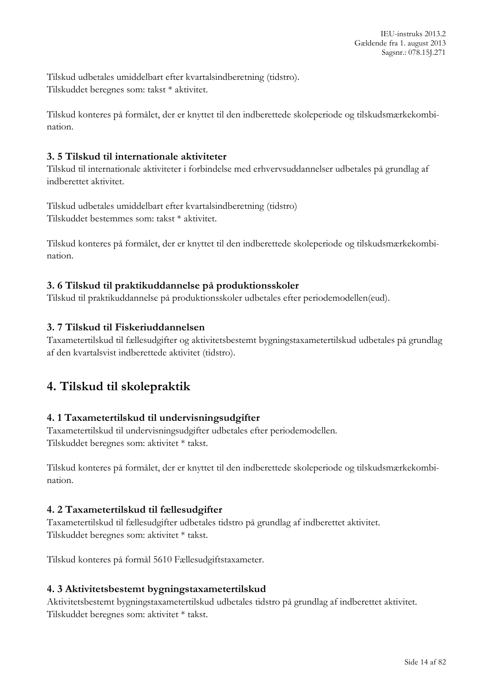Tilskud udbetales umiddelbart efter kvartalsindberetning (tidstro). Tilskuddet beregnes som: takst \* aktivitet.

Tilskud konteres på formålet, der er knyttet til den indberettede skoleperiode og tilskudsmærkekombination.

### <span id="page-13-0"></span>**3. 5 Tilskud til internationale aktiviteter**

Tilskud til internationale aktiviteter i forbindelse med erhvervsuddannelser udbetales på grundlag af indberettet aktivitet.

Tilskud udbetales umiddelbart efter kvartalsindberetning (tidstro) Tilskuddet bestemmes som: takst \* aktivitet.

Tilskud konteres på formålet, der er knyttet til den indberettede skoleperiode og tilskudsmærkekombination.

### <span id="page-13-1"></span>**3. 6 Tilskud til praktikuddannelse på produktionsskoler**

Tilskud til praktikuddannelse på produktionsskoler udbetales efter periodemodellen(eud).

### <span id="page-13-2"></span>**3. 7 Tilskud til Fiskeriuddannelsen**

Taxametertilskud til fællesudgifter og aktivitetsbestemt bygningstaxametertilskud udbetales på grundlag af den kvartalsvist indberettede aktivitet (tidstro).

# <span id="page-13-3"></span>**4. Tilskud til skolepraktik**

#### <span id="page-13-4"></span>**4. 1 Taxametertilskud til undervisningsudgifter**

Taxametertilskud til undervisningsudgifter udbetales efter periodemodellen. Tilskuddet beregnes som: aktivitet \* takst.

Tilskud konteres på formålet, der er knyttet til den indberettede skoleperiode og tilskudsmærkekombination.

#### <span id="page-13-5"></span>**4. 2 Taxametertilskud til fællesudgifter**

Taxametertilskud til fællesudgifter udbetales tidstro på grundlag af indberettet aktivitet. Tilskuddet beregnes som: aktivitet \* takst.

Tilskud konteres på formål 5610 Fællesudgiftstaxameter.

#### <span id="page-13-6"></span>**4. 3 Aktivitetsbestemt bygningstaxametertilskud**

Aktivitetsbestemt bygningstaxametertilskud udbetales tidstro på grundlag af indberettet aktivitet. Tilskuddet beregnes som: aktivitet \* takst.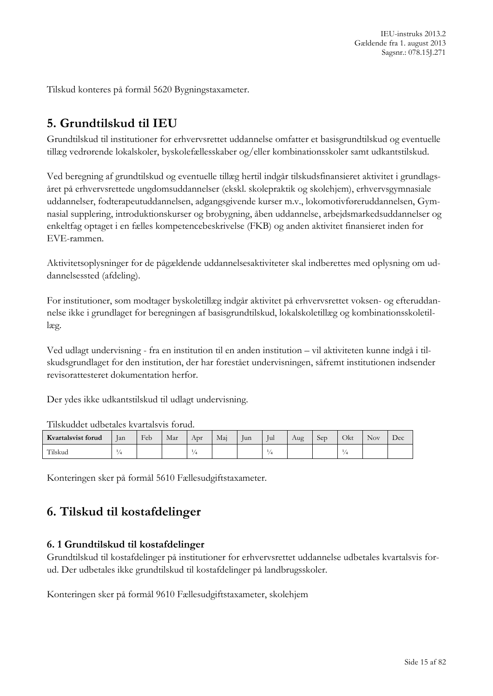IEU-instruks 2013.2 Gældende fra 1. august 2013 Sagsnr.: 078.15J.271

Tilskud konteres på formål 5620 Bygningstaxameter.

# <span id="page-14-0"></span>**5. Grundtilskud til IEU**

Grundtilskud til institutioner for erhvervsrettet uddannelse omfatter et basisgrundtilskud og eventuelle tillæg vedrørende lokalskoler, byskolefællesskaber og/eller kombinationsskoler samt udkantstilskud.

Ved beregning af grundtilskud og eventuelle tillæg hertil indgår tilskudsfinansieret aktivitet i grundlagsåret på erhvervsrettede ungdomsuddannelser (ekskl. skolepraktik og skolehjem), erhvervsgymnasiale uddannelser, fodterapeutuddannelsen, adgangsgivende kurser m.v., lokomotivføreruddannelsen, Gymnasial supplering, introduktionskurser og brobygning, åben uddannelse, arbejdsmarkedsuddannelser og enkeltfag optaget i en fælles kompetencebeskrivelse (FKB) og anden aktivitet finansieret inden for EVE-rammen.

Aktivitetsoplysninger for de pågældende uddannelsesaktiviteter skal indberettes med oplysning om uddannelsessted (afdeling).

For institutioner, som modtager byskoletillæg indgår aktivitet på erhvervsrettet voksen- og efteruddannelse ikke i grundlaget for beregningen af basisgrundtilskud, lokalskoletillæg og kombinationsskoletillæg.

Ved udlagt undervisning - fra en institution til en anden institution – vil aktiviteten kunne indgå i tilskudsgrundlaget for den institution, der har forestået undervisningen, såfremt institutionen indsender revisorattesteret dokumentation herfor.

Der ydes ikke udkantstilskud til udlagt undervisning.

|                    | Tuskuddel udbelales kvartaisvis torud. |     |     |     |     |     |     |     |     |     |      |     |  |  |
|--------------------|----------------------------------------|-----|-----|-----|-----|-----|-----|-----|-----|-----|------|-----|--|--|
| Kvartalsvist forud | <b>lan</b>                             | Feb | Mar | Apr | Mai | lun | Jul | Aug | Sep | Эkt | Nov. | Dec |  |  |
| Tilskud            |                                        |     |     |     |     |     |     |     |     |     |      |     |  |  |

Tilskuddet udbetales kvartalsvis forud.

Konteringen sker på formål 5610 Fællesudgiftstaxameter.

# <span id="page-14-1"></span>**6. Tilskud til kostafdelinger**

#### <span id="page-14-2"></span>**6. 1 Grundtilskud til kostafdelinger**

Grundtilskud til kostafdelinger på institutioner for erhvervsrettet uddannelse udbetales kvartalsvis forud. Der udbetales ikke grundtilskud til kostafdelinger på landbrugsskoler.

Konteringen sker på formål 9610 Fællesudgiftstaxameter, skolehjem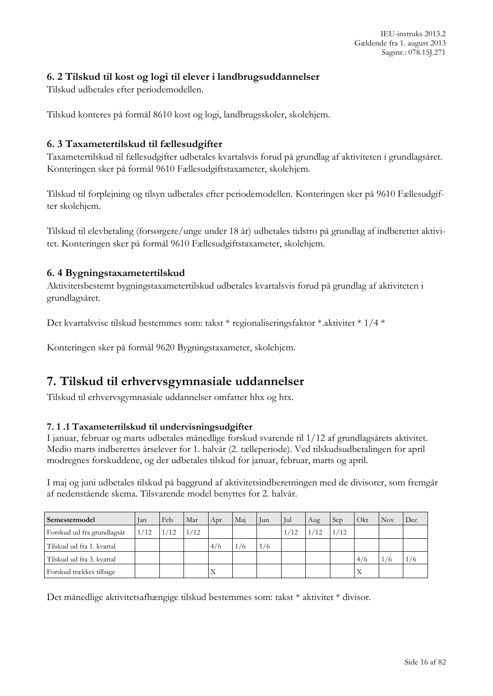### <span id="page-15-0"></span>**6. 2 Tilskud til kost og logi til elever i landbrugsuddannelser**

Tilskud udbetales efter periodemodellen.

Tilskud konteres på formål 8610 kost og logi, landbrugsskoler, skolehjem.

#### <span id="page-15-1"></span>**6. 3 Taxametertilskud til fællesudgifter**

Taxametertilskud til fællesudgifter udbetales kvartalsvis forud på grundlag af aktiviteten i grundlagsåret. Konteringen sker på formål 9610 Fællesudgiftstaxameter, skolehjem.

Tilskud til forplejning og tilsyn udbetales efter periodemodellen. Konteringen sker på 9610 Fællesudgifter skolehjem.

Tilskud til elevbetaling (forsørgere/unge under 18 år) udbetales tidstro på grundlag af indberettet aktivitet. Konteringen sker på formål 9610 Fællesudgiftstaxameter, skolehjem.

#### <span id="page-15-2"></span>**6. 4 Bygningstaxametertilskud**

Aktivitetsbestemt bygningstaxametertilskud udbetales kvartalsvis forud på grundlag af aktiviteten i grundlagsåret.

Det kvartalsvise tilskud bestemmes som: takst \* regionaliseringsfaktor \*.aktivitet \* 1/4 \*

Konteringen sker på formål 9620 Bygningstaxameter, skolehjem.

# <span id="page-15-3"></span>**7. Tilskud til erhvervsgymnasiale uddannelser**

Tilskud til erhvervsgymnasiale uddannelser omfatter hhx og htx.

#### <span id="page-15-4"></span>**7. 1 .1 Taxametertilskud til undervisningsudgifter**

I januar, februar og marts udbetales månedlige forskud svarende til 1/12 af grundlagsårets aktivitet. Medio marts indberettes årselever for 1. halvår (2. tælleperiode). Ved tilskudsudbetalingen for april modregnes forskuddene, og der udbetales tilskud for januar, februar, marts og april.

I maj og juni udbetales tilskud på baggrund af aktivitetsindberetningen med de divisorer, som fremgår af nedenstående skema. Tilsvarende model benyttes for 2. halvår.

| Semestermodel              | lan | Feb  | Mar  | Apr | Mai | Jun | Jul  | Aug | Sep | Okt | Nov | Dec. |
|----------------------------|-----|------|------|-----|-----|-----|------|-----|-----|-----|-----|------|
| Forskud ud fra grundlagsår | /12 | 1/12 | 1/12 |     |     |     | 1/12 |     | /12 |     |     |      |
| Tilskud ud fra 1. kvartal  |     |      |      | 4/6 | /6  | 1/6 |      |     |     |     |     |      |
| Tilskud ud fra 3. kvartal  |     |      |      |     |     |     |      |     |     | 4/6 |     | 76   |
| Forskud trækkes tilbage    |     |      |      | Х   |     |     |      |     |     |     |     |      |

Det månedlige aktivitetsafhængige tilskud bestemmes som: takst \* aktivitet \* divisor.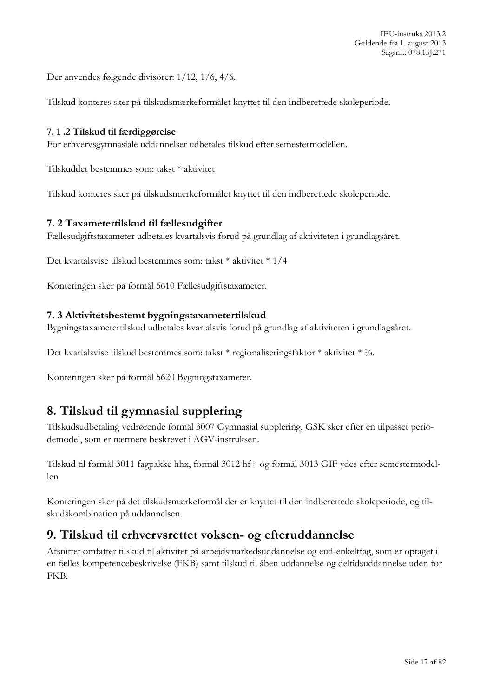Der anvendes følgende divisorer: 1/12, 1/6, 4/6.

Tilskud konteres sker på tilskudsmærkeformålet knyttet til den indberettede skoleperiode.

### <span id="page-16-0"></span>**7. 1 .2 Tilskud til færdiggørelse**

For erhvervsgymnasiale uddannelser udbetales tilskud efter semestermodellen.

Tilskuddet bestemmes som: takst \* aktivitet

Tilskud konteres sker på tilskudsmærkeformålet knyttet til den indberettede skoleperiode.

### <span id="page-16-1"></span>**7. 2 Taxametertilskud til fællesudgifter**

Fællesudgiftstaxameter udbetales kvartalsvis forud på grundlag af aktiviteten i grundlagsåret.

Det kvartalsvise tilskud bestemmes som: takst \* aktivitet \* 1/4

Konteringen sker på formål 5610 Fællesudgiftstaxameter.

### <span id="page-16-2"></span>**7. 3 Aktivitetsbestemt bygningstaxametertilskud**

Bygningstaxametertilskud udbetales kvartalsvis forud på grundlag af aktiviteten i grundlagsåret.

Det kvartalsvise tilskud bestemmes som: takst \* regionaliseringsfaktor \* aktivitet \* ¼.

Konteringen sker på formål 5620 Bygningstaxameter.

# <span id="page-16-3"></span>**8. Tilskud til gymnasial supplering**

Tilskudsudbetaling vedrørende formål 3007 Gymnasial supplering, GSK sker efter en tilpasset periodemodel, som er nærmere beskrevet i AGV-instruksen.

Tilskud til formål 3011 fagpakke hhx, formål 3012 hf+ og formål 3013 GIF ydes efter semestermodellen

Konteringen sker på det tilskudsmærkeformål der er knyttet til den indberettede skoleperiode, og tilskudskombination på uddannelsen.

# <span id="page-16-4"></span>**9. Tilskud til erhvervsrettet voksen- og efteruddannelse**

Afsnittet omfatter tilskud til aktivitet på arbejdsmarkedsuddannelse og eud-enkeltfag, som er optaget i en fælles kompetencebeskrivelse (FKB) samt tilskud til åben uddannelse og deltidsuddannelse uden for FKB.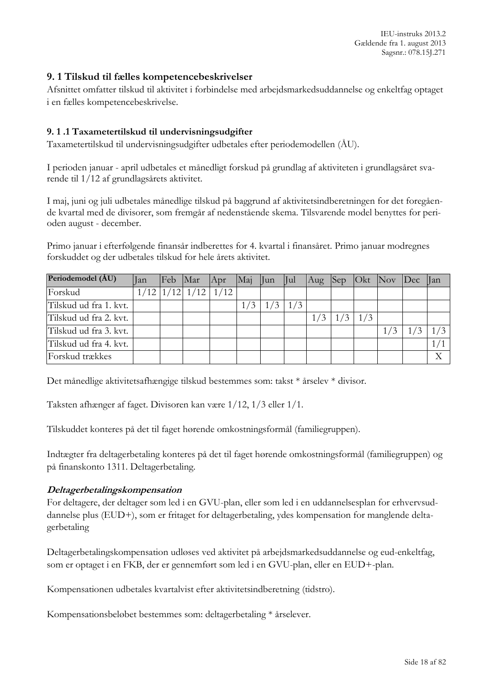IEU-instruks 2013.2 Gældende fra 1. august 2013 Sagsnr.: 078.15J.271

#### <span id="page-17-0"></span>**9. 1 Tilskud til fælles kompetencebeskrivelser**

Afsnittet omfatter tilskud til aktivitet i forbindelse med arbejdsmarkedsuddannelse og enkeltfag optaget i en fælles kompetencebeskrivelse.

#### <span id="page-17-1"></span>**9. 1 .1 Taxametertilskud til undervisningsudgifter**

Taxametertilskud til undervisningsudgifter udbetales efter periodemodellen (ÅU).

I perioden januar - april udbetales et månedligt forskud på grundlag af aktiviteten i grundlagsåret svarende til 1/12 af grundlagsårets aktivitet.

I maj, juni og juli udbetales månedlige tilskud på baggrund af aktivitetsindberetningen for det foregående kvartal med de divisorer, som fremgår af nedenstående skema. Tilsvarende model benyttes for perioden august - december.

Primo januar i efterfølgende finansår indberettes for 4. kvartal i finansåret. Primo januar modregnes forskuddet og der udbetales tilskud for hele årets aktivitet.

| Periodemodel (ÅU)      | lan | Feb Mar |                             | Apr | Maj Jun Jul |               |     |           | Aug Sep Okt Nov Dec Jan |     |
|------------------------|-----|---------|-----------------------------|-----|-------------|---------------|-----|-----------|-------------------------|-----|
| Forskud                |     |         | $1/12$ $1/12$ $1/12$ $1/12$ |     |             |               |     |           |                         |     |
| Tilskud ud fra 1. kvt. |     |         |                             |     | 1/3         | $1/3$   $1/3$ |     |           |                         |     |
| Tilskud ud fra 2. kvt. |     |         |                             |     |             |               | 1/3 | $1/3$ 1/3 |                         |     |
| Tilskud ud fra 3. kvt. |     |         |                             |     |             |               |     |           |                         |     |
| Tilskud ud fra 4. kvt. |     |         |                             |     |             |               |     |           |                         | 1/1 |
| Forskud trækkes        |     |         |                             |     |             |               |     |           |                         | Χ   |

Det månedlige aktivitetsafhængige tilskud bestemmes som: takst \* årselev \* divisor.

Taksten afhænger af faget. Divisoren kan være 1/12, 1/3 eller 1/1.

Tilskuddet konteres på det til faget hørende omkostningsformål (familiegruppen).

Indtægter fra deltagerbetaling konteres på det til faget hørende omkostningsformål (familiegruppen) og på finanskonto 1311. Deltagerbetaling.

#### **Deltagerbetalingskompensation**

For deltagere, der deltager som led i en GVU-plan, eller som led i en uddannelsesplan for erhvervsuddannelse plus (EUD+), som er fritaget for deltagerbetaling, ydes kompensation for manglende deltagerbetaling

Deltagerbetalingskompensation udløses ved aktivitet på arbejdsmarkedsuddannelse og eud-enkeltfag, som er optaget i en FKB, der er gennemført som led i en GVU-plan, eller en EUD+-plan.

Kompensationen udbetales kvartalvist efter aktivitetsindberetning (tidstro).

Kompensationsbeløbet bestemmes som: deltagerbetaling \* årselever.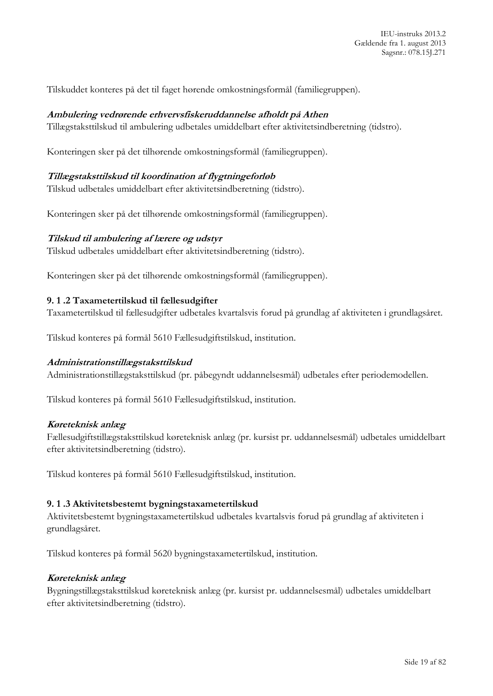Tilskuddet konteres på det til faget hørende omkostningsformål (familiegruppen).

#### **Ambulering vedrørende erhvervsfiskeruddannelse afholdt på Athen**

Tillægstaksttilskud til ambulering udbetales umiddelbart efter aktivitetsindberetning (tidstro).

Konteringen sker på det tilhørende omkostningsformål (familiegruppen).

#### **Tillægstaksttilskud til koordination af flygtningeforløb**

Tilskud udbetales umiddelbart efter aktivitetsindberetning (tidstro).

Konteringen sker på det tilhørende omkostningsformål (familiegruppen).

#### **Tilskud til ambulering af lærere og udstyr**

Tilskud udbetales umiddelbart efter aktivitetsindberetning (tidstro).

Konteringen sker på det tilhørende omkostningsformål (familiegruppen).

#### <span id="page-18-0"></span>**9. 1 .2 Taxametertilskud til fællesudgifter**

Taxametertilskud til fællesudgifter udbetales kvartalsvis forud på grundlag af aktiviteten i grundlagsåret.

Tilskud konteres på formål 5610 Fællesudgiftstilskud, institution.

#### **Administrationstillægstaksttilskud**

Administrationstillægstaksttilskud (pr. påbegyndt uddannelsesmål) udbetales efter periodemodellen.

Tilskud konteres på formål 5610 Fællesudgiftstilskud, institution.

#### **Køreteknisk anlæg**

Fællesudgiftstillægstaksttilskud køreteknisk anlæg (pr. kursist pr. uddannelsesmål) udbetales umiddelbart efter aktivitetsindberetning (tidstro).

Tilskud konteres på formål 5610 Fællesudgiftstilskud, institution.

#### <span id="page-18-1"></span>**9. 1 .3 Aktivitetsbestemt bygningstaxametertilskud**

Aktivitetsbestemt bygningstaxametertilskud udbetales kvartalsvis forud på grundlag af aktiviteten i grundlagsåret.

Tilskud konteres på formål 5620 bygningstaxametertilskud, institution.

#### **Køreteknisk anlæg**

Bygningstillægstaksttilskud køreteknisk anlæg (pr. kursist pr. uddannelsesmål) udbetales umiddelbart efter aktivitetsindberetning (tidstro).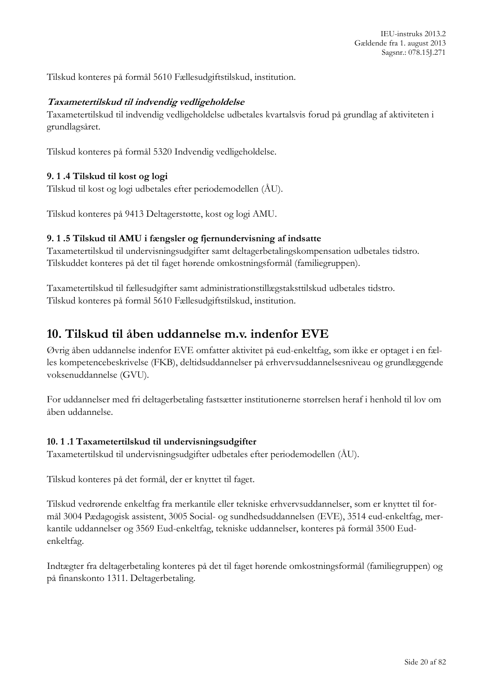Tilskud konteres på formål 5610 Fællesudgiftstilskud, institution.

#### **Taxametertilskud til indvendig vedligeholdelse**

Taxametertilskud til indvendig vedligeholdelse udbetales kvartalsvis forud på grundlag af aktiviteten i grundlagsåret.

Tilskud konteres på formål 5320 Indvendig vedligeholdelse.

#### <span id="page-19-0"></span>**9. 1 .4 Tilskud til kost og logi**

Tilskud til kost og logi udbetales efter periodemodellen (ÅU).

Tilskud konteres på 9413 Deltagerstøtte, kost og logi AMU.

#### <span id="page-19-1"></span>**9. 1 .5 Tilskud til AMU i fængsler og fjernundervisning af indsatte**

Taxametertilskud til undervisningsudgifter samt deltagerbetalingskompensation udbetales tidstro. Tilskuddet konteres på det til faget hørende omkostningsformål (familiegruppen).

Taxametertilskud til fællesudgifter samt administrationstillægstaksttilskud udbetales tidstro. Tilskud konteres på formål 5610 Fællesudgiftstilskud, institution.

### <span id="page-19-2"></span>**10. Tilskud til åben uddannelse m.v. indenfor EVE**

Øvrig åben uddannelse indenfor EVE omfatter aktivitet på eud-enkeltfag, som ikke er optaget i en fælles kompetencebeskrivelse (FKB), deltidsuddannelser på erhvervsuddannelsesniveau og grundlæggende voksenuddannelse (GVU).

For uddannelser med fri deltagerbetaling fastsætter institutionerne størrelsen heraf i henhold til lov om åben uddannelse.

#### <span id="page-19-3"></span>**10. 1 .1 Taxametertilskud til undervisningsudgifter**

Taxametertilskud til undervisningsudgifter udbetales efter periodemodellen (ÅU).

Tilskud konteres på det formål, der er knyttet til faget.

Tilskud vedrørende enkeltfag fra merkantile eller tekniske erhvervsuddannelser, som er knyttet til formål 3004 Pædagogisk assistent, 3005 Social- og sundhedsuddannelsen (EVE), 3514 eud-enkeltfag, merkantile uddannelser og 3569 Eud-enkeltfag, tekniske uddannelser, konteres på formål 3500 Eudenkeltfag.

Indtægter fra deltagerbetaling konteres på det til faget hørende omkostningsformål (familiegruppen) og på finanskonto 1311. Deltagerbetaling.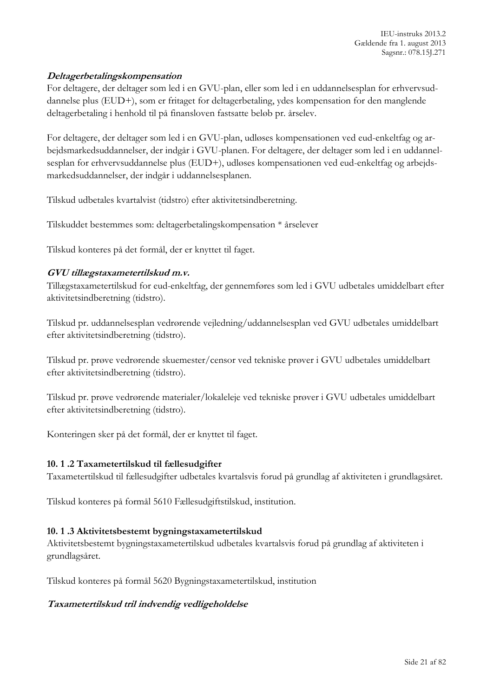#### **Deltagerbetalingskompensation**

For deltagere, der deltager som led i en GVU-plan, eller som led i en uddannelsesplan for erhvervsuddannelse plus (EUD+), som er fritaget for deltagerbetaling, ydes kompensation for den manglende deltagerbetaling i henhold til på finansloven fastsatte beløb pr. årselev.

For deltagere, der deltager som led i en GVU-plan, udløses kompensationen ved eud-enkeltfag og arbejdsmarkedsuddannelser, der indgår i GVU-planen. For deltagere, der deltager som led i en uddannelsesplan for erhvervsuddannelse plus (EUD+), udløses kompensationen ved eud-enkeltfag og arbejdsmarkedsuddannelser, der indgår i uddannelsesplanen.

Tilskud udbetales kvartalvist (tidstro) efter aktivitetsindberetning.

Tilskuddet bestemmes som: deltagerbetalingskompensation \* årselever

Tilskud konteres på det formål, der er knyttet til faget.

#### **GVU tillægstaxametertilskud m.v.**

Tillægstaxametertilskud for eud-enkeltfag, der gennemføres som led i GVU udbetales umiddelbart efter aktivitetsindberetning (tidstro).

Tilskud pr. uddannelsesplan vedrørende vejledning/uddannelsesplan ved GVU udbetales umiddelbart efter aktivitetsindberetning (tidstro).

Tilskud pr. prøve vedrørende skuemester/censor ved tekniske prøver i GVU udbetales umiddelbart efter aktivitetsindberetning (tidstro).

Tilskud pr. prøve vedrørende materialer/lokaleleje ved tekniske prøver i GVU udbetales umiddelbart efter aktivitetsindberetning (tidstro).

Konteringen sker på det formål, der er knyttet til faget.

#### <span id="page-20-0"></span>**10. 1 .2 Taxametertilskud til fællesudgifter**

Taxametertilskud til fællesudgifter udbetales kvartalsvis forud på grundlag af aktiviteten i grundlagsåret.

Tilskud konteres på formål 5610 Fællesudgiftstilskud, institution.

#### <span id="page-20-1"></span>**10. 1 .3 Aktivitetsbestemt bygningstaxametertilskud**

Aktivitetsbestemt bygningstaxametertilskud udbetales kvartalsvis forud på grundlag af aktiviteten i grundlagsåret.

Tilskud konteres på formål 5620 Bygningstaxametertilskud, institution

#### **Taxametertilskud tril indvendig vedligeholdelse**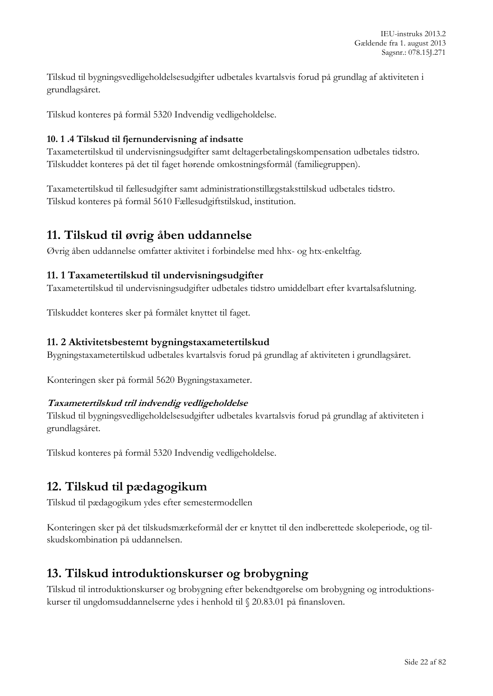Tilskud til bygningsvedligeholdelsesudgifter udbetales kvartalsvis forud på grundlag af aktiviteten i grundlagsåret.

Tilskud konteres på formål 5320 Indvendig vedligeholdelse.

#### <span id="page-21-0"></span>**10. 1 .4 Tilskud til fjernundervisning af indsatte**

Taxametertilskud til undervisningsudgifter samt deltagerbetalingskompensation udbetales tidstro. Tilskuddet konteres på det til faget hørende omkostningsformål (familiegruppen).

Taxametertilskud til fællesudgifter samt administrationstillægstaksttilskud udbetales tidstro. Tilskud konteres på formål 5610 Fællesudgiftstilskud, institution.

### <span id="page-21-1"></span>**11. Tilskud til øvrig åben uddannelse**

Øvrig åben uddannelse omfatter aktivitet i forbindelse med hhx- og htx-enkeltfag.

#### <span id="page-21-2"></span>**11. 1 Taxametertilskud til undervisningsudgifter**

Taxametertilskud til undervisningsudgifter udbetales tidstro umiddelbart efter kvartalsafslutning.

Tilskuddet konteres sker på formålet knyttet til faget.

### <span id="page-21-3"></span>**11. 2 Aktivitetsbestemt bygningstaxametertilskud**

Bygningstaxametertilskud udbetales kvartalsvis forud på grundlag af aktiviteten i grundlagsåret.

Konteringen sker på formål 5620 Bygningstaxameter.

#### **Taxametertilskud tril indvendig vedligeholdelse**

Tilskud til bygningsvedligeholdelsesudgifter udbetales kvartalsvis forud på grundlag af aktiviteten i grundlagsåret.

Tilskud konteres på formål 5320 Indvendig vedligeholdelse.

# <span id="page-21-4"></span>**12. Tilskud til pædagogikum**

Tilskud til pædagogikum ydes efter semestermodellen

Konteringen sker på det tilskudsmærkeformål der er knyttet til den indberettede skoleperiode, og tilskudskombination på uddannelsen.

# <span id="page-21-5"></span>**13. Tilskud introduktionskurser og brobygning**

Tilskud til introduktionskurser og brobygning efter bekendtgørelse om brobygning og introduktionskurser til ungdomsuddannelserne ydes i henhold til § 20.83.01 på finansloven.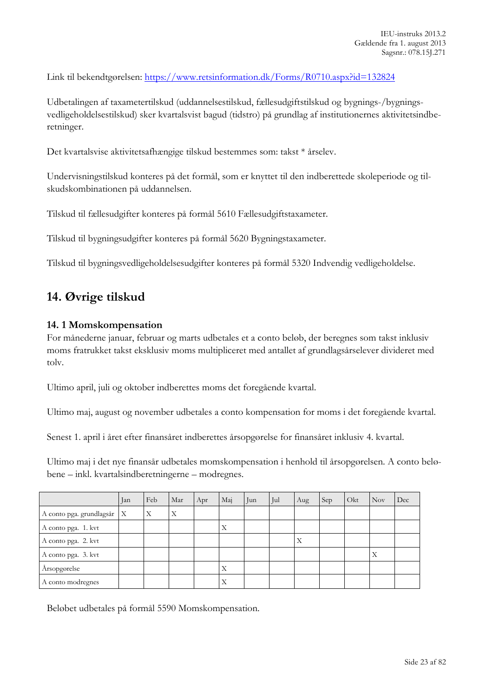Link til bekendtgørelsen:<https://www.retsinformation.dk/Forms/R0710.aspx?id=132824>

Udbetalingen af taxametertilskud (uddannelsestilskud, fællesudgiftstilskud og bygnings-/bygningsvedligeholdelsestilskud) sker kvartalsvist bagud (tidstro) på grundlag af institutionernes aktivitetsindberetninger.

Det kvartalsvise aktivitetsafhængige tilskud bestemmes som: takst \* årselev.

Undervisningstilskud konteres på det formål, som er knyttet til den indberettede skoleperiode og tilskudskombinationen på uddannelsen.

Tilskud til fællesudgifter konteres på formål 5610 Fællesudgiftstaxameter.

Tilskud til bygningsudgifter konteres på formål 5620 Bygningstaxameter.

Tilskud til bygningsvedligeholdelsesudgifter konteres på formål 5320 Indvendig vedligeholdelse.

# <span id="page-22-0"></span>**14. Øvrige tilskud**

#### <span id="page-22-1"></span>**14. 1 Momskompensation**

For månederne januar, februar og marts udbetales et a conto beløb, der beregnes som takst inklusiv moms fratrukket takst eksklusiv moms multipliceret med antallet af grundlagsårselever divideret med tolv.

Ultimo april, juli og oktober indberettes moms det foregående kvartal.

Ultimo maj, august og november udbetales a conto kompensation for moms i det foregående kvartal.

Senest 1. april i året efter finansåret indberettes årsopgørelse for finansåret inklusiv 4. kvartal.

Ultimo maj i det nye finansår udbetales momskompensation i henhold til årsopgørelsen. A conto beløbene – inkl. kvartalsindberetningerne – modregnes.

|                              | Jan | Feb | Mar | Apr | Maj | Jun | Jul | Aug | Sep | Okt | Nov | Dec |
|------------------------------|-----|-----|-----|-----|-----|-----|-----|-----|-----|-----|-----|-----|
| A conto pga. grundlagsår   X |     | X   | Χ   |     |     |     |     |     |     |     |     |     |
| A conto pga. 1. kvt          |     |     |     |     | Χ   |     |     |     |     |     |     |     |
| A conto pga. 2. kvt          |     |     |     |     |     |     |     | Χ   |     |     |     |     |
| A conto pga. 3. kvt          |     |     |     |     |     |     |     |     |     |     | Х   |     |
| Årsopgørelse                 |     |     |     |     | Х   |     |     |     |     |     |     |     |
| A conto modregnes            |     |     |     |     | Χ   |     |     |     |     |     |     |     |

Beløbet udbetales på formål 5590 Momskompensation.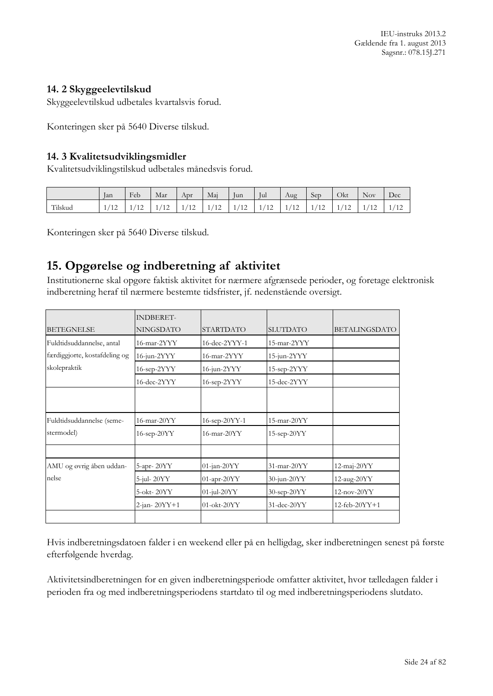#### <span id="page-23-0"></span>**14. 2 Skyggeelevtilskud**

Skyggeelevtilskud udbetales kvartalsvis forud.

Konteringen sker på 5640 Diverse tilskud.

#### <span id="page-23-1"></span>**14. 3 Kvalitetsudviklingsmidler**

Kvalitetsudviklingstilskud udbetales månedsvis forud.

|         | lan                    | Feb            | Mar            | Apr                      | Mai            | $\sim$<br>lun  | Jul                      | Aug | Sep            | Okt | <b>Nov</b> | Dec            |
|---------|------------------------|----------------|----------------|--------------------------|----------------|----------------|--------------------------|-----|----------------|-----|------------|----------------|
| Tilskud | (10)<br>$\overline{1}$ | $\overline{1}$ | $\overline{1}$ | $\sim$<br>$\overline{1}$ | $\overline{1}$ | $\overline{1}$ | $\sim$<br>$\overline{1}$ | 12  | $\overline{1}$ | --  | 14         | $\overline{1}$ |

Konteringen sker på 5640 Diverse tilskud.

# <span id="page-23-2"></span>**15. Opgørelse og indberetning af aktivitet**

Institutionerne skal opgøre faktisk aktivitet for nærmere afgrænsede perioder, og foretage elektronisk indberetning heraf til nærmere bestemte tidsfrister, jf. nedenstående oversigt.

|                               | <b>INDBERET-</b>  |                     |                   |                      |
|-------------------------------|-------------------|---------------------|-------------------|----------------------|
| <b>BETEGNELSE</b>             | <b>NINGSDATO</b>  | <b>STARTDATO</b>    | <b>SLUTDATO</b>   | <b>BETALINGSDATO</b> |
| Fuldtidsuddannelse, antal     | 16-mar-2YYY       | $16$ -dec- $2YYY-1$ | 15-mar-2YYY       |                      |
| færdiggjorte, kostafdeling og | $16$ -jun- $2YYY$ | $16$ -mar- $2YYY$   | $15$ -jun- $2YYY$ |                      |
| skolepraktik                  | $16$ -sep- $2YYY$ | $16$ -jun- $2YYY$   | $15$ -sep- $2YYY$ |                      |
|                               | 16-dec-2YYY       | 16-sep-2YYY         | 15-dec-2YYY       |                      |
|                               |                   |                     |                   |                      |
|                               |                   |                     |                   |                      |
| Fuldtidsuddannelse (seme-     | $16$ -mar- $20YY$ | $16$ -sep- $20YY-1$ | $15$ -mar-20 $YY$ |                      |
| stermodel)                    | 16-sep-20YY       | $16$ -mar- $20YY$   | 15-sep-20YY       |                      |
|                               |                   |                     |                   |                      |
| AMU og øvrig åben uddan-      | 5-apr-20YY        | 01-jan-20YY         | $31$ -mar-20 $YY$ | $12$ -maj- $20YY$    |
| nelse                         | $5$ -jul- $20YY$  | 01-apr-20YY         | 30-jun-20YY       | 12-aug-20YY          |
|                               | $5-okt - 20YY$    | 01-jul-20YY         | 30-sep-20YY       | $12$ -nov- $20YY$    |
|                               | 2-jan-20YY+1      | $01-okt-20YY$       | $31$ -dec- $20YY$ | $12$ -feb- $20YY+1$  |
|                               |                   |                     |                   |                      |

Hvis indberetningsdatoen falder i en weekend eller på en helligdag, sker indberetningen senest på første efterfølgende hverdag.

Aktivitetsindberetningen for en given indberetningsperiode omfatter aktivitet, hvor tælledagen falder i perioden fra og med indberetningsperiodens startdato til og med indberetningsperiodens slutdato.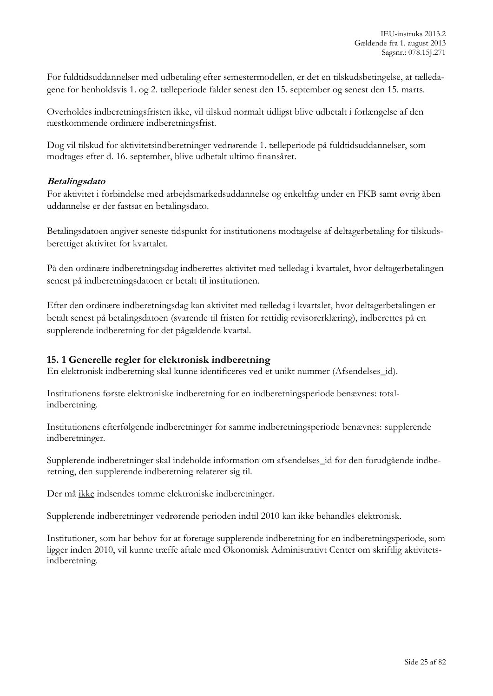For fuldtidsuddannelser med udbetaling efter semestermodellen, er det en tilskudsbetingelse, at tælledagene for henholdsvis 1. og 2. tælleperiode falder senest den 15. september og senest den 15. marts.

Overholdes indberetningsfristen ikke, vil tilskud normalt tidligst blive udbetalt i forlængelse af den næstkommende ordinære indberetningsfrist.

Dog vil tilskud for aktivitetsindberetninger vedrørende 1. tælleperiode på fuldtidsuddannelser, som modtages efter d. 16. september, blive udbetalt ultimo finansåret.

#### **Betalingsdato**

For aktivitet i forbindelse med arbejdsmarkedsuddannelse og enkeltfag under en FKB samt øvrig åben uddannelse er der fastsat en betalingsdato.

Betalingsdatoen angiver seneste tidspunkt for institutionens modtagelse af deltagerbetaling for tilskudsberettiget aktivitet for kvartalet.

På den ordinære indberetningsdag indberettes aktivitet med tælledag i kvartalet, hvor deltagerbetalingen senest på indberetningsdatoen er betalt til institutionen.

Efter den ordinære indberetningsdag kan aktivitet med tælledag i kvartalet, hvor deltagerbetalingen er betalt senest på betalingsdatoen (svarende til fristen for rettidig revisorerklæring), indberettes på en supplerende indberetning for det pågældende kvartal.

#### <span id="page-24-0"></span>**15. 1 Generelle regler for elektronisk indberetning**

En elektronisk indberetning skal kunne identificeres ved et unikt nummer (Afsendelses\_id).

Institutionens første elektroniske indberetning for en indberetningsperiode benævnes: totalindberetning.

Institutionens efterfølgende indberetninger for samme indberetningsperiode benævnes: supplerende indberetninger.

Supplerende indberetninger skal indeholde information om afsendelses\_id for den forudgående indberetning, den supplerende indberetning relaterer sig til.

Der må ikke indsendes tomme elektroniske indberetninger.

Supplerende indberetninger vedrørende perioden indtil 2010 kan ikke behandles elektronisk.

Institutioner, som har behov for at foretage supplerende indberetning for en indberetningsperiode, som ligger inden 2010, vil kunne træffe aftale med Økonomisk Administrativt Center om skriftlig aktivitetsindberetning.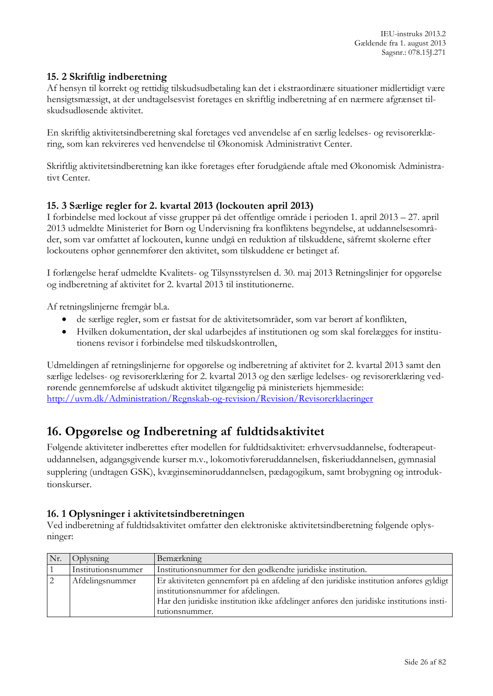### <span id="page-25-0"></span>**15. 2 Skriftlig indberetning**

Af hensyn til korrekt og rettidig tilskudsudbetaling kan det i ekstraordinære situationer midlertidigt være hensigtsmæssigt, at der undtagelsesvist foretages en skriftlig indberetning af en nærmere afgrænset tilskudsudløsende aktivitet.

En skriftlig aktivitetsindberetning skal foretages ved anvendelse af en særlig ledelses- og revisorerklæring, som kan rekvireres ved henvendelse til Økonomisk Administrativt Center.

Skriftlig aktivitetsindberetning kan ikke foretages efter forudgående aftale med Økonomisk Administrativt Center.

### <span id="page-25-1"></span>**15. 3 Særlige regler for 2. kvartal 2013 (lockouten april 2013)**

I forbindelse med lockout af visse grupper på det offentlige område i perioden 1. april 2013 – 27. april 2013 udmeldte Ministeriet for Børn og Undervisning fra konfliktens begyndelse, at uddannelsesområder, som var omfattet af lockouten, kunne undgå en reduktion af tilskuddene, såfremt skolerne efter lockoutens ophør gennemfører den aktivitet, som tilskuddene er betinget af.

I forlængelse heraf udmeldte Kvalitets- og Tilsynsstyrelsen d. 30. maj 2013 Retningslinjer for opgørelse og indberetning af aktivitet for 2. kvartal 2013 til institutionerne.

Af retningslinjerne fremgår bl.a.

- de særlige regler, som er fastsat for de aktivitetsområder, som var berørt af konflikten,
- Hvilken dokumentation, der skal udarbejdes af institutionen og som skal forelægges for institutionens revisor i forbindelse med tilskudskontrollen,

Udmeldingen af retningslinjerne for opgørelse og indberetning af aktivitet for 2. kvartal 2013 samt den særlige ledelses- og revisorerklæring for 2. kvartal 2013 og den særlige ledelses- og revisorerklæring vedrørende gennemførelse af udskudt aktivitet tilgængelig på ministeriets hjemmeside: <http://uvm.dk/Administration/Regnskab-og-revision/Revision/Revisorerklaeringer>

# <span id="page-25-2"></span>**16. Opgørelse og Indberetning af fuldtidsaktivitet**

Følgende aktiviteter indberettes efter modellen for fuldtidsaktivitet: erhvervsuddannelse, fodterapeutuddannelsen, adgangsgivende kurser m.v., lokomotivføreruddannelsen, fiskeriuddannelsen, gymnasial supplering (undtagen GSK), kvæginseminøruddannelsen, pædagogikum, samt brobygning og introduktionskurser.

#### <span id="page-25-3"></span>**16. 1 Oplysninger i aktivitetsindberetningen**

Ved indberetning af fuldtidsaktivitet omfatter den elektroniske aktivitetsindberetning følgende oplysninger:

| Nr. | <b>Oplysning</b>   | Bemærkning                                                                              |  |
|-----|--------------------|-----------------------------------------------------------------------------------------|--|
|     | Institutionsnummer | Institutions nummer for den godkendte juridiske institution.                            |  |
|     | Afdelingsnummer    | Er aktiviteten gennemført på en afdeling af den juridiske institution anføres gyldigt   |  |
|     |                    | institutionsnummer for afdelingen.                                                      |  |
|     |                    | Har den juridiske institution ikke afdelinger anføres den juridiske institutions insti- |  |
|     |                    | tutionsnummer.                                                                          |  |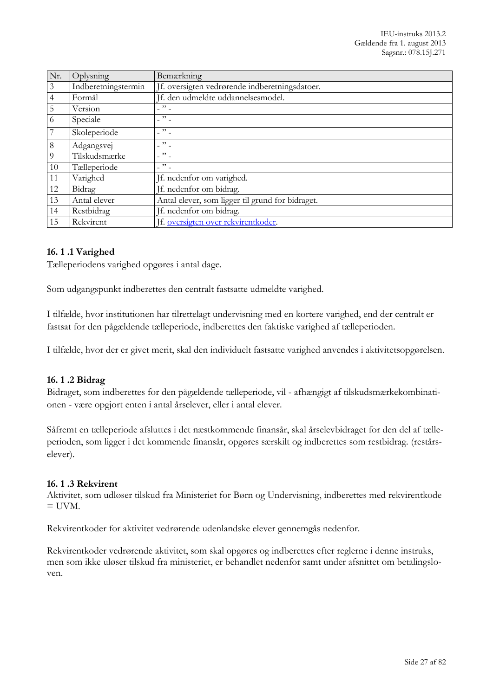| Nr.            | Oplysning           | Bemærkning                                          |
|----------------|---------------------|-----------------------------------------------------|
| $\mathfrak{Z}$ | Indberetningstermin | If. oversigten vedrørende indberetningsdatoer.      |
| 4              | Formål              | Jf. den udmeldte uddannelsesmodel.                  |
| 5              | Version             | $\ddot{ }$ $\ddot{ }$ $\ddot{ }$                    |
| 6              | Speciale            | $\ddot{\phantom{1}}$                                |
| 7              | Skoleperiode        | $-$ " $-$                                           |
| $\,8\,$        | Adgangsvej          | $\cdots$                                            |
| $\overline{Q}$ | Tilskudsmærke       | $\cdots$                                            |
| 10             | Tælleperiode        | $\overline{\phantom{a}}$ " $\overline{\phantom{a}}$ |
| 11             | Varighed            | If. nedenfor om varighed.                           |
| 12             | Bidrag              | If. nedenfor om bidrag.                             |
| 13             | Antal elever        | Antal elever, som ligger til grund for bidraget.    |
| 14             | Restbidrag          | Jf. nedenfor om bidrag.                             |
| 15             | Rekvirent           | If. oversigten over rekvirentkoder.                 |

#### <span id="page-26-0"></span>**16. 1 .1 Varighed**

Tælleperiodens varighed opgøres i antal dage.

Som udgangspunkt indberettes den centralt fastsatte udmeldte varighed.

I tilfælde, hvor institutionen har tilrettelagt undervisning med en kortere varighed, end der centralt er fastsat for den pågældende tælleperiode, indberettes den faktiske varighed af tælleperioden.

I tilfælde, hvor der er givet merit, skal den individuelt fastsatte varighed anvendes i aktivitetsopgørelsen.

#### <span id="page-26-1"></span>**16. 1 .2 Bidrag**

Bidraget, som indberettes for den pågældende tælleperiode, vil - afhængigt af tilskudsmærkekombinationen - være opgjort enten i antal årselever, eller i antal elever.

Såfremt en tælleperiode afsluttes i det næstkommende finansår, skal årselevbidraget for den del af tælleperioden, som ligger i det kommende finansår, opgøres særskilt og indberettes som restbidrag. (restårselever).

#### <span id="page-26-2"></span>**16. 1 .3 Rekvirent**

Aktivitet, som udløser tilskud fra Ministeriet for Børn og Undervisning, indberettes med rekvirentkode  $=$  UVM.

Rekvirentkoder for aktivitet vedrørende udenlandske elever gennemgås nedenfor.

Rekvirentkoder vedrørende aktivitet, som skal opgøres og indberettes efter reglerne i denne instruks, men som ikke uløser tilskud fra ministeriet, er behandlet nedenfor samt under afsnittet om betalingsloven.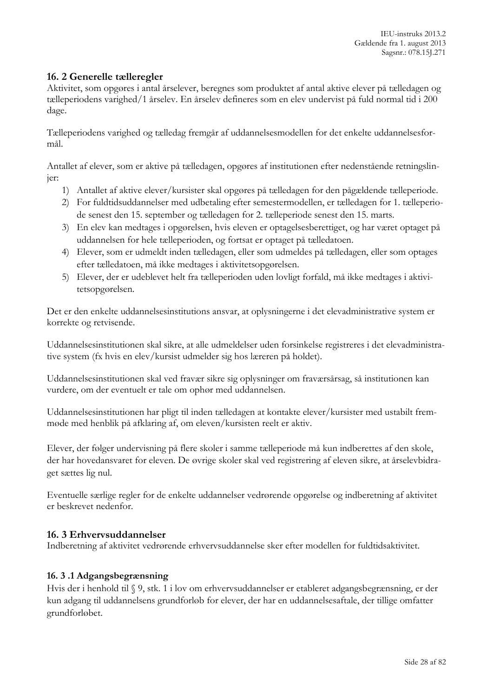### <span id="page-27-0"></span>**16. 2 Generelle tælleregler**

Aktivitet, som opgøres i antal årselever, beregnes som produktet af antal aktive elever på tælledagen og tælleperiodens varighed/1 årselev. En årselev defineres som en elev undervist på fuld normal tid i 200 dage.

Tælleperiodens varighed og tælledag fremgår af uddannelsesmodellen for det enkelte uddannelsesformål.

Antallet af elever, som er aktive på tælledagen, opgøres af institutionen efter nedenstående retningslinjer:

- 1) Antallet af aktive elever/kursister skal opgøres på tælledagen for den pågældende tælleperiode.
- 2) For fuldtidsuddannelser med udbetaling efter semestermodellen, er tælledagen for 1. tælleperiode senest den 15. september og tælledagen for 2. tælleperiode senest den 15. marts.
- 3) En elev kan medtages i opgørelsen, hvis eleven er optagelsesberettiget, og har været optaget på uddannelsen for hele tælleperioden, og fortsat er optaget på tælledatoen.
- 4) Elever, som er udmeldt inden tælledagen, eller som udmeldes på tælledagen, eller som optages efter tælledatoen, må ikke medtages i aktivitetsopgørelsen.
- 5) Elever, der er udeblevet helt fra tælleperioden uden lovligt forfald, må ikke medtages i aktivitetsopgørelsen.

Det er den enkelte uddannelsesinstitutions ansvar, at oplysningerne i det elevadministrative system er korrekte og retvisende.

Uddannelsesinstitutionen skal sikre, at alle udmeldelser uden forsinkelse registreres i det elevadministrative system (fx hvis en elev/kursist udmelder sig hos læreren på holdet).

Uddannelsesinstitutionen skal ved fravær sikre sig oplysninger om fraværsårsag, så institutionen kan vurdere, om der eventuelt er tale om ophør med uddannelsen.

Uddannelsesinstitutionen har pligt til inden tælledagen at kontakte elever/kursister med ustabilt fremmøde med henblik på afklaring af, om eleven/kursisten reelt er aktiv.

Elever, der følger undervisning på flere skoler i samme tælleperiode må kun indberettes af den skole, der har hovedansvaret for eleven. De øvrige skoler skal ved registrering af eleven sikre, at årselevbidraget sættes lig nul.

Eventuelle særlige regler for de enkelte uddannelser vedrørende opgørelse og indberetning af aktivitet er beskrevet nedenfor.

#### <span id="page-27-1"></span>**16. 3 Erhvervsuddannelser**

Indberetning af aktivitet vedrørende erhvervsuddannelse sker efter modellen for fuldtidsaktivitet.

#### <span id="page-27-2"></span>**16. 3 .1 Adgangsbegrænsning**

Hvis der i henhold til § 9, stk. 1 i lov om erhvervsuddannelser er etableret adgangsbegrænsning, er der kun adgang til uddannelsens grundforløb for elever, der har en uddannelsesaftale, der tillige omfatter grundforløbet.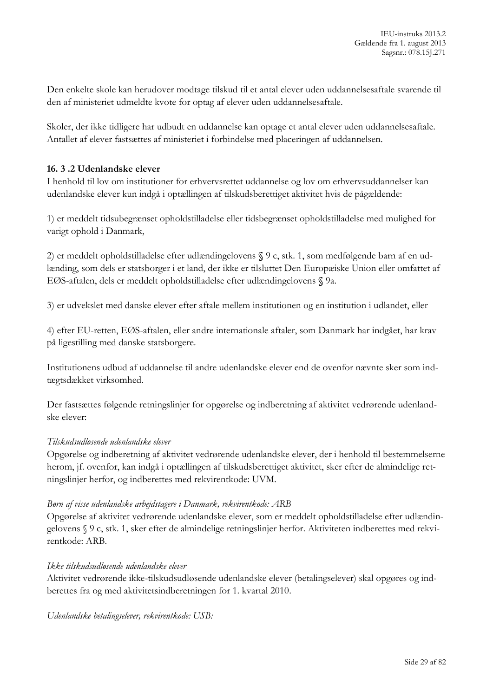Den enkelte skole kan herudover modtage tilskud til et antal elever uden uddannelsesaftale svarende til den af ministeriet udmeldte kvote for optag af elever uden uddannelsesaftale.

Skoler, der ikke tidligere har udbudt en uddannelse kan optage et antal elever uden uddannelsesaftale. Antallet af elever fastsættes af ministeriet i forbindelse med placeringen af uddannelsen.

#### <span id="page-28-0"></span>**16. 3 .2 Udenlandske elever**

I henhold til lov om institutioner for erhvervsrettet uddannelse og lov om erhvervsuddannelser kan udenlandske elever kun indgå i optællingen af tilskudsberettiget aktivitet hvis de pågældende:

1) er meddelt tidsubegrænset opholdstilladelse eller tidsbegrænset opholdstilladelse med mulighed for varigt ophold i Danmark,

2) er meddelt opholdstilladelse efter udlændingelovens **§** 9 c, stk. 1, som medfølgende barn af en udlænding, som dels er statsborger i et land, der ikke er tilsluttet Den Europæiske Union eller omfattet af EØS-aftalen, dels er meddelt opholdstilladelse efter udlændingelovens **§** 9a.

3) er udvekslet med danske elever efter aftale mellem institutionen og en institution i udlandet, eller

4) efter EU-retten, EØS-aftalen, eller andre internationale aftaler, som Danmark har indgået, har krav på ligestilling med danske statsborgere.

Institutionens udbud af uddannelse til andre udenlandske elever end de ovenfor nævnte sker som indtægtsdækket virksomhed.

Der fastsættes følgende retningslinjer for opgørelse og indberetning af aktivitet vedrørende udenlandske elever:

#### *Tilskudsudløsende udenlandske elever*

Opgørelse og indberetning af aktivitet vedrørende udenlandske elever, der i henhold til bestemmelserne herom, jf. ovenfor, kan indgå i optællingen af tilskudsberettiget aktivitet, sker efter de almindelige retningslinjer herfor, og indberettes med rekvirentkode: UVM.

#### *Børn af visse udenlandske arbejdstagere i Danmark, rekvirentkode: ARB*

Opgørelse af aktivitet vedrørende udenlandske elever, som er meddelt opholdstilladelse efter udlændingelovens § 9 c, stk. 1, sker efter de almindelige retningslinjer herfor. Aktiviteten indberettes med rekvirentkode: ARB.

#### *Ikke tilskudsudløsende udenlandske elever*

Aktivitet vedrørende ikke-tilskudsudløsende udenlandske elever (betalingselever) skal opgøres og indberettes fra og med aktivitetsindberetningen for 1. kvartal 2010.

*Udenlandske betalingselever, rekvirentkode: USB:*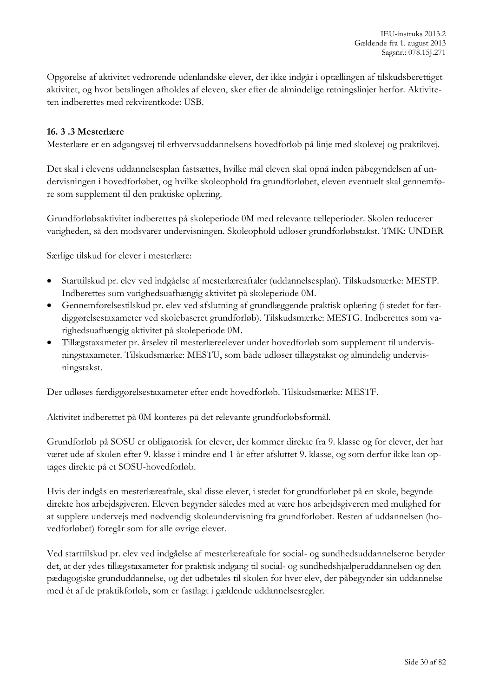Opgørelse af aktivitet vedrørende udenlandske elever, der ikke indgår i optællingen af tilskudsberettiget aktivitet, og hvor betalingen afholdes af eleven, sker efter de almindelige retningslinjer herfor. Aktiviteten indberettes med rekvirentkode: USB.

#### <span id="page-29-0"></span>**16. 3 .3 Mesterlære**

Mesterlære er en adgangsvej til erhvervsuddannelsens hovedforløb på linje med skolevej og praktikvej.

Det skal i elevens uddannelsesplan fastsættes, hvilke mål eleven skal opnå inden påbegyndelsen af undervisningen i hovedforløbet, og hvilke skoleophold fra grundforløbet, eleven eventuelt skal gennemføre som supplement til den praktiske oplæring.

Grundforløbsaktivitet indberettes på skoleperiode 0M med relevante tælleperioder. Skolen reducerer varigheden, så den modsvarer undervisningen. Skoleophold udløser grundforløbstakst. TMK: UNDER

Særlige tilskud for elever i mesterlære:

- Starttilskud pr. elev ved indgåelse af mesterlæreaftaler (uddannelsesplan). Tilskudsmærke: MESTP. Indberettes som varighedsuafhængig aktivitet på skoleperiode 0M.
- Gennemførelsestilskud pr. elev ved afslutning af grundlæggende praktisk oplæring (i stedet for færdiggørelsestaxameter ved skolebaseret grundforløb). Tilskudsmærke: MESTG. Indberettes som varighedsuafhængig aktivitet på skoleperiode 0M.
- Tillægstaxameter pr. årselev til mesterlæreelever under hovedforløb som supplement til undervisningstaxameter. Tilskudsmærke: MESTU, som både udløser tillægstakst og almindelig undervisningstakst.

Der udløses færdiggørelsestaxameter efter endt hovedforløb. Tilskudsmærke: MESTF.

Aktivitet indberettet på 0M konteres på det relevante grundforløbsformål.

Grundforløb på SOSU er obligatorisk for elever, der kommer direkte fra 9. klasse og for elever, der har været ude af skolen efter 9. klasse i mindre end 1 år efter afsluttet 9. klasse, og som derfor ikke kan optages direkte på et SOSU-hovedforløb.

Hvis der indgås en mesterlæreaftale, skal disse elever, i stedet for grundforløbet på en skole, begynde direkte hos arbejdsgiveren. Eleven begynder således med at være hos arbejdsgiveren med mulighed for at supplere undervejs med nødvendig skoleundervisning fra grundforløbet. Resten af uddannelsen (hovedforløbet) foregår som for alle øvrige elever.

Ved starttilskud pr. elev ved indgåelse af mesterlæreaftale for social- og sundhedsuddannelserne betyder det, at der ydes tillægstaxameter for praktisk indgang til social- og sundhedshjælperuddannelsen og den pædagogiske grunduddannelse, og det udbetales til skolen for hver elev, der påbegynder sin uddannelse med ét af de praktikforløb, som er fastlagt i gældende uddannelsesregler.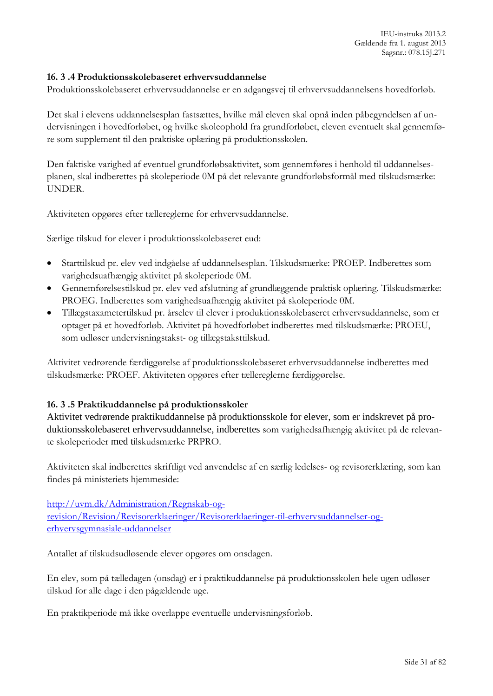#### <span id="page-30-0"></span>**16. 3 .4 Produktionsskolebaseret erhvervsuddannelse**

Produktionsskolebaseret erhvervsuddannelse er en adgangsvej til erhvervsuddannelsens hovedforløb.

Det skal i elevens uddannelsesplan fastsættes, hvilke mål eleven skal opnå inden påbegyndelsen af undervisningen i hovedforløbet, og hvilke skoleophold fra grundforløbet, eleven eventuelt skal gennemføre som supplement til den praktiske oplæring på produktionsskolen.

Den faktiske varighed af eventuel grundforløbsaktivitet, som gennemføres i henhold til uddannelsesplanen, skal indberettes på skoleperiode 0M på det relevante grundforløbsformål med tilskudsmærke: UNDER.

Aktiviteten opgøres efter tællereglerne for erhvervsuddannelse.

Særlige tilskud for elever i produktionsskolebaseret eud:

- Starttilskud pr. elev ved indgåelse af uddannelsesplan. Tilskudsmærke: PROEP. Indberettes som varighedsuafhængig aktivitet på skoleperiode 0M.
- Gennemførelsestilskud pr. elev ved afslutning af grundlæggende praktisk oplæring. Tilskudsmærke: PROEG. Indberettes som varighedsuafhængig aktivitet på skoleperiode 0M.
- Tillægstaxametertilskud pr. årselev til elever i produktionsskolebaseret erhvervsuddannelse, som er optaget på et hovedforløb. Aktivitet på hovedforløbet indberettes med tilskudsmærke: PROEU, som udløser undervisningstakst- og tillægstaksttilskud.

Aktivitet vedrørende færdiggørelse af produktionsskolebaseret erhvervsuddannelse indberettes med tilskudsmærke: PROEF. Aktiviteten opgøres efter tællereglerne færdiggørelse.

#### <span id="page-30-1"></span>**16. 3 .5 Praktikuddannelse på produktionsskoler**

Aktivitet vedrørende praktikuddannelse på produktionsskole for elever, som er indskrevet på produktionsskolebaseret erhvervsuddannelse, indberettes som varighedsafhængig aktivitet på de relevante skoleperioder med tilskudsmærke PRPRO.

Aktiviteten skal indberettes skriftligt ved anvendelse af en særlig ledelses- og revisorerklæring, som kan findes på ministeriets hjemmeside:

[http://uvm.dk/Administration/Regnskab-og](http://uvm.dk/Administration/Regnskab-og-revision/Revision/Revisorerklaeringer/Revisorerklaeringer-til-erhvervsuddannelser-og-erhvervsgymnasiale-uddannelser)[revision/Revision/Revisorerklaeringer/Revisorerklaeringer-til-erhvervsuddannelser-og](http://uvm.dk/Administration/Regnskab-og-revision/Revision/Revisorerklaeringer/Revisorerklaeringer-til-erhvervsuddannelser-og-erhvervsgymnasiale-uddannelser)[erhvervsgymnasiale-uddannelser](http://uvm.dk/Administration/Regnskab-og-revision/Revision/Revisorerklaeringer/Revisorerklaeringer-til-erhvervsuddannelser-og-erhvervsgymnasiale-uddannelser)

Antallet af tilskudsudløsende elever opgøres om onsdagen.

En elev, som på tælledagen (onsdag) er i praktikuddannelse på produktionsskolen hele ugen udløser tilskud for alle dage i den pågældende uge.

En praktikperiode må ikke overlappe eventuelle undervisningsforløb.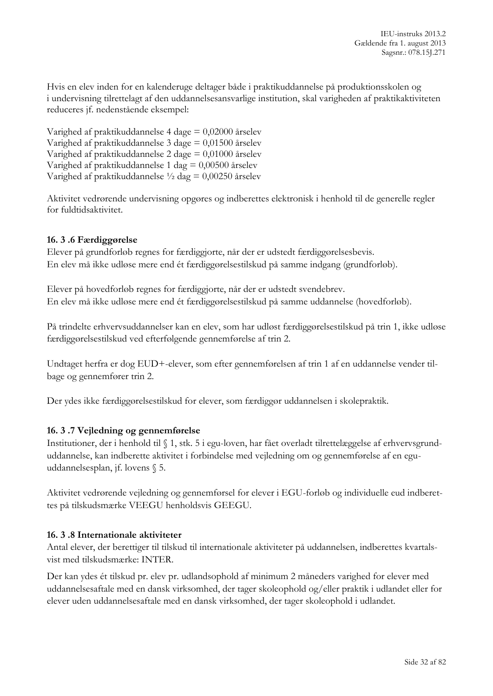Hvis en elev inden for en kalenderuge deltager både i praktikuddannelse på produktionsskolen og i undervisning tilrettelagt af den uddannelsesansvarlige institution, skal varigheden af praktikaktiviteten reduceres jf. nedenstående eksempel:

Varighed af praktikuddannelse 4 dage = 0,02000 årselev Varighed af praktikuddannelse 3 dage = 0,01500 årselev Varighed af praktikuddannelse 2 dage = 0,01000 årselev Varighed af praktikuddannelse 1 dag = 0,00500 årselev Varighed af praktikuddannelse  $\frac{1}{2}$  dag = 0,00250 årselev

Aktivitet vedrørende undervisning opgøres og indberettes elektronisk i henhold til de generelle regler for fuldtidsaktivitet.

#### <span id="page-31-0"></span>**16. 3 .6 Færdiggørelse**

Elever på grundforløb regnes for færdiggjorte, når der er udstedt færdiggørelsesbevis. En elev må ikke udløse mere end ét færdiggørelsestilskud på samme indgang (grundforløb).

Elever på hovedforløb regnes for færdiggjorte, når der er udstedt svendebrev. En elev må ikke udløse mere end ét færdiggørelsestilskud på samme uddannelse (hovedforløb).

På trindelte erhvervsuddannelser kan en elev, som har udløst færdiggørelsestilskud på trin 1, ikke udløse færdiggørelsestilskud ved efterfølgende gennemførelse af trin 2.

Undtaget herfra er dog EUD+-elever, som efter gennemførelsen af trin 1 af en uddannelse vender tilbage og gennemfører trin 2.

Der ydes ikke færdiggørelsestilskud for elever, som færdiggør uddannelsen i skolepraktik.

#### <span id="page-31-1"></span>**16. 3 .7 Vejledning og gennemførelse**

Institutioner, der i henhold til § 1, stk. 5 i egu-loven, har fået overladt tilrettelæggelse af erhvervsgrunduddannelse, kan indberette aktivitet i forbindelse med vejledning om og gennemførelse af en eguuddannelsesplan, jf. lovens § 5.

Aktivitet vedrørende vejledning og gennemførsel for elever i EGU-forløb og individuelle eud indberettes på tilskudsmærke VEEGU henholdsvis GEEGU.

#### <span id="page-31-2"></span>**16. 3 .8 Internationale aktiviteter**

Antal elever, der berettiger til tilskud til internationale aktiviteter på uddannelsen, indberettes kvartalsvist med tilskudsmærke: INTER.

Der kan ydes ét tilskud pr. elev pr. udlandsophold af minimum 2 måneders varighed for elever med uddannelsesaftale med en dansk virksomhed, der tager skoleophold og/eller praktik i udlandet eller for elever uden uddannelsesaftale med en dansk virksomhed, der tager skoleophold i udlandet.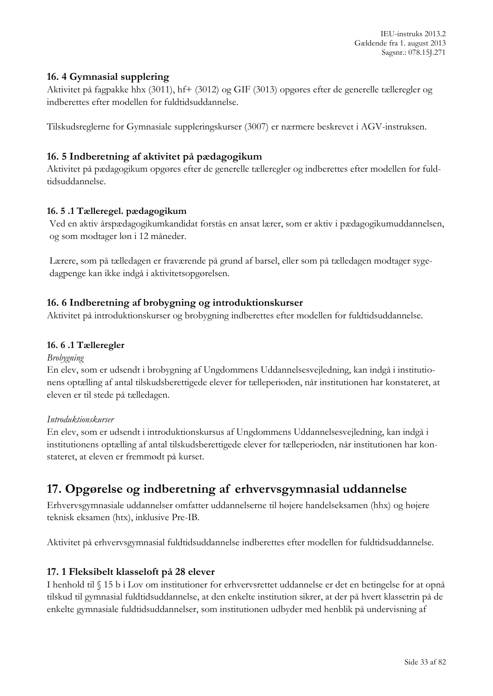IEU-instruks 2013.2 Gældende fra 1. august 2013 Sagsnr.: 078.15J.271

#### <span id="page-32-0"></span>**16. 4 Gymnasial supplering**

Aktivitet på fagpakke hhx (3011), hf+ (3012) og GIF (3013) opgøres efter de generelle tælleregler og indberettes efter modellen for fuldtidsuddannelse.

Tilskudsreglerne for Gymnasiale suppleringskurser (3007) er nærmere beskrevet i AGV-instruksen.

#### <span id="page-32-1"></span>**16. 5 Indberetning af aktivitet på pædagogikum**

Aktivitet på pædagogikum opgøres efter de generelle tælleregler og indberettes efter modellen for fuldtidsuddannelse.

#### <span id="page-32-2"></span>**16. 5 .1 Tælleregel. pædagogikum**

Ved en aktiv årspædagogikumkandidat forstås en ansat lærer, som er aktiv i pædagogikumuddannelsen, og som modtager løn i 12 måneder.

Lærere, som på tælledagen er fraværende på grund af barsel, eller som på tælledagen modtager sygedagpenge kan ikke indgå i aktivitetsopgørelsen.

#### <span id="page-32-3"></span>**16. 6 Indberetning af brobygning og introduktionskurser**

Aktivitet på introduktionskurser og brobygning indberettes efter modellen for fuldtidsuddannelse.

#### <span id="page-32-4"></span>**16. 6 .1 Tælleregler**

#### *Brobygning*

En elev, som er udsendt i brobygning af Ungdommens Uddannelsesvejledning, kan indgå i institutionens optælling af antal tilskudsberettigede elever for tælleperioden, når institutionen har konstateret, at eleven er til stede på tælledagen.

#### *Introduktionskurser*

En elev, som er udsendt i introduktionskursus af Ungdommens Uddannelsesvejledning, kan indgå i institutionens optælling af antal tilskudsberettigede elever for tælleperioden, når institutionen har konstateret, at eleven er fremmødt på kurset.

# <span id="page-32-5"></span>**17. Opgørelse og indberetning af erhvervsgymnasial uddannelse**

Erhvervsgymnasiale uddannelser omfatter uddannelserne til højere handelseksamen (hhx) og højere teknisk eksamen (htx), inklusive Pre-IB.

Aktivitet på erhvervsgymnasial fuldtidsuddannelse indberettes efter modellen for fuldtidsuddannelse.

#### <span id="page-32-6"></span>**17. 1 Fleksibelt klasseloft på 28 elever**

I henhold til § 15 b i Lov om institutioner for erhvervsrettet uddannelse er det en betingelse for at opnå tilskud til gymnasial fuldtidsuddannelse, at den enkelte institution sikrer, at der på hvert klassetrin på de enkelte gymnasiale fuldtidsuddannelser, som institutionen udbyder med henblik på undervisning af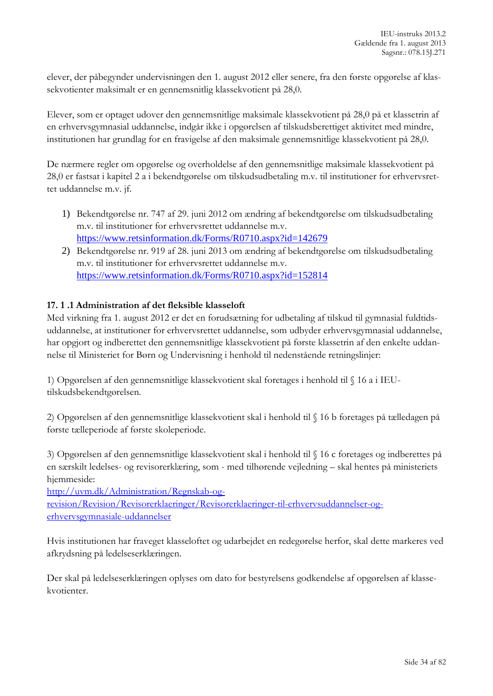elever, der påbegynder undervisningen den 1. august 2012 eller senere, fra den første opgørelse af klassekvotienter maksimalt er en gennemsnitlig klassekvotient på 28,0.

Elever, som er optaget udover den gennemsnitlige maksimale klassekvotient på 28,0 på et klassetrin af en erhvervsgymnasial uddannelse, indgår ikke i opgørelsen af tilskudsberettiget aktivitet med mindre, institutionen har grundlag for en fravigelse af den maksimale gennemsnitlige klassekvotient på 28,0.

De nærmere regler om opgørelse og overholdelse af den gennemsnitlige maksimale klassekvotient på 28,0 er fastsat i kapitel 2 a i bekendtgørelse om tilskudsudbetaling m.v. til institutioner for erhvervsrettet uddannelse m.v. jf.

- 1) Bekendtgørelse nr. 747 af 29. juni 2012 om ændring af bekendtgørelse om tilskudsudbetaling m.v. til institutioner for erhvervsrettet uddannelse m.v. <https://www.retsinformation.dk/Forms/R0710.aspx?id=142679>
- 2) Bekendtgørelse nr. 919 af 28. juni 2013 om ændring af bekendtgørelse om tilskudsudbetaling m.v. til institutioner for erhvervsrettet uddannelse m.v. <https://www.retsinformation.dk/Forms/R0710.aspx?id=152814>

### <span id="page-33-0"></span>**17. 1 .1 Administration af det fleksible klasseloft**

Med virkning fra 1. august 2012 er det en forudsætning for udbetaling af tilskud til gymnasial fuldtidsuddannelse, at institutioner for erhvervsrettet uddannelse, som udbyder erhvervsgymnasial uddannelse, har opgjort og indberettet den gennemsnitlige klassekvotient på første klassetrin af den enkelte uddannelse til Ministeriet for Børn og Undervisning i henhold til nedenstående retningslinjer:

1) Opgørelsen af den gennemsnitlige klassekvotient skal foretages i henhold til § 16 a i IEUtilskudsbekendtgørelsen.

2) Opgørelsen af den gennemsnitlige klassekvotient skal i henhold til § 16 b foretages på tælledagen på første tælleperiode af første skoleperiode.

3) Opgørelsen af den gennemsnitlige klassekvotient skal i henhold til § 16 c foretages og indberettes på en særskilt ledelses- og revisorerklæring, som - med tilhørende vejledning – skal hentes på ministeriets hjemmeside:

[http://uvm.dk/Administration/Regnskab-og](http://uvm.dk/Administration/Regnskab-og-revision/Revision/Revisorerklaeringer/Revisorerklaeringer-til-erhvervsuddannelser-og-erhvervsgymnasiale-uddannelser)[revision/Revision/Revisorerklaeringer/Revisorerklaeringer-til-erhvervsuddannelser-og](http://uvm.dk/Administration/Regnskab-og-revision/Revision/Revisorerklaeringer/Revisorerklaeringer-til-erhvervsuddannelser-og-erhvervsgymnasiale-uddannelser)[erhvervsgymnasiale-uddannelser](http://uvm.dk/Administration/Regnskab-og-revision/Revision/Revisorerklaeringer/Revisorerklaeringer-til-erhvervsuddannelser-og-erhvervsgymnasiale-uddannelser)

Hvis institutionen har fraveget klasseloftet og udarbejdet en redegørelse herfor, skal dette markeres ved afkrydsning på ledelseserklæringen.

Der skal på ledelseserklæringen oplyses om dato for bestyrelsens godkendelse af opgørelsen af klassekvotienter.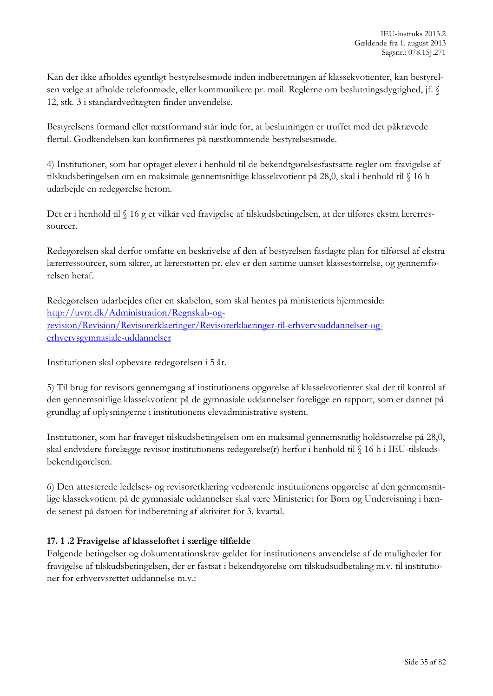Kan der ikke afholdes egentligt bestyrelsesmøde inden indberetningen af klassekvotienter, kan bestyrelsen vælge at afholde telefonmøde, eller kommunikere pr. mail. Reglerne om beslutningsdygtighed, jf. § 12, stk. 3 i standardvedtægten finder anvendelse.

Bestyrelsens formand eller næstformand står inde for, at beslutningen er truffet med det påkrævede flertal. Godkendelsen kan konfirmeres på næstkommende bestyrelsesmøde.

4) Institutioner, som har optaget elever i henhold til de bekendtgørelsesfastsatte regler om fravigelse af tilskudsbetingelsen om en maksimale gennemsnitlige klassekvotient på 28,0, skal i henhold til § 16 h udarbejde en redegørelse herom.

Det er i henhold til § 16 g et vilkår ved fravigelse af tilskudsbetingelsen, at der tilføres ekstra lærerressourcer.

Redegørelsen skal derfor omfatte en beskrivelse af den af bestyrelsen fastlagte plan for tilførsel af ekstra lærerressourcer, som sikrer, at lærerstøtten pr. elev er den samme uanset klassestørrelse, og gennemførelsen heraf.

Redegørelsen udarbejdes efter en skabelon, som skal hentes på ministeriets hjemmeside: [http://uvm.dk/Administration/Regnskab-og](http://uvm.dk/Administration/Regnskab-og-revision/Revision/Revisorerklaeringer/Revisorerklaeringer-til-erhvervsuddannelser-og-erhvervsgymnasiale-uddannelser)[revision/Revision/Revisorerklaeringer/Revisorerklaeringer-til-erhvervsuddannelser-og](http://uvm.dk/Administration/Regnskab-og-revision/Revision/Revisorerklaeringer/Revisorerklaeringer-til-erhvervsuddannelser-og-erhvervsgymnasiale-uddannelser)[erhvervsgymnasiale-uddannelser](http://uvm.dk/Administration/Regnskab-og-revision/Revision/Revisorerklaeringer/Revisorerklaeringer-til-erhvervsuddannelser-og-erhvervsgymnasiale-uddannelser)

Institutionen skal opbevare redegørelsen i 5 år.

5) Til brug for revisors gennemgang af institutionens opgørelse af klassekvotienter skal der til kontrol af den gennemsnitlige klassekvotient på de gymnasiale uddannelser foreligge en rapport, som er dannet på grundlag af oplysningerne i institutionens elevadministrative system.

Institutioner, som har fraveget tilskudsbetingelsen om en maksimal gennemsnitlig holdstørrelse på 28,0, skal endvidere forelægge revisor institutionens redegørelse(r) herfor i henhold til § 16 h i IEU-tilskudsbekendtgørelsen.

6) Den attesterede ledelses- og revisorerklæring vedrørende institutionens opgørelse af den gennemsnitlige klassekvotient på de gymnasiale uddannelser skal være Ministeriet for Børn og Undervisning i hænde senest på datoen for indberetning af aktivitet for 3. kvartal.

#### <span id="page-34-0"></span>**17. 1 .2 Fravigelse af klasseloftet i særlige tilfælde**

Følgende betingelser og dokumentationskrav gælder for institutionens anvendelse af de muligheder for fravigelse af tilskudsbetingelsen, der er fastsat i bekendtgørelse om tilskudsudbetaling m.v. til institutioner for erhvervsrettet uddannelse m.v.: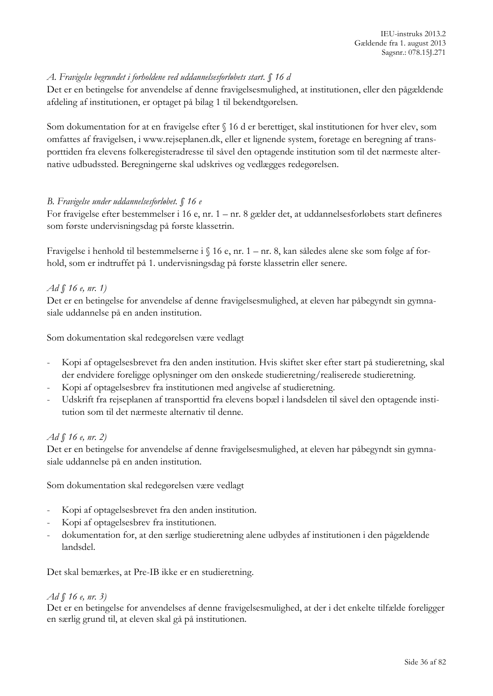#### *A. Fravigelse begrundet i forholdene ved uddannelsesforløbets start. § 16 d*

Det er en betingelse for anvendelse af denne fravigelsesmulighed, at institutionen, eller den pågældende afdeling af institutionen, er optaget på bilag 1 til bekendtgørelsen.

Som dokumentation for at en fravigelse efter § 16 d er berettiget, skal institutionen for hver elev, som omfattes af fravigelsen, i www.rejseplanen.dk, eller et lignende system, foretage en beregning af transporttiden fra elevens folkeregisteradresse til såvel den optagende institution som til det nærmeste alternative udbudssted. Beregningerne skal udskrives og vedlægges redegørelsen.

#### *B. Fravigelse under uddannelsesforløbet. § 16 e*

For fravigelse efter bestemmelser i 16 e, nr. 1 – nr. 8 gælder det, at uddannelsesforløbets start defineres som første undervisningsdag på første klassetrin.

Fravigelse i henhold til bestemmelserne i § 16 e, nr. 1 – nr. 8, kan således alene ske som følge af forhold, som er indtruffet på 1. undervisningsdag på første klassetrin eller senere.

#### *Ad § 16 e, nr. 1)*

Det er en betingelse for anvendelse af denne fravigelsesmulighed, at eleven har påbegyndt sin gymnasiale uddannelse på en anden institution.

Som dokumentation skal redegørelsen være vedlagt

- Kopi af optagelsesbrevet fra den anden institution. Hvis skiftet sker efter start på studieretning, skal der endvidere foreligge oplysninger om den ønskede studieretning/realiserede studieretning.
- Kopi af optagelsesbrev fra institutionen med angivelse af studieretning.
- Udskrift fra rejseplanen af transporttid fra elevens bopæl i landsdelen til såvel den optagende institution som til det nærmeste alternativ til denne.

#### *Ad § 16 e, nr. 2)*

Det er en betingelse for anvendelse af denne fravigelsesmulighed, at eleven har påbegyndt sin gymnasiale uddannelse på en anden institution.

Som dokumentation skal redegørelsen være vedlagt

- Kopi af optagelsesbrevet fra den anden institution.
- Kopi af optagelsesbrev fra institutionen.
- dokumentation for, at den særlige studieretning alene udbydes af institutionen i den pågældende landsdel.

Det skal bemærkes, at Pre-IB ikke er en studieretning.

#### *Ad § 16 e, nr. 3)*

Det er en betingelse for anvendelses af denne fravigelsesmulighed, at der i det enkelte tilfælde foreligger en særlig grund til, at eleven skal gå på institutionen.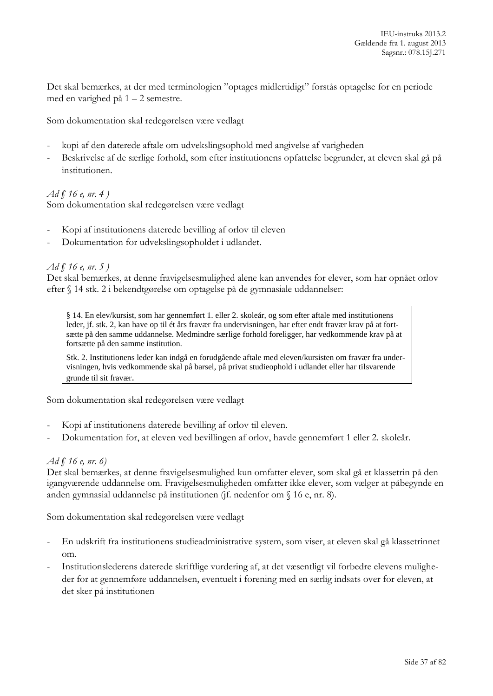Det skal bemærkes, at der med terminologien "optages midlertidigt" forstås optagelse for en periode med en varighed på 1 – 2 semestre.

Som dokumentation skal redegørelsen være vedlagt

- kopi af den daterede aftale om udvekslingsophold med angivelse af varigheden
- Beskrivelse af de særlige forhold, som efter institutionens opfattelse begrunder, at eleven skal gå på institutionen.

#### *Ad § 16 e, nr. 4 )*

Som dokumentation skal redegørelsen være vedlagt

- Kopi af institutionens daterede bevilling af orlov til eleven
- Dokumentation for udvekslingsopholdet i udlandet.

#### *Ad § 16 e, nr. 5 )*

Det skal bemærkes, at denne fravigelsesmulighed alene kan anvendes for elever, som har opnået orlov efter § 14 stk. 2 i bekendtgørelse om optagelse på de gymnasiale uddannelser:

§ 14. En elev/kursist, som har gennemført 1. eller 2. skoleår, og som efter aftale med institutionens leder, jf. stk. 2, kan have op til ét års fravær fra undervisningen, har efter endt fravær krav på at fortsætte på den samme uddannelse. Medmindre særlige forhold foreligger, har vedkommende krav på at fortsætte på den samme institution.

Stk. 2. Institutionens leder kan indgå en forudgående aftale med eleven/kursisten om fravær fra undervisningen, hvis vedkommende skal på barsel, på privat studieophold i udlandet eller har tilsvarende grunde til sit fravær.

Som dokumentation skal redegørelsen være vedlagt

- Kopi af institutionens daterede bevilling af orlov til eleven.
- Dokumentation for, at eleven ved bevillingen af orlov, havde gennemført 1 eller 2. skoleår.

#### *Ad § 16 e, nr. 6)*

Det skal bemærkes, at denne fravigelsesmulighed kun omfatter elever, som skal gå et klassetrin på den igangværende uddannelse om. Fravigelsesmuligheden omfatter ikke elever, som vælger at påbegynde en anden gymnasial uddannelse på institutionen (jf. nedenfor om § 16 e, nr. 8).

Som dokumentation skal redegørelsen være vedlagt

- En udskrift fra institutionens studieadministrative system, som viser, at eleven skal gå klassetrinnet om.
- Institutionslederens daterede skriftlige vurdering af, at det væsentligt vil forbedre elevens muligheder for at gennemføre uddannelsen, eventuelt i forening med en særlig indsats over for eleven, at det sker på institutionen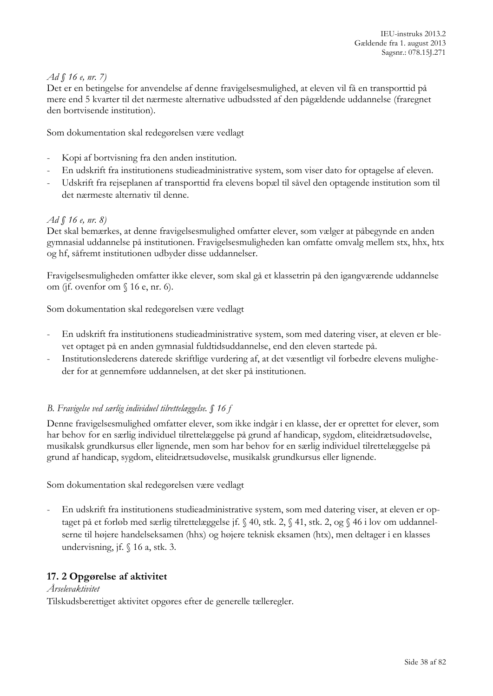## *Ad § 16 e, nr. 7)*

Det er en betingelse for anvendelse af denne fravigelsesmulighed, at eleven vil få en transporttid på mere end 5 kvarter til det nærmeste alternative udbudssted af den pågældende uddannelse (fraregnet den bortvisende institution).

Som dokumentation skal redegørelsen være vedlagt

- Kopi af bortvisning fra den anden institution.
- En udskrift fra institutionens studieadministrative system, som viser dato for optagelse af eleven.
- Udskrift fra rejseplanen af transporttid fra elevens bopæl til såvel den optagende institution som til det nærmeste alternativ til denne.

#### *Ad § 16 e, nr. 8)*

Det skal bemærkes, at denne fravigelsesmulighed omfatter elever, som vælger at påbegynde en anden gymnasial uddannelse på institutionen. Fravigelsesmuligheden kan omfatte omvalg mellem stx, hhx, htx og hf, såfremt institutionen udbyder disse uddannelser.

Fravigelsesmuligheden omfatter ikke elever, som skal gå et klassetrin på den igangværende uddannelse om (jf. ovenfor om § 16 e, nr. 6).

Som dokumentation skal redegørelsen være vedlagt

- En udskrift fra institutionens studieadministrative system, som med datering viser, at eleven er blevet optaget på en anden gymnasial fuldtidsuddannelse, end den eleven startede på.
- Institutionslederens daterede skriftlige vurdering af, at det væsentligt vil forbedre elevens muligheder for at gennemføre uddannelsen, at det sker på institutionen.

# *B. Fravigelse ved særlig individuel tilrettelæggelse. § 16 f*

Denne fravigelsesmulighed omfatter elever, som ikke indgår i en klasse, der er oprettet for elever, som har behov for en særlig individuel tilrettelæggelse på grund af handicap, sygdom, eliteidrætsudøvelse, musikalsk grundkursus eller lignende, men som har behov for en særlig individuel tilrettelæggelse på grund af handicap, sygdom, eliteidrætsudøvelse, musikalsk grundkursus eller lignende.

Som dokumentation skal redegørelsen være vedlagt

- En udskrift fra institutionens studieadministrative system, som med datering viser, at eleven er optaget på et forløb med særlig tilrettelæggelse jf. § 40, stk. 2, § 41, stk. 2, og § 46 i lov om uddannelserne til højere handelseksamen (hhx) og højere teknisk eksamen (htx), men deltager i en klasses undervisning, jf. § 16 a, stk. 3.

# **17. 2 Opgørelse af aktivitet**

#### *Årselevaktivitet*

Tilskudsberettiget aktivitet opgøres efter de generelle tælleregler.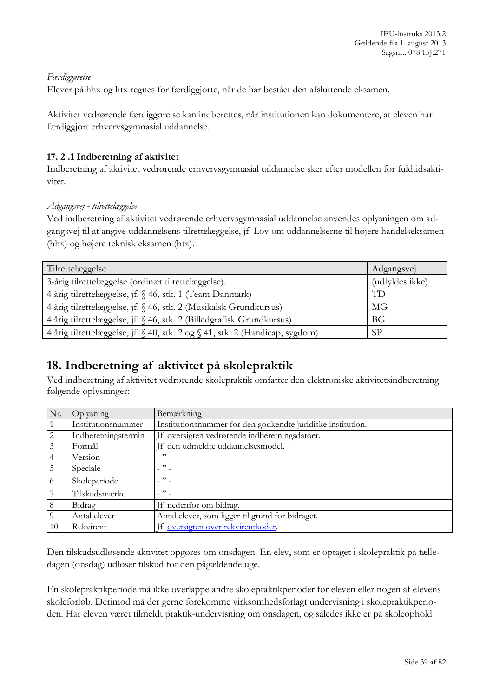## *Færdiggørelse*

Elever på hhx og htx regnes for færdiggjorte, når de har bestået den afsluttende eksamen.

Aktivitet vedrørende færdiggørelse kan indberettes, når institutionen kan dokumentere, at eleven har færdiggjort erhvervsgymnasial uddannelse.

## **17. 2 .1 Indberetning af aktivitet**

Indberetning af aktivitet vedrørende erhvervsgymnasial uddannelse sker efter modellen for fuldtidsaktivitet.

### *Adgangsvej - tilrettelæggelse*

Ved indberetning af aktivitet vedrørende erhvervsgymnasial uddannelse anvendes oplysningen om adgangsvej til at angive uddannelsens tilrettelæggelse, jf. Lov om uddannelserne til højere handelseksamen (hhx) og højere teknisk eksamen (htx).

| Tilrettelæggelse                                                             | Adgangsvej      |
|------------------------------------------------------------------------------|-----------------|
| 3-årig tilrettelæggelse (ordinær tilrettelæggelse).                          | (udfyldes ikke) |
| 4 årig tilrettelæggelse, jf. § 46, stk. 1 (Team Danmark)                     | TD              |
| 4 årig tilrettelæggelse, jf. § 46, stk. 2 (Musikalsk Grundkursus)            | <b>MG</b>       |
| 4 årig tilrettelæggelse, jf. § 46, stk. 2 (Billedgrafisk Grundkursus)        | <b>BG</b>       |
| 4 årig tilrettelæggelse, jf. § 40, stk. 2 og § 41, stk. 2 (Handicap, sygdom) | SP              |

# **18. Indberetning af aktivitet på skolepraktik**

Ved indberetning af aktivitet vedrørende skolepraktik omfatter den elektroniske aktivitetsindberetning følgende oplysninger:

| Nr.            | Oplysning           | <b>Bemærkning</b>                                           |
|----------------|---------------------|-------------------------------------------------------------|
|                | Institutionsnummer  | Institutionsnummer for den godkendte juridiske institution. |
| 2              | Indberetningstermin | If. oversigten vedrørende indberetningsdatoer.              |
| 3              | Formål              | Jf. den udmeldte uddannelsesmodel.                          |
| $\overline{4}$ | Version             | $\overline{\phantom{1}}$                                    |
| -5             | Speciale            | $\cdot$ " $\cdot$                                           |
| 6              | Skoleperiode        | $\overline{\mathcal{P}}$                                    |
| . 7            | Tilskudsmærke       | $\mathcal{P}$                                               |
| 8              | Bidrag              | If. nedenfor om bidrag.                                     |
| 9              | Antal elever        | Antal elever, som ligger til grund for bidraget.            |
| 10             | Rekvirent           | Jf. oversigten over rekvirentkoder.                         |

Den tilskudsudløsende aktivitet opgøres om onsdagen. En elev, som er optaget i skolepraktik på tælledagen (onsdag) udløser tilskud for den pågældende uge.

En skolepraktikperiode må ikke overlappe andre skolepraktikperioder for eleven eller nogen af elevens skoleforløb. Derimod må der gerne forekomme virksomhedsforlagt undervisning i skolepraktikperioden. Har eleven været tilmeldt praktik-undervisning om onsdagen, og således ikke er på skoleophold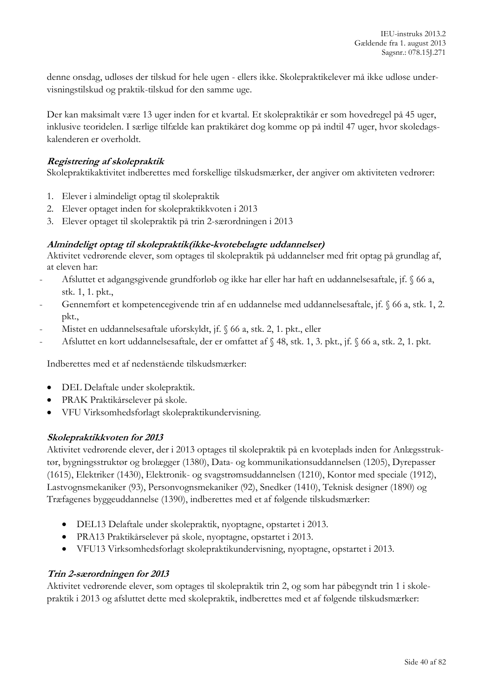denne onsdag, udløses der tilskud for hele ugen - ellers ikke. Skolepraktikelever må ikke udløse undervisningstilskud og praktik-tilskud for den samme uge.

Der kan maksimalt være 13 uger inden for et kvartal. Et skolepraktikår er som hovedregel på 45 uger, inklusive teoridelen. I særlige tilfælde kan praktikåret dog komme op på indtil 47 uger, hvor skoledagskalenderen er overholdt.

# **Registrering af skolepraktik**

Skolepraktikaktivitet indberettes med forskellige tilskudsmærker, der angiver om aktiviteten vedrører:

- 1. Elever i almindeligt optag til skolepraktik
- 2. Elever optaget inden for skolepraktikkvoten i 2013
- 3. Elever optaget til skolepraktik på trin 2-særordningen i 2013

# **Almindeligt optag til skolepraktik(ikke-kvotebelagte uddannelser)**

Aktivitet vedrørende elever, som optages til skolepraktik på uddannelser med frit optag på grundlag af, at eleven har:

- Afsluttet et adgangsgivende grundforløb og ikke har eller har haft en uddannelsesaftale, jf. § 66 a, stk. 1, 1. pkt.,
- Gennemført et kompetencegivende trin af en uddannelse med uddannelsesaftale, jf. § 66 a, stk. 1, 2. pkt.,
- Mistet en uddannelsesaftale uforskyldt, jf. § 66 a, stk. 2, 1. pkt., eller
- Afsluttet en kort uddannelsesaftale, der er omfattet af § 48, stk. 1, 3. pkt., jf. § 66 a, stk. 2, 1. pkt.

Indberettes med et af nedenstående tilskudsmærker:

- DEL Delaftale under skolepraktik.
- PRAK Praktikårselever på skole.
- VFU Virksomhedsforlagt skolepraktikundervisning.

# **Skolepraktikkvoten for 2013**

Aktivitet vedrørende elever, der i 2013 optages til skolepraktik på en kvoteplads inden for Anlægsstruktør, bygningsstruktør og brolægger (1380), Data- og kommunikationsuddannelsen (1205), Dyrepasser (1615), Elektriker (1430), Elektronik- og svagstrømsuddannelsen (1210), Kontor med speciale (1912), Lastvognsmekaniker (93), Personvognsmekaniker (92), Snedker (1410), Teknisk designer (1890) og Træfagenes byggeuddannelse (1390), indberettes med et af følgende tilskudsmærker:

- DEL13 Delaftale under skolepraktik, nyoptagne, opstartet i 2013.
- PRA13 Praktikårselever på skole, nyoptagne, opstartet i 2013.
- VFU13 Virksomhedsforlagt skolepraktikundervisning, nyoptagne, opstartet i 2013.

# **Trin 2-særordningen for 2013**

Aktivitet vedrørende elever, som optages til skolepraktik trin 2, og som har påbegyndt trin 1 i skolepraktik i 2013 og afsluttet dette med skolepraktik, indberettes med et af følgende tilskudsmærker: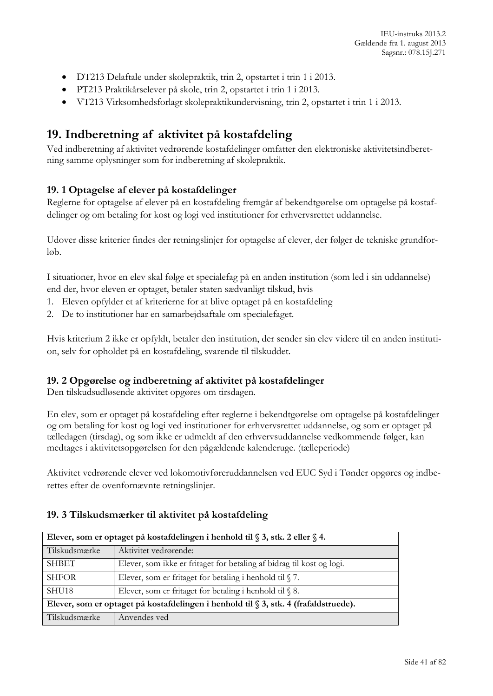- DT213 Delaftale under skolepraktik, trin 2, opstartet i trin 1 i 2013.
- PT213 Praktikårselever på skole, trin 2, opstartet i trin 1 i 2013.
- VT213 Virksomhedsforlagt skolepraktikundervisning, trin 2, opstartet i trin 1 i 2013.

# **19. Indberetning af aktivitet på kostafdeling**

Ved indberetning af aktivitet vedrørende kostafdelinger omfatter den elektroniske aktivitetsindberetning samme oplysninger som for indberetning af skolepraktik.

# **19. 1 Optagelse af elever på kostafdelinger**

Reglerne for optagelse af elever på en kostafdeling fremgår af bekendtgørelse om optagelse på kostafdelinger og om betaling for kost og logi ved institutioner for erhvervsrettet uddannelse.

Udover disse kriterier findes der retningslinjer for optagelse af elever, der følger de tekniske grundforløb.

I situationer, hvor en elev skal følge et specialefag på en anden institution (som led i sin uddannelse) end der, hvor eleven er optaget, betaler staten sædvanligt tilskud, hvis

- 1. Eleven opfylder et af kriterierne for at blive optaget på en kostafdeling
- 2. De to institutioner har en samarbejdsaftale om specialefaget.

Hvis kriterium 2 ikke er opfyldt, betaler den institution, der sender sin elev videre til en anden institution, selv for opholdet på en kostafdeling, svarende til tilskuddet.

# **19. 2 Opgørelse og indberetning af aktivitet på kostafdelinger**

Den tilskudsudløsende aktivitet opgøres om tirsdagen.

En elev, som er optaget på kostafdeling efter reglerne i bekendtgørelse om optagelse på kostafdelinger og om betaling for kost og logi ved institutioner for erhvervsrettet uddannelse, og som er optaget på tælledagen (tirsdag), og som ikke er udmeldt af den erhvervsuddannelse vedkommende følger, kan medtages i aktivitetsopgørelsen for den pågældende kalenderuge. (tælleperiode)

Aktivitet vedrørende elever ved lokomotivføreruddannelsen ved EUC Syd i Tønder opgøres og indberettes efter de ovenfornævnte retningslinjer.

| Elever, som er optaget på kostafdelingen i henhold til § 3, stk. 2 eller § 4.           |                                                                       |  |
|-----------------------------------------------------------------------------------------|-----------------------------------------------------------------------|--|
| Tilskudsmærke                                                                           | Aktivitet vedrørende:                                                 |  |
| <b>SHBET</b>                                                                            | Elever, som ikke er fritaget for betaling af bidrag til kost og logi. |  |
| <b>SHFOR</b>                                                                            | Elever, som er fritaget for betaling i henhold til $\sqrt{7}$ .       |  |
| SHU <sub>18</sub>                                                                       | Elever, som er fritaget for betaling i henhold til $\$ 8.             |  |
| Elever, som er optaget på kostafdelingen i henhold til $\S$ 3, stk. 4 (frafaldstruede). |                                                                       |  |
| Tilskudsmærke                                                                           | Anvendes ved                                                          |  |

# **19. 3 Tilskudsmærker til aktivitet på kostafdeling**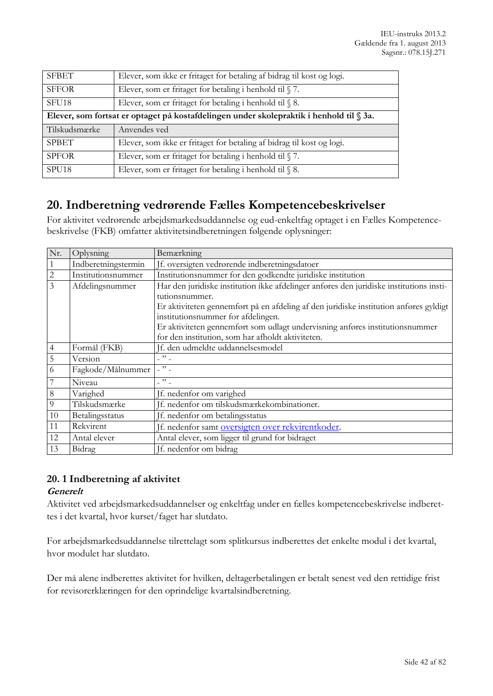| <b>SFBET</b>      | Elever, som ikke er fritaget for betaling af bidrag til kost og logi.                   |
|-------------------|-----------------------------------------------------------------------------------------|
| <b>SFFOR</b>      | Elever, som er fritaget for betaling i henhold til $\sqrt{7}$ .                         |
| SFU <sub>18</sub> | Elever, som er fritaget for betaling i henhold til $\$ 8.                               |
|                   | Elever, som fortsat er optaget på kostafdelingen under skolepraktik i henhold til § 3a. |
| Tilskudsmærke     | Anvendes ved                                                                            |
| <b>SPBET</b>      | Elever, som ikke er fritaget for betaling af bidrag til kost og logi.                   |
| <b>SPFOR</b>      | Elever, som er fritaget for betaling i henhold til $\sqrt{7}$ .                         |
| SPU <sub>18</sub> | Elever, som er fritaget for betaling i henhold til $\$ 8.                               |

# **20. Indberetning vedrørende Fælles Kompetencebeskrivelser**

For aktivitet vedrørende arbejdsmarkedsuddannelse og eud-enkeltfag optaget i en Fælles Kompetencebeskrivelse (FKB) omfatter aktivitetsindberetningen følgende oplysninger:

| Nr.            | Oplysning           | Bemærkning                                                                              |  |  |
|----------------|---------------------|-----------------------------------------------------------------------------------------|--|--|
|                | Indberetningstermin | If. oversigten vedrørende indberetningsdatoer                                           |  |  |
| $\overline{c}$ | Institutionsnummer  | Institutionsnummer for den godkendte juridiske institution                              |  |  |
| $\overline{3}$ | Afdelingsnummer     | Har den juridiske institution ikke afdelinger anføres den juridiske institutions insti- |  |  |
|                |                     | tutionsnummer.                                                                          |  |  |
|                |                     | Er aktiviteten gennemført på en afdeling af den juridiske institution anføres gyldigt   |  |  |
|                |                     | institutionsnummer for afdelingen.                                                      |  |  |
|                |                     | Er aktiviteten gennemført som udlagt undervisning anføres institutionsnummer            |  |  |
|                |                     | for den institution, som har afholdt aktiviteten.                                       |  |  |
| 4              | Formål (FKB)        | Jf. den udmeldte uddannelsesmodel                                                       |  |  |
| 5              | Version             | $-$ " $-$                                                                               |  |  |
| 6              | Fagkode/Målnummer   | $-$ " $-$                                                                               |  |  |
|                | Niveau              | $\overline{\phantom{a}}$ " $\overline{\phantom{a}}$                                     |  |  |
| 8              | Varighed            | Jf. nedenfor om varighed                                                                |  |  |
| 9              | Tilskudsmærke       | If. nedenfor om tilskudsmærkekombinationer.                                             |  |  |
| 10             | Betalingsstatus     | Jf. nedenfor om betalingsstatus                                                         |  |  |
| 11             | Rekvirent           | If. nedenfor samt oversigten over rekvirentkoder.                                       |  |  |
| 12             | Antal elever        | Antal elever, som ligger til grund for bidraget                                         |  |  |
| 13             | Bidrag              | Jf. nedenfor om bidrag                                                                  |  |  |

# **20. 1 Indberetning af aktivitet**

# **Generelt**

Aktivitet ved arbejdsmarkedsuddannelser og enkeltfag under en fælles kompetencebeskrivelse indberettes i det kvartal, hvor kurset/faget har slutdato.

For arbejdsmarkedsuddannelse tilrettelagt som splitkursus indberettes det enkelte modul i det kvartal, hvor modulet har slutdato.

Der må alene indberettes aktivitet for hvilken, deltagerbetalingen er betalt senest ved den rettidige frist for revisorerklæringen for den oprindelige kvartalsindberetning.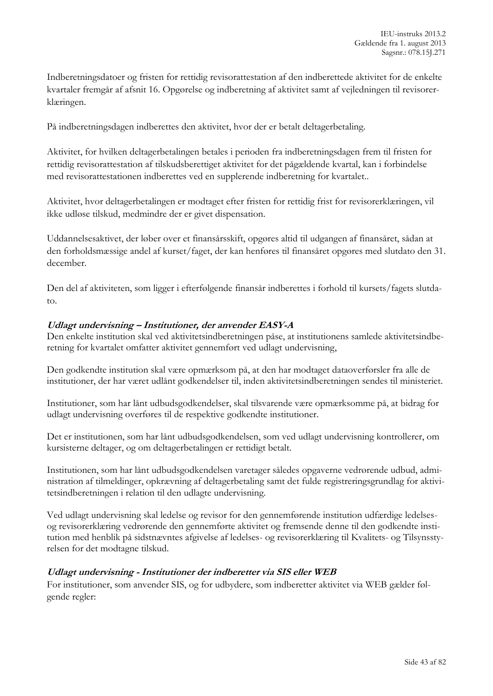Indberetningsdatoer og fristen for rettidig revisorattestation af den indberettede aktivitet for de enkelte kvartaler fremgår af afsnit 16. Opgørelse og indberetning af aktivitet samt af vejledningen til revisorerklæringen.

På indberetningsdagen indberettes den aktivitet, hvor der er betalt deltagerbetaling.

Aktivitet, for hvilken deltagerbetalingen betales i perioden fra indberetningsdagen frem til fristen for rettidig revisorattestation af tilskudsberettiget aktivitet for det pågældende kvartal, kan i forbindelse med revisorattestationen indberettes ved en supplerende indberetning for kvartalet..

Aktivitet, hvor deltagerbetalingen er modtaget efter fristen for rettidig frist for revisorerklæringen, vil ikke udløse tilskud, medmindre der er givet dispensation.

Uddannelsesaktivet, der løber over et finansårsskift, opgøres altid til udgangen af finansåret, sådan at den forholdsmæssige andel af kurset/faget, der kan henføres til finansåret opgøres med slutdato den 31. december.

Den del af aktiviteten, som ligger i efterfølgende finansår indberettes i forhold til kursets/fagets slutdato.

### **Udlagt undervisning – Institutioner, der anvender EASY-A**

Den enkelte institution skal ved aktivitetsindberetningen påse, at institutionens samlede aktivitetsindberetning for kvartalet omfatter aktivitet gennemført ved udlagt undervisning,

Den godkendte institution skal være opmærksom på, at den har modtaget dataoverførsler fra alle de institutioner, der har været udlånt godkendelser til, inden aktivitetsindberetningen sendes til ministeriet.

Institutioner, som har lånt udbudsgodkendelser, skal tilsvarende være opmærksomme på, at bidrag for udlagt undervisning overføres til de respektive godkendte institutioner.

Det er institutionen, som har lånt udbudsgodkendelsen, som ved udlagt undervisning kontrollerer, om kursisterne deltager, og om deltagerbetalingen er rettidigt betalt.

Institutionen, som har lånt udbudsgodkendelsen varetager således opgaverne vedrørende udbud, administration af tilmeldinger, opkrævning af deltagerbetaling samt det fulde registreringsgrundlag for aktivitetsindberetningen i relation til den udlagte undervisning.

Ved udlagt undervisning skal ledelse og revisor for den gennemførende institution udfærdige ledelsesog revisorerklæring vedrørende den gennemførte aktivitet og fremsende denne til den godkendte institution med henblik på sidstnævntes afgivelse af ledelses- og revisorerklæring til Kvalitets- og Tilsynsstyrelsen for det modtagne tilskud.

#### **Udlagt undervisning - Institutioner der indberetter via SIS eller WEB**

For institutioner, som anvender SIS, og for udbydere, som indberetter aktivitet via WEB gælder følgende regler: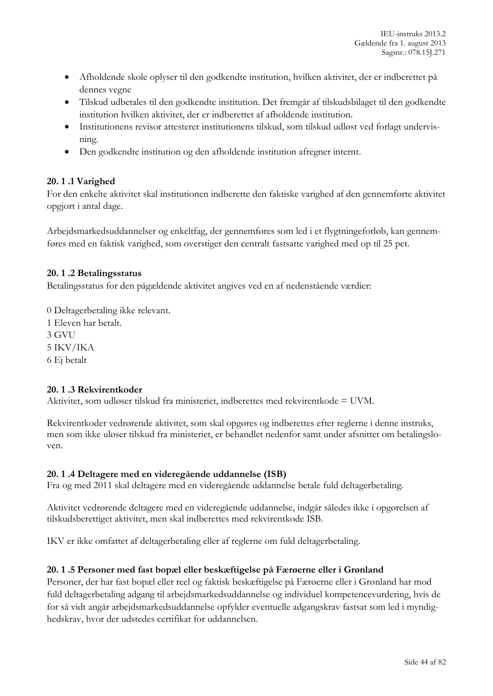- Afholdende skole oplyser til den godkendte institution, hvilken aktivitet, der er indberettet på dennes vegne
- Tilskud udbetales til den godkendte institution. Det fremgår af tilskudsbilaget til den godkendte institution hvilken aktivitet, der er indberettet af afholdende institution.
- Institutionens revisor attesterer institutionens tilskud, som tilskud udløst ved forlagt undervisning.
- Den godkendte institution og den afholdende institution afregner internt.

# **20. 1 .1 Varighed**

For den enkelte aktivitet skal institutionen indberette den faktiske varighed af den gennemførte aktivitet opgjort i antal dage.

Arbejdsmarkedsuddannelser og enkeltfag, der gennemføres som led i et flygtningeforløb, kan gennemføres med en faktisk varighed, som overstiger den centralt fastsatte varighed med op til 25 pct.

# **20. 1 .2 Betalingsstatus**

Betalingsstatus for den pågældende aktivitet angives ved en af nedenstående værdier:

0 Deltagerbetaling ikke relevant. 1 Eleven har betalt. 3 GVU 5 IKV/IKA 6 Ej betalt

# **20. 1 .3 Rekvirentkoder**

Aktivitet, som udløser tilskud fra ministeriet, indberettes med rekvirentkode = UVM.

Rekvirentkoder vedrørende aktivitet, som skal opgøres og indberettes efter reglerne i denne instruks, men som ikke uløser tilskud fra ministeriet, er behandlet nedenfor samt under afsnittet om betalingsloven.

# **20. 1 .4 Deltagere med en videregående uddannelse (ISB)**

Fra og med 2011 skal deltagere med en videregående uddannelse betale fuld deltagerbetaling.

Aktivitet vedrørende deltagere med en videregående uddannelse, indgår således ikke i opgørelsen af tilskudsberettiget aktivitet, men skal indberettes med rekvirentkode ISB.

IKV er ikke omfattet af deltagerbetaling eller af reglerne om fuld deltagerbetaling.

#### **20. 1 .5 Personer med fast bopæl eller beskæftigelse på Færøerne eller i Grønland**

Personer, der har fast bopæl eller reel og faktisk beskæftigelse på Færøerne eller i Grønland har mod fuld deltagerbetaling adgang til arbejdsmarkedsuddannelse og individuel kompetencevurdering, hvis de for så vidt angår arbejdsmarkedsuddannelse opfylder eventuelle adgangskrav fastsat som led i myndighedskrav, hvor der udstedes certifikat for uddannelsen.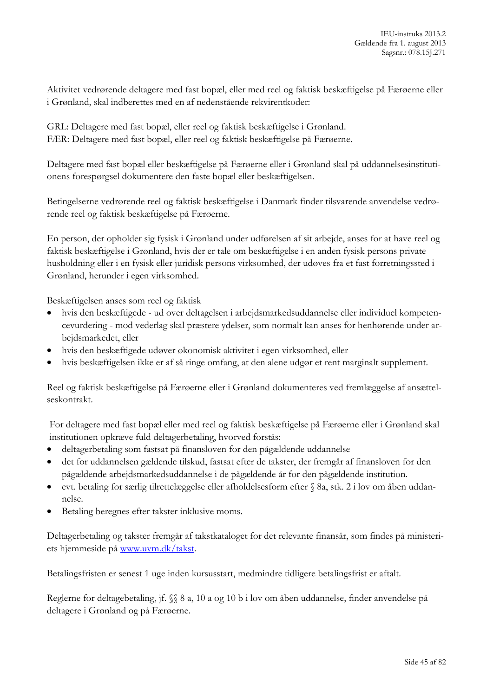Aktivitet vedrørende deltagere med fast bopæl, eller med reel og faktisk beskæftigelse på Færøerne eller i Grønland, skal indberettes med en af nedenstående rekvirentkoder:

GRL: Deltagere med fast bopæl, eller reel og faktisk beskæftigelse i Grønland. FÆR: Deltagere med fast bopæl, eller reel og faktisk beskæftigelse på Færøerne.

Deltagere med fast bopæl eller beskæftigelse på Færøerne eller i Grønland skal på uddannelsesinstitutionens forespørgsel dokumentere den faste bopæl eller beskæftigelsen.

Betingelserne vedrørende reel og faktisk beskæftigelse i Danmark finder tilsvarende anvendelse vedrørende reel og faktisk beskæftigelse på Færøerne.

En person, der opholder sig fysisk i Grønland under udførelsen af sit arbejde, anses for at have reel og faktisk beskæftigelse i Grønland, hvis der er tale om beskæftigelse i en anden fysisk persons private husholdning eller i en fysisk eller juridisk persons virksomhed, der udøves fra et fast forretningssted i Grønland, herunder i egen virksomhed.

Beskæftigelsen anses som reel og faktisk

- hvis den beskæftigede ud over deltagelsen i arbejdsmarkedsuddannelse eller individuel kompetencevurdering - mod vederlag skal præstere ydelser, som normalt kan anses for henhørende under arbejdsmarkedet, eller
- hvis den beskæftigede udøver økonomisk aktivitet i egen virksomhed, eller
- hvis beskæftigelsen ikke er af så ringe omfang, at den alene udgør et rent marginalt supplement.

Reel og faktisk beskæftigelse på Færøerne eller i Grønland dokumenteres ved fremlæggelse af ansættelseskontrakt.

For deltagere med fast bopæl eller med reel og faktisk beskæftigelse på Færøerne eller i Grønland skal institutionen opkræve fuld deltagerbetaling, hvorved forstås:

- deltagerbetaling som fastsat på finansloven for den pågældende uddannelse
- det for uddannelsen gældende tilskud, fastsat efter de takster, der fremgår af finansloven for den pågældende arbejdsmarkedsuddannelse i de pågældende år for den pågældende institution.
- evt. betaling for særlig tilrettelæggelse eller afholdelsesform efter § 8a, stk. 2 i lov om åben uddannelse.
- Betaling beregnes efter takster inklusive moms.

Deltagerbetaling og takster fremgår af takstkataloget for det relevante finansår, som findes på ministeriets hjemmeside på [www.uvm.dk/takst.](http://www.uvm.dk/takst)

Betalingsfristen er senest 1 uge inden kursusstart, medmindre tidligere betalingsfrist er aftalt.

Reglerne for deltagebetaling, jf. §§ 8 a, 10 a og 10 b i lov om åben uddannelse, finder anvendelse på deltagere i Grønland og på Færøerne.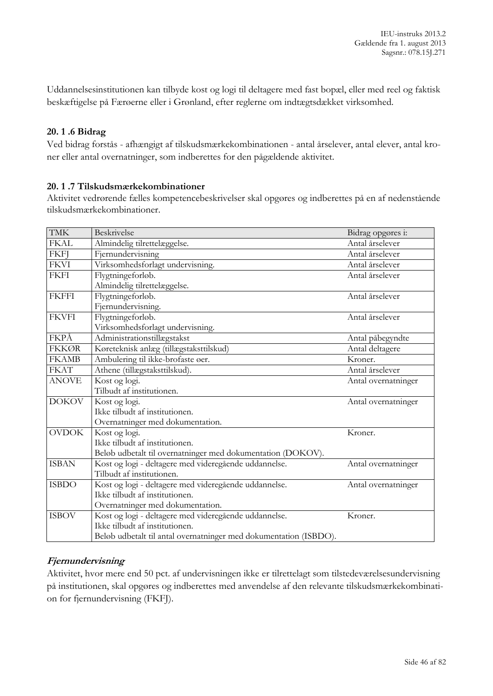Uddannelsesinstitutionen kan tilbyde kost og logi til deltagere med fast bopæl, eller med reel og faktisk beskæftigelse på Færøerne eller i Grønland, efter reglerne om indtægtsdækket virksomhed.

## **20. 1 .6 Bidrag**

Ved bidrag forstås - afhængigt af tilskudsmærkekombinationen - antal årselever, antal elever, antal kroner eller antal overnatninger, som indberettes for den pågældende aktivitet.

### **20. 1 .7 Tilskudsmærkekombinationer**

Aktivitet vedrørende fælles kompetencebeskrivelser skal opgøres og indberettes på en af nedenstående tilskudsmærkekombinationer.

| <b>TMK</b>   | Beskrivelse                                                       | Bidrag opgøres i:   |
|--------------|-------------------------------------------------------------------|---------------------|
| <b>FKAL</b>  | Almindelig tilrettelæggelse.                                      | Antal årselever     |
| <b>FKFJ</b>  | Fjernundervisning                                                 | Antal årselever     |
| <b>FKVI</b>  | Virksomhedsforlagt undervisning.                                  | Antal årselever     |
| <b>FKFI</b>  | Flygtningeforløb.                                                 | Antal årselever     |
|              | Almindelig tilrettelæggelse.                                      |                     |
| <b>FKFFI</b> | Flygtningeforløb.                                                 | Antal årselever     |
|              | Fjernundervisning.                                                |                     |
| <b>FKVFI</b> | Flygtningeforløb.                                                 | Antal årselever     |
|              | Virksomhedsforlagt undervisning.                                  |                     |
| FKPÅ         | Administrationstillægstakst                                       | Antal påbegyndte    |
| <b>FKKØR</b> | Køreteknisk anlæg (tillægstaksttilskud)                           | Antal deltagere     |
| <b>FKAMB</b> | Ambulering til ikke-brofaste øer.                                 | Kroner.             |
| <b>FKAT</b>  | Athene (tillægstaksttilskud).                                     | Antal årselever     |
| <b>ANOVE</b> | Kost og logi.                                                     | Antal overnatninger |
|              | Tilbudt af institutionen.                                         |                     |
| <b>DOKOV</b> | Kost og logi.                                                     | Antal overnatninger |
|              | Ikke tilbudt af institutionen.                                    |                     |
|              | Overnatninger med dokumentation.                                  |                     |
| <b>OVDOK</b> | Kost og logi.                                                     | Kroner.             |
|              | Ikke tilbudt af institutionen.                                    |                     |
|              | Beløb udbetalt til overnatninger med dokumentation (DOKOV).       |                     |
| <b>ISBAN</b> | Kost og logi - deltagere med videregående uddannelse.             | Antal overnatninger |
|              | Tilbudt af institutionen.                                         |                     |
| <b>ISBDO</b> | Kost og logi - deltagere med videregående uddannelse.             | Antal overnatninger |
|              | Ikke tilbudt af institutionen.                                    |                     |
|              | Overnatninger med dokumentation.                                  |                     |
| <b>ISBOV</b> | Kost og logi - deltagere med videregående uddannelse.             | Kroner.             |
|              | Ikke tilbudt af institutionen.                                    |                     |
|              | Beløb udbetalt til antal overnatninger med dokumentation (ISBDO). |                     |

# **Fjernundervisning**

Aktivitet, hvor mere end 50 pct. af undervisningen ikke er tilrettelagt som tilstedeværelsesundervisning på institutionen, skal opgøres og indberettes med anvendelse af den relevante tilskudsmærkekombination for fjernundervisning (FKFJ).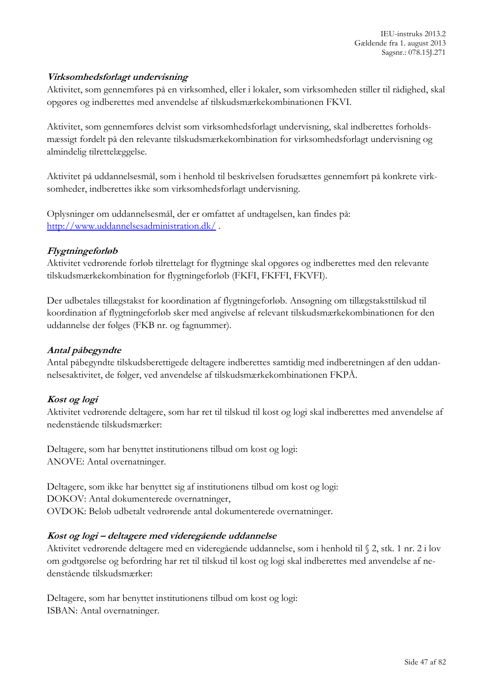## **Virksomhedsforlagt undervisning**

Aktivitet, som gennemføres på en virksomhed, eller i lokaler, som virksomheden stiller til rådighed, skal opgøres og indberettes med anvendelse af tilskudsmærkekombinationen FKVI.

Aktivitet, som gennemføres delvist som virksomhedsforlagt undervisning, skal indberettes forholdsmæssigt fordelt på den relevante tilskudsmærkekombination for virksomhedsforlagt undervisning og almindelig tilrettelæggelse.

Aktivitet på uddannelsesmål, som i henhold til beskrivelsen forudsættes gennemført på konkrete virksomheder, indberettes ikke som virksomhedsforlagt undervisning.

Oplysninger om uddannelsesmål, der er omfattet af undtagelsen, kan findes på: <http://www.uddannelsesadministration.dk/> .

### **Flygtningeforløb**

Aktivitet vedrørende forløb tilrettelagt for flygtninge skal opgøres og indberettes med den relevante tilskudsmærkekombination for flygtningeforløb (FKFI, FKFFI, FKVFI).

Der udbetales tillægstakst for koordination af flygtningeforløb. Ansøgning om tillægstaksttilskud til koordination af flygtningeforløb sker med angivelse af relevant tilskudsmærkekombinationen for den uddannelse der følges (FKB nr. og fagnummer).

## **Antal påbegyndte**

Antal påbegyndte tilskudsberettigede deltagere indberettes samtidig med indberetningen af den uddannelsesaktivitet, de følger, ved anvendelse af tilskudsmærkekombinationen FKPÅ.

# **Kost og logi**

Aktivitet vedrørende deltagere, som har ret til tilskud til kost og logi skal indberettes med anvendelse af nedenstående tilskudsmærker:

Deltagere, som har benyttet institutionens tilbud om kost og logi: ANOVE: Antal overnatninger.

Deltagere, som ikke har benyttet sig af institutionens tilbud om kost og logi: DOKOV: Antal dokumenterede overnatninger, OVDOK: Beløb udbetalt vedrørende antal dokumenterede overnatninger.

#### **Kost og logi – deltagere med videregående uddannelse**

Aktivitet vedrørende deltagere med en videregående uddannelse, som i henhold til § 2, stk. 1 nr. 2 i lov om godtgørelse og befordring har ret til tilskud til kost og logi skal indberettes med anvendelse af nedenstående tilskudsmærker:

Deltagere, som har benyttet institutionens tilbud om kost og logi: ISBAN: Antal overnatninger.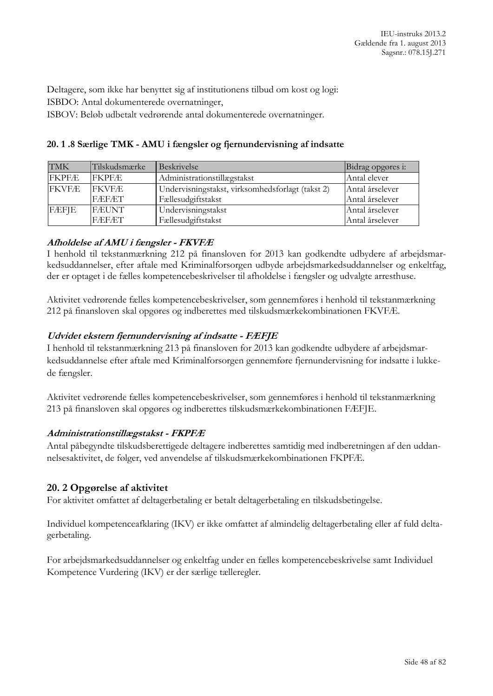Deltagere, som ikke har benyttet sig af institutionens tilbud om kost og logi: ISBDO: Antal dokumenterede overnatninger,

ISBOV: Beløb udbetalt vedrørende antal dokumenterede overnatninger.

### **20. 1 .8 Særlige TMK - AMU i fængsler og fjernundervisning af indsatte**

| <b>TMK</b>   | Tilskudsmærke | Beskrivelse                                      | Bidrag opgøres i: |
|--------------|---------------|--------------------------------------------------|-------------------|
| <b>FKPFÆ</b> | <b>FKPFÆ</b>  | Administrationstillægstakst                      | Antal elever      |
| <b>FKVFÆ</b> | <b>IFKVFÆ</b> | Undervisningstakst, virksomhedsforlagt (takst 2) | Antal årselever   |
|              | <b>FÆFÆT</b>  | Fællesudgiftstakst                               | Antal årselever   |
| FÆFJE        | <b>FÆUNT</b>  | Undervisningstakst                               | Antal årselever   |
|              | FÆFÆT         | Fællesudgiftstakst                               | Antal årselever   |

### **Afholdelse af AMU i fængsler - FKVFÆ**

I henhold til tekstanmærkning 212 på finansloven for 2013 kan godkendte udbydere af arbejdsmarkedsuddannelser, efter aftale med Kriminalforsorgen udbyde arbejdsmarkedsuddannelser og enkeltfag, der er optaget i de fælles kompetencebeskrivelser til afholdelse i fængsler og udvalgte arresthuse.

Aktivitet vedrørende fælles kompetencebeskrivelser, som gennemføres i henhold til tekstanmærkning 212 på finansloven skal opgøres og indberettes med tilskudsmærkekombinationen FKVFÆ.

# **Udvidet ekstern fjernundervisning af indsatte - FÆFJE**

I henhold til tekstanmærkning 213 på finansloven for 2013 kan godkendte udbydere af arbejdsmarkedsuddannelse efter aftale med Kriminalforsorgen gennemføre fjernundervisning for indsatte i lukkede fængsler.

Aktivitet vedrørende fælles kompetencebeskrivelser, som gennemføres i henhold til tekstanmærkning 213 på finansloven skal opgøres og indberettes tilskudsmærkekombinationen FÆFJE.

#### **Administrationstillægstakst - FKPFÆ**

Antal påbegyndte tilskudsberettigede deltagere indberettes samtidig med indberetningen af den uddannelsesaktivitet, de følger, ved anvendelse af tilskudsmærkekombinationen FKPFÆ.

# **20. 2 Opgørelse af aktivitet**

For aktivitet omfattet af deltagerbetaling er betalt deltagerbetaling en tilskudsbetingelse.

Individuel kompetenceafklaring (IKV) er ikke omfattet af almindelig deltagerbetaling eller af fuld deltagerbetaling.

For arbejdsmarkedsuddannelser og enkeltfag under en fælles kompetencebeskrivelse samt Individuel Kompetence Vurdering (IKV) er der særlige tælleregler.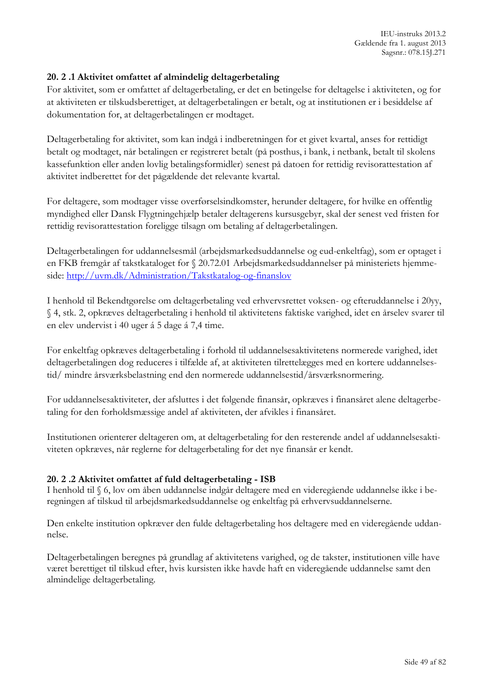## **20. 2 .1 Aktivitet omfattet af almindelig deltagerbetaling**

For aktivitet, som er omfattet af deltagerbetaling, er det en betingelse for deltagelse i aktiviteten, og for at aktiviteten er tilskudsberettiget, at deltagerbetalingen er betalt, og at institutionen er i besiddelse af dokumentation for, at deltagerbetalingen er modtaget.

Deltagerbetaling for aktivitet, som kan indgå i indberetningen for et givet kvartal, anses for rettidigt betalt og modtaget, når betalingen er registreret betalt (på posthus, i bank, i netbank, betalt til skolens kassefunktion eller anden lovlig betalingsformidler) senest på datoen for rettidig revisorattestation af aktivitet indberettet for det pågældende det relevante kvartal.

For deltagere, som modtager visse overførselsindkomster, herunder deltagere, for hvilke en offentlig myndighed eller Dansk Flygtningehjælp betaler deltagerens kursusgebyr, skal der senest ved fristen for rettidig revisorattestation foreligge tilsagn om betaling af deltagerbetalingen.

Deltagerbetalingen for uddannelsesmål (arbejdsmarkedsuddannelse og eud-enkeltfag), som er optaget i en FKB fremgår af takstkataloget for § 20.72.01 Arbejdsmarkedsuddannelser på ministeriets hjemmeside: <http://uvm.dk/Administration/Takstkatalog-og-finanslov>

I henhold til Bekendtgørelse om deltagerbetaling ved erhvervsrettet voksen- og efteruddannelse i 20yy, § 4, stk. 2, opkræves deltagerbetaling i henhold til aktivitetens faktiske varighed, idet en årselev svarer til en elev undervist i 40 uger á 5 dage á 7,4 time.

For enkeltfag opkræves deltagerbetaling i forhold til uddannelsesaktivitetens normerede varighed, idet deltagerbetalingen dog reduceres i tilfælde af, at aktiviteten tilrettelægges med en kortere uddannelsestid/ mindre årsværksbelastning end den normerede uddannelsestid/årsværksnormering.

For uddannelsesaktiviteter, der afsluttes i det følgende finansår, opkræves i finansåret alene deltagerbetaling for den forholdsmæssige andel af aktiviteten, der afvikles i finansåret.

Institutionen orienterer deltageren om, at deltagerbetaling for den resterende andel af uddannelsesaktiviteten opkræves, når reglerne for deltagerbetaling for det nye finansår er kendt.

#### **20. 2 .2 Aktivitet omfattet af fuld deltagerbetaling - ISB**

I henhold til § 6, lov om åben uddannelse indgår deltagere med en videregående uddannelse ikke i beregningen af tilskud til arbejdsmarkedsuddannelse og enkeltfag på erhvervsuddannelserne.

Den enkelte institution opkræver den fulde deltagerbetaling hos deltagere med en videregående uddannelse.

Deltagerbetalingen beregnes på grundlag af aktivitetens varighed, og de takster, institutionen ville have været berettiget til tilskud efter, hvis kursisten ikke havde haft en videregående uddannelse samt den almindelige deltagerbetaling.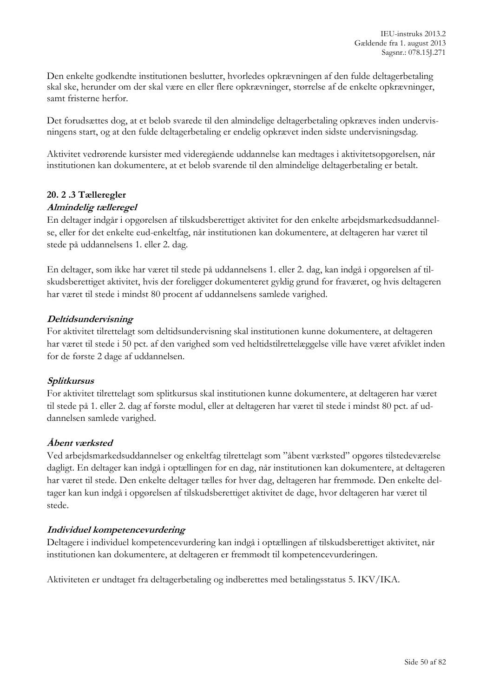Den enkelte godkendte institutionen beslutter, hvorledes opkrævningen af den fulde deltagerbetaling skal ske, herunder om der skal være en eller flere opkrævninger, størrelse af de enkelte opkrævninger, samt fristerne herfor.

Det forudsættes dog, at et beløb svarede til den almindelige deltagerbetaling opkræves inden undervisningens start, og at den fulde deltagerbetaling er endelig opkrævet inden sidste undervisningsdag.

Aktivitet vedrørende kursister med videregående uddannelse kan medtages i aktivitetsopgørelsen, når institutionen kan dokumentere, at et beløb svarende til den almindelige deltagerbetaling er betalt.

# **20. 2 .3 Tælleregler**

### **Almindelig tælleregel**

En deltager indgår i opgørelsen af tilskudsberettiget aktivitet for den enkelte arbejdsmarkedsuddannelse, eller for det enkelte eud-enkeltfag, når institutionen kan dokumentere, at deltageren har været til stede på uddannelsens 1. eller 2. dag.

En deltager, som ikke har været til stede på uddannelsens 1. eller 2. dag, kan indgå i opgørelsen af tilskudsberettiget aktivitet, hvis der foreligger dokumenteret gyldig grund for fraværet, og hvis deltageren har været til stede i mindst 80 procent af uddannelsens samlede varighed.

### **Deltidsundervisning**

For aktivitet tilrettelagt som deltidsundervisning skal institutionen kunne dokumentere, at deltageren har været til stede i 50 pct. af den varighed som ved heltidstilrettelæggelse ville have været afviklet inden for de første 2 dage af uddannelsen.

#### **Splitkursus**

For aktivitet tilrettelagt som splitkursus skal institutionen kunne dokumentere, at deltageren har været til stede på 1. eller 2. dag af første modul, eller at deltageren har været til stede i mindst 80 pct. af uddannelsen samlede varighed.

#### **Åbent værksted**

Ved arbejdsmarkedsuddannelser og enkeltfag tilrettelagt som "åbent værksted" opgøres tilstedeværelse dagligt. En deltager kan indgå i optællingen for en dag, når institutionen kan dokumentere, at deltageren har været til stede. Den enkelte deltager tælles for hver dag, deltageren har fremmøde. Den enkelte deltager kan kun indgå i opgørelsen af tilskudsberettiget aktivitet de dage, hvor deltageren har været til stede.

# **Individuel kompetencevurdering**

Deltagere i individuel kompetencevurdering kan indgå i optællingen af tilskudsberettiget aktivitet, når institutionen kan dokumentere, at deltageren er fremmødt til kompetencevurderingen.

Aktiviteten er undtaget fra deltagerbetaling og indberettes med betalingsstatus 5. IKV/IKA.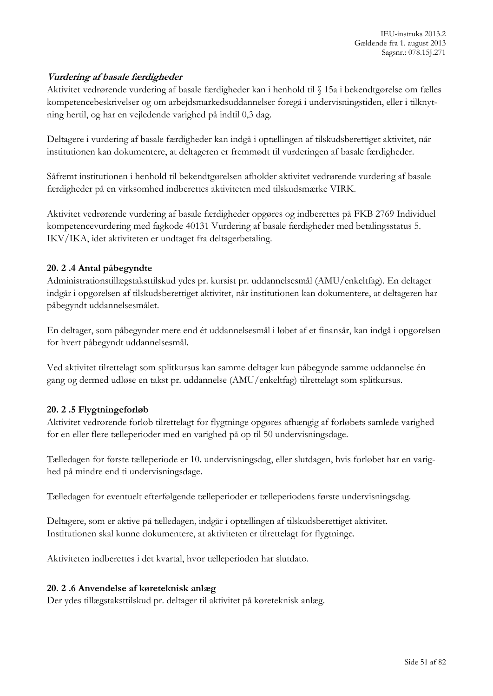# **Vurdering af basale færdigheder**

Aktivitet vedrørende vurdering af basale færdigheder kan i henhold til § 15a i bekendtgørelse om fælles kompetencebeskrivelser og om arbejdsmarkedsuddannelser foregå i undervisningstiden, eller i tilknytning hertil, og har en vejledende varighed på indtil 0,3 dag.

Deltagere i vurdering af basale færdigheder kan indgå i optællingen af tilskudsberettiget aktivitet, når institutionen kan dokumentere, at deltageren er fremmødt til vurderingen af basale færdigheder.

Såfremt institutionen i henhold til bekendtgørelsen afholder aktivitet vedrørende vurdering af basale færdigheder på en virksomhed indberettes aktiviteten med tilskudsmærke VIRK.

Aktivitet vedrørende vurdering af basale færdigheder opgøres og indberettes på FKB 2769 Individuel kompetencevurdering med fagkode 40131 Vurdering af basale færdigheder med betalingsstatus 5. IKV/IKA, idet aktiviteten er undtaget fra deltagerbetaling.

### **20. 2 .4 Antal påbegyndte**

Administrationstillægstaksttilskud ydes pr. kursist pr. uddannelsesmål (AMU/enkeltfag). En deltager indgår i opgørelsen af tilskudsberettiget aktivitet, når institutionen kan dokumentere, at deltageren har påbegyndt uddannelsesmålet.

En deltager, som påbegynder mere end ét uddannelsesmål i løbet af et finansår, kan indgå i opgørelsen for hvert påbegyndt uddannelsesmål.

Ved aktivitet tilrettelagt som splitkursus kan samme deltager kun påbegynde samme uddannelse én gang og dermed udløse en takst pr. uddannelse (AMU/enkeltfag) tilrettelagt som splitkursus.

# **20. 2 .5 Flygtningeforløb**

Aktivitet vedrørende forløb tilrettelagt for flygtninge opgøres afhængig af forløbets samlede varighed for en eller flere tælleperioder med en varighed på op til 50 undervisningsdage.

Tælledagen for første tælleperiode er 10. undervisningsdag, eller slutdagen, hvis forløbet har en varighed på mindre end ti undervisningsdage.

Tælledagen for eventuelt efterfølgende tælleperioder er tælleperiodens første undervisningsdag.

Deltagere, som er aktive på tælledagen, indgår i optællingen af tilskudsberettiget aktivitet. Institutionen skal kunne dokumentere, at aktiviteten er tilrettelagt for flygtninge.

Aktiviteten indberettes i det kvartal, hvor tælleperioden har slutdato.

#### **20. 2 .6 Anvendelse af køreteknisk anlæg**

Der ydes tillægstaksttilskud pr. deltager til aktivitet på køreteknisk anlæg.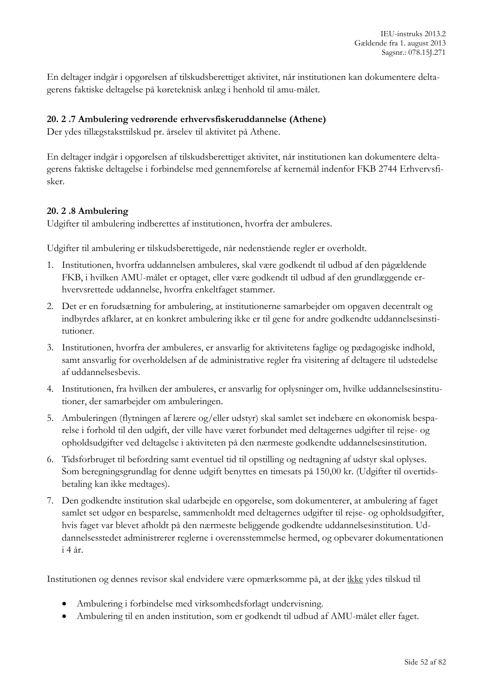En deltager indgår i opgørelsen af tilskudsberettiget aktivitet, når institutionen kan dokumentere deltagerens faktiske deltagelse på køreteknisk anlæg i henhold til amu-målet.

## **20. 2 .7 Ambulering vedrørende erhvervsfiskeruddannelse (Athene)**

Der ydes tillægstaksttilskud pr. årselev til aktivitet på Athene.

En deltager indgår i opgørelsen af tilskudsberettiget aktivitet, når institutionen kan dokumentere deltagerens faktiske deltagelse i forbindelse med gennemførelse af kernemål indenfor FKB 2744 Erhvervsfisker.

### **20. 2 .8 Ambulering**

Udgifter til ambulering indberettes af institutionen, hvorfra der ambuleres.

Udgifter til ambulering er tilskudsberettigede, når nedenstående regler er overholdt.

- 1. Institutionen, hvorfra uddannelsen ambuleres, skal være godkendt til udbud af den pågældende FKB, i hvilken AMU-målet er optaget, eller være godkendt til udbud af den grundlæggende erhvervsrettede uddannelse, hvorfra enkeltfaget stammer.
- 2. Det er en forudsætning for ambulering, at institutionerne samarbejder om opgaven decentralt og indbyrdes afklarer, at en konkret ambulering ikke er til gene for andre godkendte uddannelsesinstitutioner.
- 3. Institutionen, hvorfra der ambuleres, er ansvarlig for aktivitetens faglige og pædagogiske indhold, samt ansvarlig for overholdelsen af de administrative regler fra visitering af deltagere til udstedelse af uddannelsesbevis.
- 4. Institutionen, fra hvilken der ambuleres, er ansvarlig for oplysninger om, hvilke uddannelsesinstitutioner, der samarbejder om ambuleringen.
- 5. Ambuleringen (flytningen af lærere og/eller udstyr) skal samlet set indebære en økonomisk besparelse i forhold til den udgift, der ville have været forbundet med deltagernes udgifter til rejse- og opholdsudgifter ved deltagelse i aktiviteten på den nærmeste godkendte uddannelsesinstitution.
- 6. Tidsforbruget til befordring samt eventuel tid til opstilling og nedtagning af udstyr skal oplyses. Som beregningsgrundlag for denne udgift benyttes en timesats på 150,00 kr. (Udgifter til overtidsbetaling kan ikke medtages).
- 7. Den godkendte institution skal udarbejde en opgørelse, som dokumenterer, at ambulering af faget samlet set udgør en besparelse, sammenholdt med deltagernes udgifter til rejse- og opholdsudgifter, hvis faget var blevet afholdt på den nærmeste beliggende godkendte uddannelsesinstitution. Uddannelsesstedet administrerer reglerne i overensstemmelse hermed, og opbevarer dokumentationen i 4 år.

Institutionen og dennes revisor skal endvidere være opmærksomme på, at der ikke ydes tilskud til

- Ambulering i forbindelse med virksomhedsforlagt undervisning.
- Ambulering til en anden institution, som er godkendt til udbud af AMU-målet eller faget.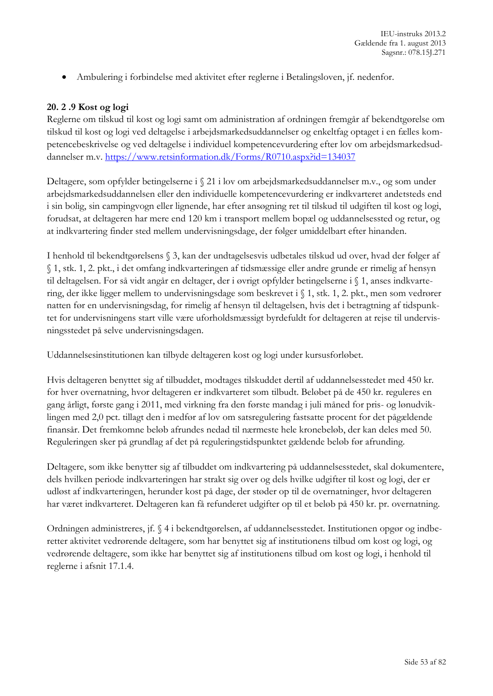Ambulering i forbindelse med aktivitet efter reglerne i Betalingsloven, jf. nedenfor.

## **20. 2 .9 Kost og logi**

Reglerne om tilskud til kost og logi samt om administration af ordningen fremgår af bekendtgørelse om tilskud til kost og logi ved deltagelse i arbejdsmarkedsuddannelser og enkeltfag optaget i en fælles kompetencebeskrivelse og ved deltagelse i individuel kompetencevurdering efter lov om arbejdsmarkedsuddannelser m.v. <https://www.retsinformation.dk/Forms/R0710.aspx?id=134037>

Deltagere, som opfylder betingelserne i § 21 i lov om arbejdsmarkedsuddannelser m.v., og som under arbejdsmarkedsuddannelsen eller den individuelle kompetencevurdering er indkvarteret andetsteds end i sin bolig, sin campingvogn eller lignende, har efter ansøgning ret til tilskud til udgiften til kost og logi, forudsat, at deltageren har mere end 120 km i transport mellem bopæl og uddannelsessted og retur, og at indkvartering finder sted mellem undervisningsdage, der følger umiddelbart efter hinanden.

I henhold til bekendtgørelsens § 3, kan der undtagelsesvis udbetales tilskud ud over, hvad der følger af § 1, stk. 1, 2. pkt., i det omfang indkvarteringen af tidsmæssige eller andre grunde er rimelig af hensyn til deltagelsen. For så vidt angår en deltager, der i øvrigt opfylder betingelserne i § 1, anses indkvartering, der ikke ligger mellem to undervisningsdage som beskrevet i § 1, stk. 1, 2. pkt., men som vedrører natten før en undervisningsdag, for rimelig af hensyn til deltagelsen, hvis det i betragtning af tidspunktet for undervisningens start ville være uforholdsmæssigt byrdefuldt for deltageren at rejse til undervisningsstedet på selve undervisningsdagen.

Uddannelsesinstitutionen kan tilbyde deltageren kost og logi under kursusforløbet.

Hvis deltageren benyttet sig af tilbuddet, modtages tilskuddet dertil af uddannelsesstedet med 450 kr. for hver overnatning, hvor deltageren er indkvarteret som tilbudt. Beløbet på de 450 kr. reguleres en gang årligt, første gang i 2011, med virkning fra den første mandag i juli måned for pris- og lønudviklingen med 2,0 pct. tillagt den i medfør af lov om satsregulering fastsatte procent for det pågældende finansår. Det fremkomne beløb afrundes nedad til nærmeste hele kronebeløb, der kan deles med 50. Reguleringen sker på grundlag af det på reguleringstidspunktet gældende beløb før afrunding.

Deltagere, som ikke benytter sig af tilbuddet om indkvartering på uddannelsesstedet, skal dokumentere, dels hvilken periode indkvarteringen har strakt sig over og dels hvilke udgifter til kost og logi, der er udløst af indkvarteringen, herunder kost på dage, der støder op til de overnatninger, hvor deltageren har været indkvarteret. Deltageren kan få refunderet udgifter op til et beløb på 450 kr. pr. overnatning.

Ordningen administreres, jf. § 4 i bekendtgørelsen, af uddannelsesstedet. Institutionen opgør og indberetter aktivitet vedrørende deltagere, som har benyttet sig af institutionens tilbud om kost og logi, og vedrørende deltagere, som ikke har benyttet sig af institutionens tilbud om kost og logi, i henhold til reglerne i afsnit 17.1.4.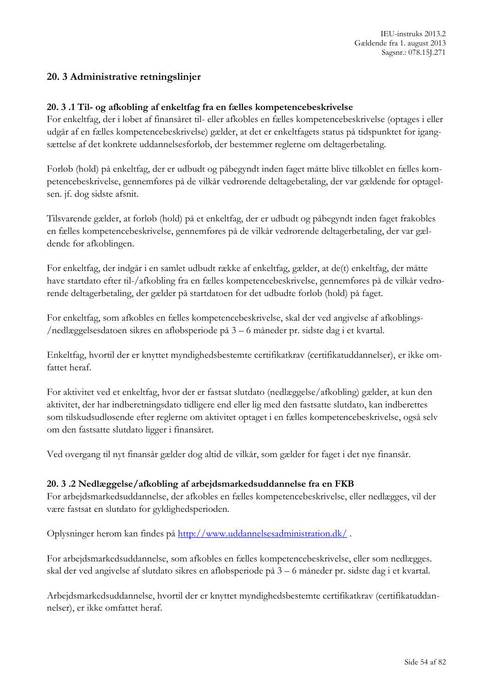# **20. 3 Administrative retningslinjer**

#### **20. 3 .1 Til- og afkobling af enkeltfag fra en fælles kompetencebeskrivelse**

For enkeltfag, der i løbet af finansåret til- eller afkobles en fælles kompetencebeskrivelse (optages i eller udgår af en fælles kompetencebeskrivelse) gælder, at det er enkeltfagets status på tidspunktet for igangsættelse af det konkrete uddannelsesforløb, der bestemmer reglerne om deltagerbetaling.

Forløb (hold) på enkeltfag, der er udbudt og påbegyndt inden faget måtte blive tilkoblet en fælles kompetencebeskrivelse, gennemføres på de vilkår vedrørende deltagebetaling, der var gældende før optagelsen. jf. dog sidste afsnit.

Tilsvarende gælder, at forløb (hold) på et enkeltfag, der er udbudt og påbegyndt inden faget frakobles en fælles kompetencebeskrivelse, gennemføres på de vilkår vedrørende deltagerbetaling, der var gældende før afkoblingen.

For enkeltfag, der indgår i en samlet udbudt række af enkeltfag, gælder, at de(t) enkeltfag, der måtte have startdato efter til-/afkobling fra en fælles kompetencebeskrivelse, gennemføres på de vilkår vedrørende deltagerbetaling, der gælder på startdatoen for det udbudte forløb (hold) på faget.

For enkeltfag, som afkobles en fælles kompetencebeskrivelse, skal der ved angivelse af afkoblings- /nedlæggelsesdatoen sikres en afløbsperiode på 3 – 6 måneder pr. sidste dag i et kvartal.

Enkeltfag, hvortil der er knyttet myndighedsbestemte certifikatkrav (certifikatuddannelser), er ikke omfattet heraf.

For aktivitet ved et enkeltfag, hvor der er fastsat slutdato (nedlæggelse/afkobling) gælder, at kun den aktivitet, der har indberetningsdato tidligere end eller lig med den fastsatte slutdato, kan indberettes som tilskudsudløsende efter reglerne om aktivitet optaget i en fælles kompetencebeskrivelse, også selv om den fastsatte slutdato ligger i finansåret.

Ved overgang til nyt finansår gælder dog altid de vilkår, som gælder for faget i det nye finansår.

#### **20. 3 .2 Nedlæggelse/afkobling af arbejdsmarkedsuddannelse fra en FKB**

For arbejdsmarkedsuddannelse, der afkobles en fælles kompetencebeskrivelse, eller nedlægges, vil der være fastsat en slutdato for gyldighedsperioden.

Oplysninger herom kan findes på <http://www.uddannelsesadministration.dk/> .

For arbejdsmarkedsuddannelse, som afkobles en fælles kompetencebeskrivelse, eller som nedlægges. skal der ved angivelse af slutdato sikres en afløbsperiode på 3 – 6 måneder pr. sidste dag i et kvartal.

Arbejdsmarkedsuddannelse, hvortil der er knyttet myndighedsbestemte certifikatkrav (certifikatuddannelser), er ikke omfattet heraf.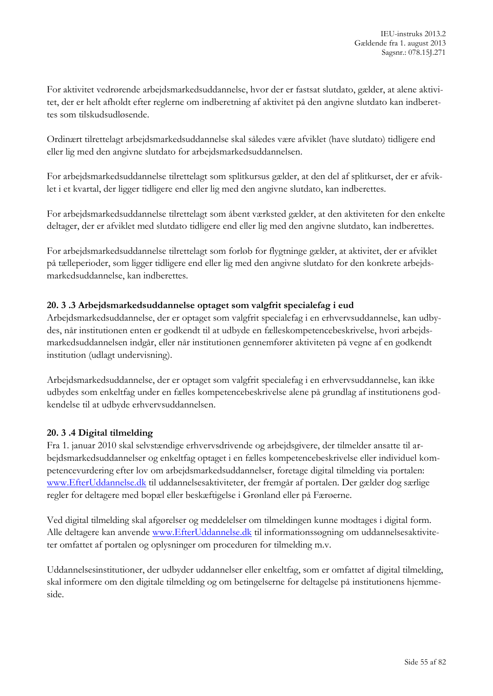For aktivitet vedrørende arbejdsmarkedsuddannelse, hvor der er fastsat slutdato, gælder, at alene aktivitet, der er helt afholdt efter reglerne om indberetning af aktivitet på den angivne slutdato kan indberettes som tilskudsudløsende.

Ordinært tilrettelagt arbejdsmarkedsuddannelse skal således være afviklet (have slutdato) tidligere end eller lig med den angivne slutdato for arbejdsmarkedsuddannelsen.

For arbejdsmarkedsuddannelse tilrettelagt som splitkursus gælder, at den del af splitkurset, der er afviklet i et kvartal, der ligger tidligere end eller lig med den angivne slutdato, kan indberettes.

For arbejdsmarkedsuddannelse tilrettelagt som åbent værksted gælder, at den aktiviteten for den enkelte deltager, der er afviklet med slutdato tidligere end eller lig med den angivne slutdato, kan indberettes.

For arbejdsmarkedsuddannelse tilrettelagt som forløb for flygtninge gælder, at aktivitet, der er afviklet på tælleperioder, som ligger tidligere end eller lig med den angivne slutdato for den konkrete arbejdsmarkedsuddannelse, kan indberettes.

### **20. 3 .3 Arbejdsmarkedsuddannelse optaget som valgfrit specialefag i eud**

Arbejdsmarkedsuddannelse, der er optaget som valgfrit specialefag i en erhvervsuddannelse, kan udbydes, når institutionen enten er godkendt til at udbyde en fælleskompetencebeskrivelse, hvori arbejdsmarkedsuddannelsen indgår, eller når institutionen gennemfører aktiviteten på vegne af en godkendt institution (udlagt undervisning).

Arbejdsmarkedsuddannelse, der er optaget som valgfrit specialefag i en erhvervsuddannelse, kan ikke udbydes som enkeltfag under en fælles kompetencebeskrivelse alene på grundlag af institutionens godkendelse til at udbyde erhvervsuddannelsen.

#### **20. 3 .4 Digital tilmelding**

Fra 1. januar 2010 skal selvstændige erhvervsdrivende og arbejdsgivere, der tilmelder ansatte til arbejdsmarkedsuddannelser og enkeltfag optaget i en fælles kompetencebeskrivelse eller individuel kompetencevurdering efter lov om arbejdsmarkedsuddannelser, foretage digital tilmelding via portalen: [www.EfterUddannelse.dk](http://www.efteruddannelse.dk/) til uddannelsesaktiviteter, der fremgår af portalen. Der gælder dog særlige regler for deltagere med bopæl eller beskæftigelse i Grønland eller på Færøerne.

Ved digital tilmelding skal afgørelser og meddelelser om tilmeldingen kunne modtages i digital form. Alle deltagere kan anvende [www.EfterUddannelse.dk](http://www.efteruddannelse.dk/) til informationssøgning om uddannelsesaktiviteter omfattet af portalen og oplysninger om proceduren for tilmelding m.v.

Uddannelsesinstitutioner, der udbyder uddannelser eller enkeltfag, som er omfattet af digital tilmelding, skal informere om den digitale tilmelding og om betingelserne for deltagelse på institutionens hjemmeside.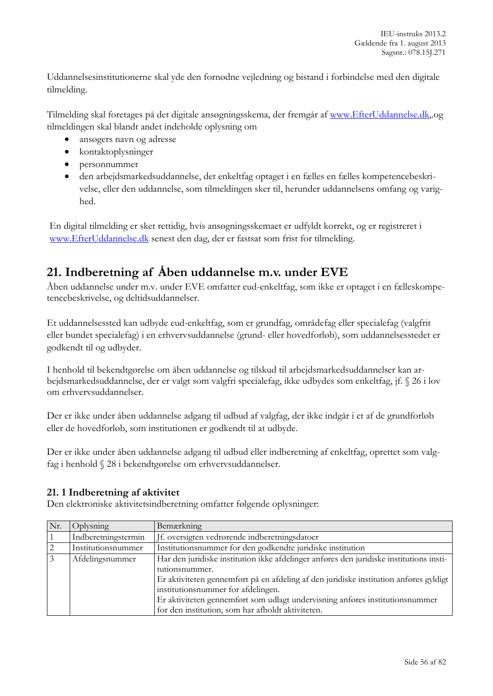Uddannelsesinstitutionerne skal yde den fornødne vejledning og bistand i forbindelse med den digitale tilmelding.

Tilmelding skal foretages på det digitale ansøgningsskema, der fremgår af [www.EfterUddannelse.dk,](http://www.efteruddannelse.dk/).og tilmeldingen skal blandt andet indeholde oplysning om

- ansøgers navn og adresse
- kontaktoplysninger
- personnummer
- den arbejdsmarkedsuddannelse, det enkeltfag optaget i en fælles en fælles kompetencebeskrivelse, eller den uddannelse, som tilmeldingen sker til, herunder uddannelsens omfang og varighed.

En digital tilmelding er sket rettidig, hvis ansøgningsskemaet er udfyldt korrekt, og er registreret i [www.EfterUddannelse.dk](http://www.efteruddannelse.dk/) senest den dag, der er fastsat som frist for tilmelding.

# **21. Indberetning af Åben uddannelse m.v. under EVE**

Åben uddannelse under m.v. under EVE omfatter eud-enkeltfag, som ikke er optaget i en fælleskompetencebeskrivelse, og deltidsuddannelser.

Et uddannelsessted kan udbyde eud-enkeltfag, som er grundfag, områdefag eller specialefag (valgfrit eller bundet specialefag) i en erhvervsuddannelse (grund- eller hovedforløb), som uddannelsesstedet er godkendt til og udbyder.

I henhold til bekendtgørelse om åben uddannelse og tilskud til arbejdsmarkedsuddannelser kan arbejdsmarkedsuddannelse, der er valgt som valgfri specialefag, ikke udbydes som enkeltfag, jf. § 26 i lov om erhvervsuddannelser.

Der er ikke under åben uddannelse adgang til udbud af valgfag, der ikke indgår i et af de grundforløb eller de hovedforløb, som institutionen er godkendt til at udbyde.

Der er ikke under åben uddannelse adgang til udbud eller indberetning af enkeltfag, oprettet som valgfag i henhold § 28 i bekendtgørelse om erhvervsuddannelser.

# **21. 1 Indberetning af aktivitet**

Den elektroniske aktivitetsindberetning omfatter følgende oplysninger:

| Nr. | Oplysning           | Bemærkning                                                                              |  |  |
|-----|---------------------|-----------------------------------------------------------------------------------------|--|--|
|     | Indberetningstermin | If. oversigten vedrørende indberetningsdatoer                                           |  |  |
|     | Institutionsnummer  | Institutionsnummer for den godkendte juridiske institution                              |  |  |
|     | Afdelingsnummer     | Har den juridiske institution ikke afdelinger anføres den juridiske institutions insti- |  |  |
|     |                     | tutionsnummer.                                                                          |  |  |
|     |                     | Er aktiviteten gennemført på en afdeling af den juridiske institution anføres gyldigt   |  |  |
|     |                     | institutionsnummer for afdelingen.                                                      |  |  |
|     |                     | Er aktiviteten gennemført som udlagt undervisning anføres institutionsnummer            |  |  |
|     |                     | for den institution, som har afholdt aktiviteten.                                       |  |  |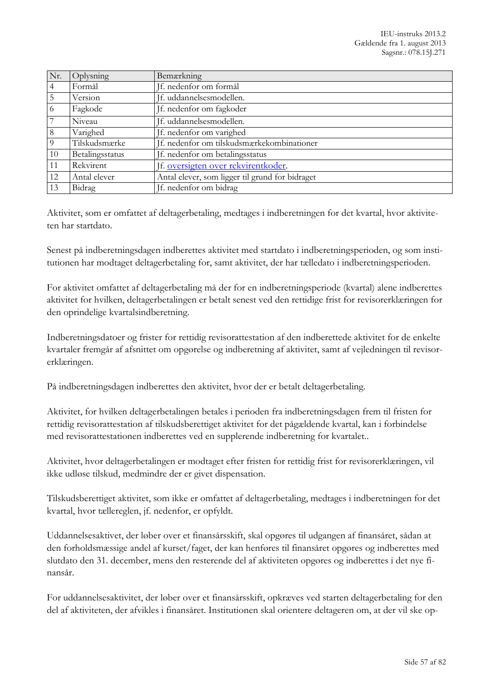| Nr.      | Oplysning       | Bemærkning                                      |
|----------|-----------------|-------------------------------------------------|
| 4        | Formål          | If. nedenfor om formål                          |
| 5        | Version         | If. uddannelsesmodellen.                        |
| 6        | Fagkode         | Jf. nedenfor om fagkoder                        |
|          | Niveau          | If. uddannelsesmodellen.                        |
| 8        | Varighed        | If. nedenfor om varighed                        |
| $\Omega$ | Tilskudsmærke   | If. nedenfor om tilskudsmærkekombinationer      |
| 10       | Betalingsstatus | If. nedenfor om betalingsstatus                 |
| 11       | Rekvirent       | Jf. oversigten over rekvirentkoder.             |
| 12       | Antal elever    | Antal elever, som ligger til grund for bidraget |
| 13       | Bidrag          | If. nedenfor om bidrag                          |

Aktivitet, som er omfattet af deltagerbetaling, medtages i indberetningen for det kvartal, hvor aktiviteten har startdato.

Senest på indberetningsdagen indberettes aktivitet med startdato i indberetningsperioden, og som institutionen har modtaget deltagerbetaling for, samt aktivitet, der har tælledato i indberetningsperioden.

For aktivitet omfattet af deltagerbetaling må der for en indberetningsperiode (kvartal) alene indberettes aktivitet for hvilken, deltagerbetalingen er betalt senest ved den rettidige frist for revisorerklæringen for den oprindelige kvartalsindberetning.

Indberetningsdatoer og frister for rettidig revisorattestation af den indberettede aktivitet for de enkelte kvartaler fremgår af afsnittet om opgørelse og indberetning af aktivitet, samt af vejledningen til revisorerklæringen.

På indberetningsdagen indberettes den aktivitet, hvor der er betalt deltagerbetaling.

Aktivitet, for hvilken deltagerbetalingen betales i perioden fra indberetningsdagen frem til fristen for rettidig revisorattestation af tilskudsberettiget aktivitet for det pågældende kvartal, kan i forbindelse med revisorattestationen indberettes ved en supplerende indberetning for kvartalet..

Aktivitet, hvor deltagerbetalingen er modtaget efter fristen for rettidig frist for revisorerklæringen, vil ikke udløse tilskud, medmindre der er givet dispensation.

Tilskudsberettiget aktivitet, som ikke er omfattet af deltagerbetaling, medtages i indberetningen for det kvartal, hvor tællereglen, jf. nedenfor, er opfyldt.

Uddannelsesaktivet, der løber over et finansårsskift, skal opgøres til udgangen af finansåret, sådan at den forholdsmæssige andel af kurset/faget, der kan henføres til finansåret opgøres og indberettes med slutdato den 31. december, mens den resterende del af aktiviteten opgøres og indberettes i det nye finansår.

For uddannelsesaktivitet, der løber over et finansårsskift, opkræves ved starten deltagerbetaling for den del af aktiviteten, der afvikles i finansåret. Institutionen skal orientere deltageren om, at der vil ske op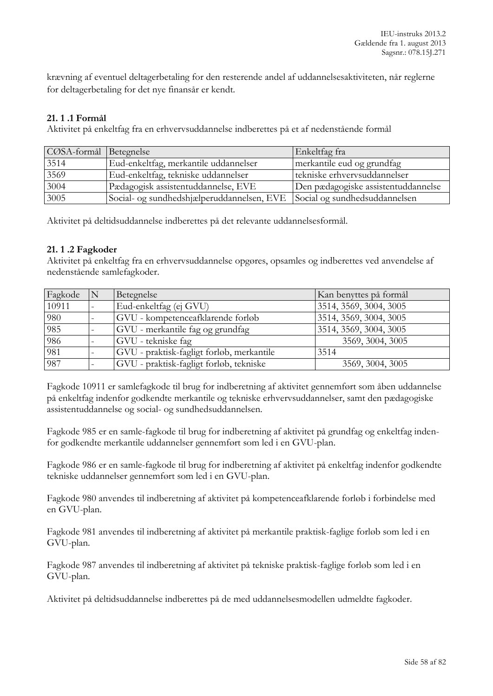krævning af eventuel deltagerbetaling for den resterende andel af uddannelsesaktiviteten, når reglerne for deltagerbetaling for det nye finansår er kendt.

### **21. 1 .1 Formål**

Aktivitet på enkeltfag fra en erhvervsuddannelse indberettes på et af nedenstående formål

| CØSA-formål Betegnelse |                                            | Enkeltfag fra                       |
|------------------------|--------------------------------------------|-------------------------------------|
| 3514                   | Eud-enkeltfag, merkantile uddannelser      | merkantile eud og grundfag          |
| 3569                   | Eud-enkeltfag, tekniske uddannelser        | tekniske erhvervsuddannelser        |
| 3004                   | Pædagogisk assistentuddannelse, EVE        | Den pædagogiske assistentuddannelse |
| 3005                   | Social- og sundhedshjælperuddannelsen, EVE | Social og sundhedsuddannelsen       |

Aktivitet på deltidsuddannelse indberettes på det relevante uddannelsesformål.

#### **21. 1 .2 Fagkoder**

Aktivitet på enkeltfag fra en erhvervsuddannelse opgøres, opsamles og indberettes ved anvendelse af nedenstående samlefagkoder.

| Fagkode | Betegnelse                                | Kan benyttes på formål |
|---------|-------------------------------------------|------------------------|
| 10911   | Eud-enkeltfag (ej GVU)                    | 3514, 3569, 3004, 3005 |
| 980     | GVU - kompetenceafklarende forløb         | 3514, 3569, 3004, 3005 |
| 985     | GVU - merkantile fag og grundfag          | 3514, 3569, 3004, 3005 |
| 986     | GVU - tekniske fag                        | 3569, 3004, 3005       |
| 981     | GVU - praktisk-fagligt forløb, merkantile | 3514                   |
| 987     | GVU - praktisk-fagligt forløb, tekniske   | 3569, 3004, 3005       |

Fagkode 10911 er samlefagkode til brug for indberetning af aktivitet gennemført som åben uddannelse på enkeltfag indenfor godkendte merkantile og tekniske erhvervsuddannelser, samt den pædagogiske assistentuddannelse og social- og sundhedsuddannelsen.

Fagkode 985 er en samle-fagkode til brug for indberetning af aktivitet på grundfag og enkeltfag indenfor godkendte merkantile uddannelser gennemført som led i en GVU-plan.

Fagkode 986 er en samle-fagkode til brug for indberetning af aktivitet på enkeltfag indenfor godkendte tekniske uddannelser gennemført som led i en GVU-plan.

Fagkode 980 anvendes til indberetning af aktivitet på kompetenceafklarende forløb i forbindelse med en GVU-plan.

Fagkode 981 anvendes til indberetning af aktivitet på merkantile praktisk-faglige forløb som led i en GVU-plan.

Fagkode 987 anvendes til indberetning af aktivitet på tekniske praktisk-faglige forløb som led i en GVU-plan.

Aktivitet på deltidsuddannelse indberettes på de med uddannelsesmodellen udmeldte fagkoder.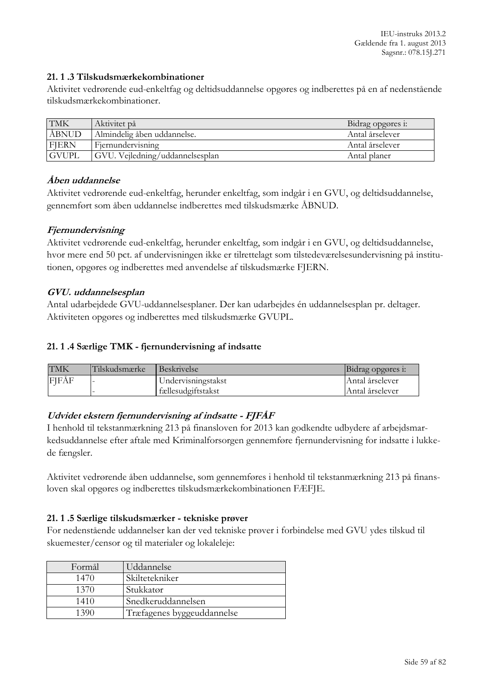### **21. 1 .3 Tilskudsmærkekombinationer**

Aktivitet vedrørende eud-enkeltfag og deltidsuddannelse opgøres og indberettes på en af nedenstående tilskudsmærkekombinationer.

| <b>TMK</b>   | Aktivitet på                    | Bidrag opgøres i: |
|--------------|---------------------------------|-------------------|
| ÅBNUD        | Almindelig åben uddannelse.     | Antal årselever   |
| <b>FJERN</b> | Fiernundervisning               | Antal årselever   |
| <b>GVUPL</b> | GVU. Vejledning/uddannelsesplan | Antal planer      |

### **Åben uddannelse**

Aktivitet vedrørende eud-enkeltfag, herunder enkeltfag, som indgår i en GVU, og deltidsuddannelse, gennemført som åben uddannelse indberettes med tilskudsmærke ÅBNUD.

### **Fjernundervisning**

Aktivitet vedrørende eud-enkeltfag, herunder enkeltfag, som indgår i en GVU, og deltidsuddannelse, hvor mere end 50 pct. af undervisningen ikke er tilrettelagt som tilstedeværelsesundervisning på institutionen, opgøres og indberettes med anvendelse af tilskudsmærke FJERN.

### **GVU. uddannelsesplan**

Antal udarbejdede GVU-uddannelsesplaner. Der kan udarbejdes én uddannelsesplan pr. deltager. Aktiviteten opgøres og indberettes med tilskudsmærke GVUPL.

#### **21. 1 .4 Særlige TMK - fjernundervisning af indsatte**

| <b>TMK</b> | lTilskudsmærke | <b>Beskrivelse</b> | Bidrag opgøres i: |
|------------|----------------|--------------------|-------------------|
| FJFÅF      |                | Undervisningstakst | Antal årselever   |
|            |                | fællesudgiftstakst | Antal årselever   |

# **Udvidet ekstern fjernundervisning af indsatte - FJFÅF**

I henhold til tekstanmærkning 213 på finansloven for 2013 kan godkendte udbydere af arbejdsmarkedsuddannelse efter aftale med Kriminalforsorgen gennemføre fjernundervisning for indsatte i lukkede fængsler.

Aktivitet vedrørende åben uddannelse, som gennemføres i henhold til tekstanmærkning 213 på finansloven skal opgøres og indberettes tilskudsmærkekombinationen FÆFJE.

#### **21. 1 .5 Særlige tilskudsmærker - tekniske prøver**

For nedenstående uddannelser kan der ved tekniske prøver i forbindelse med GVU ydes tilskud til skuemester/censor og til materialer og lokaleleje:

| Formål | Uddannelse                 |
|--------|----------------------------|
| 1470   | Skiltetekniker             |
| 1370   | Stukkatør                  |
| 1410   | Snedkeruddannelsen         |
| 1390   | Træfagenes byggeuddannelse |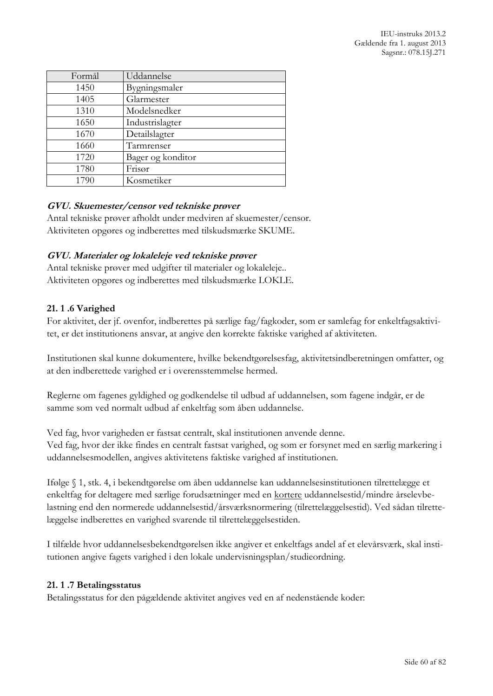| Formål | Uddannelse        |
|--------|-------------------|
| 1450   | Bygningsmaler     |
| 1405   | Glarmester        |
| 1310   | Modelsnedker      |
| 1650   | Industrislagter   |
| 1670   | Detailslagter     |
| 1660   | Tarmrenser        |
| 1720   | Bager og konditor |
| 1780   | Frisør            |
| 1790   | Kosmetiker        |

### **GVU. Skuemester/censor ved tekniske prøver**

Antal tekniske prøver afholdt under medviren af skuemester/censor. Aktiviteten opgøres og indberettes med tilskudsmærke SKUME.

### **GVU. Materialer og lokaleleje ved tekniske prøver**

Antal tekniske prøver med udgifter til materialer og lokaleleje.. Aktiviteten opgøres og indberettes med tilskudsmærke LOKLE.

### **21. 1 .6 Varighed**

For aktivitet, der jf. ovenfor, indberettes på særlige fag/fagkoder, som er samlefag for enkeltfagsaktivitet, er det institutionens ansvar, at angive den korrekte faktiske varighed af aktiviteten.

Institutionen skal kunne dokumentere, hvilke bekendtgørelsesfag, aktivitetsindberetningen omfatter, og at den indberettede varighed er i overensstemmelse hermed.

Reglerne om fagenes gyldighed og godkendelse til udbud af uddannelsen, som fagene indgår, er de samme som ved normalt udbud af enkeltfag som åben uddannelse.

Ved fag, hvor varigheden er fastsat centralt, skal institutionen anvende denne. Ved fag, hvor der ikke findes en centralt fastsat varighed, og som er forsynet med en særlig markering i uddannelsesmodellen, angives aktivitetens faktiske varighed af institutionen.

Ifølge § 1, stk. 4, i bekendtgørelse om åben uddannelse kan uddannelsesinstitutionen tilrettelægge et enkeltfag for deltagere med særlige forudsætninger med en kortere uddannelsestid/mindre årselevbelastning end den normerede uddannelsestid/årsværksnormering (tilrettelæggelsestid). Ved sådan tilrettelæggelse indberettes en varighed svarende til tilrettelæggelsestiden.

I tilfælde hvor uddannelsesbekendtgørelsen ikke angiver et enkeltfags andel af et elevårsværk, skal institutionen angive fagets varighed i den lokale undervisningsplan/studieordning.

#### **21. 1 .7 Betalingsstatus**

Betalingsstatus for den pågældende aktivitet angives ved en af nedenstående koder: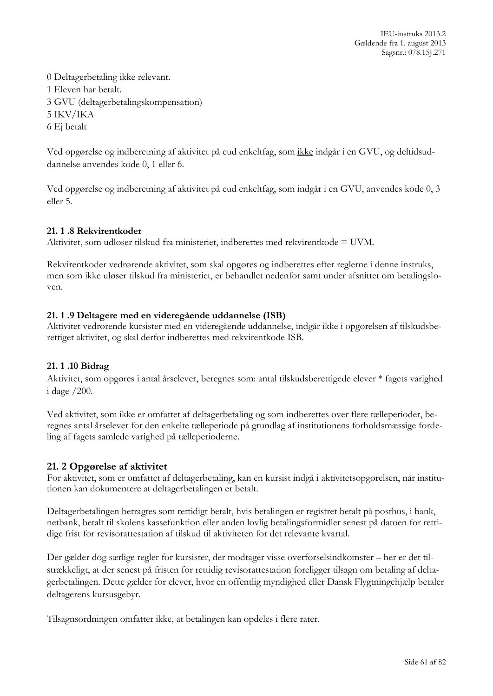IEU-instruks 2013.2 Gældende fra 1. august 2013 Sagsnr.: 078.15J.271

0 Deltagerbetaling ikke relevant. 1 Eleven har betalt. 3 GVU (deltagerbetalingskompensation) 5 IKV/IKA 6 Ej betalt

Ved opgørelse og indberetning af aktivitet på eud enkeltfag, som ikke indgår i en GVU, og deltidsuddannelse anvendes kode 0, 1 eller 6.

Ved opgørelse og indberetning af aktivitet på eud enkeltfag, som indgår i en GVU, anvendes kode 0, 3 eller 5.

#### **21. 1 .8 Rekvirentkoder**

Aktivitet, som udløser tilskud fra ministeriet, indberettes med rekvirentkode = UVM.

Rekvirentkoder vedrørende aktivitet, som skal opgøres og indberettes efter reglerne i denne instruks, men som ikke uløser tilskud fra ministeriet, er behandlet nedenfor samt under afsnittet om betalingsloven.

### **21. 1 .9 Deltagere med en videregående uddannelse (ISB)**

Aktivitet vedrørende kursister med en videregående uddannelse, indgår ikke i opgørelsen af tilskudsberettiget aktivitet, og skal derfor indberettes med rekvirentkode ISB.

#### **21. 1 .10 Bidrag**

Aktivitet, som opgøres i antal årselever, beregnes som: antal tilskudsberettigede elever \* fagets varighed i dage /200.

Ved aktivitet, som ikke er omfattet af deltagerbetaling og som indberettes over flere tælleperioder, beregnes antal årselever for den enkelte tælleperiode på grundlag af institutionens forholdsmæssige fordeling af fagets samlede varighed på tælleperioderne.

# **21. 2 Opgørelse af aktivitet**

For aktivitet, som er omfattet af deltagerbetaling, kan en kursist indgå i aktivitetsopgørelsen, når institutionen kan dokumentere at deltagerbetalingen er betalt.

Deltagerbetalingen betragtes som rettidigt betalt, hvis betalingen er registret betalt på posthus, i bank, netbank, betalt til skolens kassefunktion eller anden lovlig betalingsformidler senest på datoen for rettidige frist for revisorattestation af tilskud til aktiviteten for det relevante kvartal.

Der gælder dog særlige regler for kursister, der modtager visse overførselsindkomster – her er det tilstrækkeligt, at der senest på fristen for rettidig revisorattestation foreligger tilsagn om betaling af deltagerbetalingen. Dette gælder for elever, hvor en offentlig myndighed eller Dansk Flygtningehjælp betaler deltagerens kursusgebyr.

Tilsagnsordningen omfatter ikke, at betalingen kan opdeles i flere rater.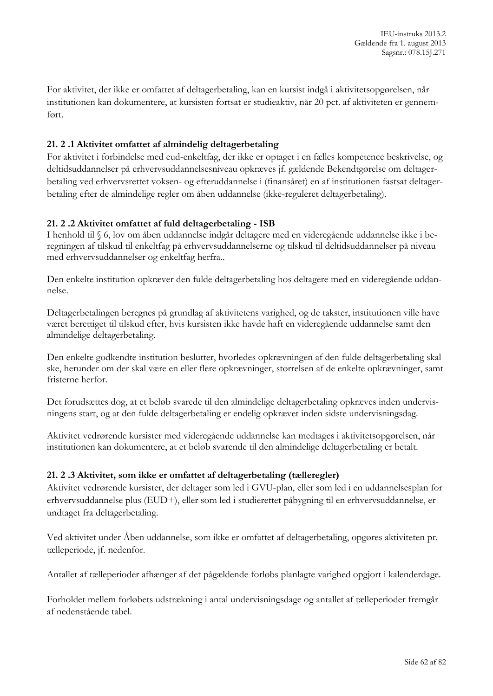For aktivitet, der ikke er omfattet af deltagerbetaling, kan en kursist indgå i aktivitetsopgørelsen, når institutionen kan dokumentere, at kursisten fortsat er studieaktiv, når 20 pct. af aktiviteten er gennemført.

# **21. 2 .1 Aktivitet omfattet af almindelig deltagerbetaling**

For aktivitet i forbindelse med eud-enkeltfag, der ikke er optaget i en fælles kompetence beskrivelse, og deltidsuddannelser på erhvervsuddannelsesniveau opkræves jf. gældende Bekendtgørelse om deltagerbetaling ved erhvervsrettet voksen- og efteruddannelse i (finansåret) en af institutionen fastsat deltagerbetaling efter de almindelige regler om åben uddannelse (ikke-reguleret deltagerbetaling).

#### **21. 2 .2 Aktivitet omfattet af fuld deltagerbetaling - ISB**

I henhold til § 6, lov om åben uddannelse indgår deltagere med en videregående uddannelse ikke i beregningen af tilskud til enkeltfag på erhvervsuddannelserne og tilskud til deltidsuddannelser på niveau med erhvervsuddannelser og enkeltfag herfra..

Den enkelte institution opkræver den fulde deltagerbetaling hos deltagere med en videregående uddannelse.

Deltagerbetalingen beregnes på grundlag af aktivitetens varighed, og de takster, institutionen ville have været berettiget til tilskud efter, hvis kursisten ikke havde haft en videregående uddannelse samt den almindelige deltagerbetaling.

Den enkelte godkendte institution beslutter, hvorledes opkrævningen af den fulde deltagerbetaling skal ske, herunder om der skal være en eller flere opkrævninger, størrelsen af de enkelte opkrævninger, samt fristerne herfor.

Det forudsættes dog, at et beløb svarede til den almindelige deltagerbetaling opkræves inden undervisningens start, og at den fulde deltagerbetaling er endelig opkrævet inden sidste undervisningsdag.

Aktivitet vedrørende kursister med videregående uddannelse kan medtages i aktivitetsopgørelsen, når institutionen kan dokumentere, at et beløb svarende til den almindelige deltagerbetaling er betalt.

#### **21. 2 .3 Aktivitet, som ikke er omfattet af deltagerbetaling (tælleregler)**

Aktivitet vedrørende kursister, der deltager som led i GVU-plan, eller som led i en uddannelsesplan for erhvervsuddannelse plus (EUD+), eller som led i studierettet påbygning til en erhvervsuddannelse, er undtaget fra deltagerbetaling.

Ved aktivitet under Åben uddannelse, som ikke er omfattet af deltagerbetaling, opgøres aktiviteten pr. tælleperiode, jf. nedenfor.

Antallet af tælleperioder afhænger af det pågældende forløbs planlagte varighed opgjort i kalenderdage.

Forholdet mellem forløbets udstrækning i antal undervisningsdage og antallet af tælleperioder fremgår af nedenstående tabel.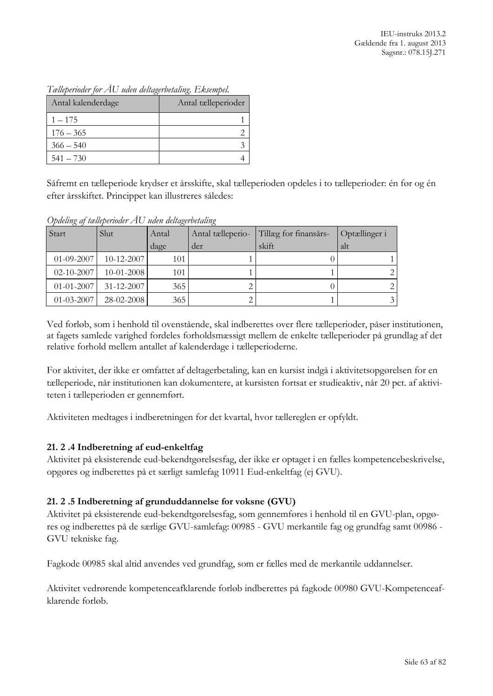| Antal kalenderdage | Antal tælleperioder |
|--------------------|---------------------|
| $1 - 175$          |                     |
| $176 - 365$        |                     |
| $366 - 540$        |                     |
| $541 - 730$        |                     |

*Tælleperioder for ÅU uden deltagerbetaling. Eksempel.*

Såfremt en tælleperiode krydser et årsskifte, skal tælleperioden opdeles i to tælleperioder: én før og én efter årsskiftet. Princippet kan illustreres således:

*Opdeling af tælleperioder ÅU uden deltagerbetaling*

| Start            | Slut             | Antal | Antal tælleperio- | Tillæg for finansårs- | Optællinger i  |
|------------------|------------------|-------|-------------------|-----------------------|----------------|
|                  |                  | dage  | der               | skift                 | alt            |
| $01 - 09 - 2007$ | $10-12-2007$     | 101   |                   |                       |                |
| 02-10-2007       | $10-01-2008$     | 101   |                   |                       | $\mathcal{L}$  |
| $01 - 01 - 2007$ | $31 - 12 - 2007$ | 365   |                   |                       |                |
| 01-03-2007       | 28-02-2008       | 365   |                   |                       | $\mathfrak{Z}$ |

Ved forløb, som i henhold til ovenstående, skal indberettes over flere tælleperioder, påser institutionen, at fagets samlede varighed fordeles forholdsmæssigt mellem de enkelte tælleperioder på grundlag af det relative forhold mellem antallet af kalenderdage i tælleperioderne.

For aktivitet, der ikke er omfattet af deltagerbetaling, kan en kursist indgå i aktivitetsopgørelsen for en tælleperiode, når institutionen kan dokumentere, at kursisten fortsat er studieaktiv, når 20 pct. af aktiviteten i tælleperioden er gennemført.

Aktiviteten medtages i indberetningen for det kvartal, hvor tællereglen er opfyldt.

# **21. 2 .4 Indberetning af eud-enkeltfag**

Aktivitet på eksisterende eud-bekendtgørelsesfag, der ikke er optaget i en fælles kompetencebeskrivelse, opgøres og indberettes på et særligt samlefag 10911 Eud-enkeltfag (ej GVU).

# **21. 2 .5 Indberetning af grunduddannelse for voksne (GVU)**

Aktivitet på eksisterende eud-bekendtgørelsesfag, som gennemføres i henhold til en GVU-plan, opgøres og indberettes på de særlige GVU-samlefag: 00985 - GVU merkantile fag og grundfag samt 00986 - GVU tekniske fag.

Fagkode 00985 skal altid anvendes ved grundfag, som er fælles med de merkantile uddannelser.

Aktivitet vedrørende kompetenceafklarende forløb indberettes på fagkode 00980 GVU-Kompetenceafklarende forløb.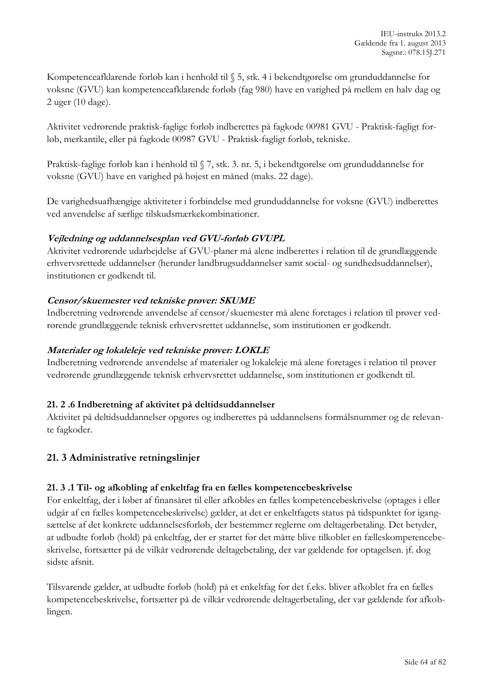Kompetenceafklarende forløb kan i henhold til § 5, stk. 4 i bekendtgørelse om grunduddannelse for voksne (GVU) kan kompetenceafklarende forløb (fag 980) have en varighed på mellem en halv dag og 2 uger (10 dage).

Aktivitet vedrørende praktisk-faglige forløb indberettes på fagkode 00981 GVU - Praktisk-fagligt forløb, merkantile, eller på fagkode 00987 GVU - Praktisk-fagligt forløb, tekniske.

Praktisk-faglige forløb kan i henhold til § 7, stk. 3. nr. 5, i bekendtgørelse om grunduddannelse for voksne (GVU) have en varighed på højest en måned (maks. 22 dage).

De varighedsuafhængige aktiviteter i forbindelse med grunduddannelse for voksne (GVU) indberettes ved anvendelse af særlige tilskudsmærkekombinationer.

# **Vejledning og uddannelsesplan ved GVU-forløb GVUPL**

Aktivitet vedrørende udarbejdelse af GVU-planer må alene indberettes i relation til de grundlæggende erhvervsrettede uddannelser (herunder landbrugsuddannelser samt social- og sundhedsuddannelser), institutionen er godkendt til.

### **Censor/skuemester ved tekniske prøver: SKUME**

Indberetning vedrørende anvendelse af censor/skuemester må alene foretages i relation til prøver vedrørende grundlæggende teknisk erhvervsrettet uddannelse, som institutionen er godkendt.

#### **Materialer og lokaleleje ved tekniske prøver: LOKLE**

Indberetning vedrørende anvendelse af materialer og lokaleleje må alene foretages i relation til prøver vedrørende grundlæggende teknisk erhvervsrettet uddannelse, som institutionen er godkendt til.

#### **21. 2 .6 Indberetning af aktivitet på deltidsuddannelser**

Aktivitet på deltidsuddannelser opgøres og indberettes på uddannelsens formålsnummer og de relevante fagkoder.

# **21. 3 Administrative retningslinjer**

#### **21. 3 .1 Til- og afkobling af enkeltfag fra en fælles kompetencebeskrivelse**

For enkeltfag, der i løbet af finansåret til eller afkobles en fælles kompetencebeskrivelse (optages i eller udgår af en fælles kompetencebeskrivelse) gælder, at det er enkeltfagets status på tidspunktet for igangsættelse af det konkrete uddannelsesforløb, der bestemmer reglerne om deltagerbetaling. Det betyder, at udbudte forløb (hold) på enkeltfag, der er startet før det måtte blive tilkoblet en fælleskompetencebeskrivelse, fortsætter på de vilkår vedrørende deltagebetaling, der var gældende før optagelsen. jf. dog sidste afsnit.

Tilsvarende gælder, at udbudte forløb (hold) på et enkeltfag før det f.eks. bliver afkoblet fra en fælles kompetencebeskrivelse, fortsætter på de vilkår vedrørende deltagerbetaling, der var gældende før afkoblingen.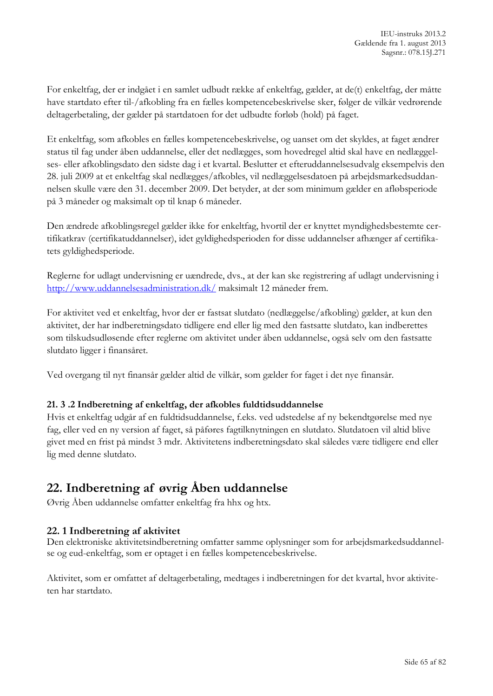For enkeltfag, der er indgået i en samlet udbudt række af enkeltfag, gælder, at de(t) enkeltfag, der måtte have startdato efter til-/afkobling fra en fælles kompetencebeskrivelse sker, følger de vilkår vedrørende deltagerbetaling, der gælder på startdatoen for det udbudte forløb (hold) på faget.

Et enkeltfag, som afkobles en fælles kompetencebeskrivelse, og uanset om det skyldes, at faget ændrer status til fag under åben uddannelse, eller det nedlægges, som hovedregel altid skal have en nedlæggelses- eller afkoblingsdato den sidste dag i et kvartal. Beslutter et efteruddannelsesudvalg eksempelvis den 28. juli 2009 at et enkeltfag skal nedlægges/afkobles, vil nedlæggelsesdatoen på arbejdsmarkedsuddannelsen skulle være den 31. december 2009. Det betyder, at der som minimum gælder en afløbsperiode på 3 måneder og maksimalt op til knap 6 måneder.

Den ændrede afkoblingsregel gælder ikke for enkeltfag, hvortil der er knyttet myndighedsbestemte certifikatkrav (certifikatuddannelser), idet gyldighedsperioden for disse uddannelser afhænger af certifikatets gyldighedsperiode.

Reglerne for udlagt undervisning er uændrede, dvs., at der kan ske registrering af udlagt undervisning i <http://www.uddannelsesadministration.dk/> maksimalt 12 måneder frem.

For aktivitet ved et enkeltfag, hvor der er fastsat slutdato (nedlæggelse/afkobling) gælder, at kun den aktivitet, der har indberetningsdato tidligere end eller lig med den fastsatte slutdato, kan indberettes som tilskudsudløsende efter reglerne om aktivitet under åben uddannelse, også selv om den fastsatte slutdato ligger i finansåret.

Ved overgang til nyt finansår gælder altid de vilkår, som gælder for faget i det nye finansår.

# **21. 3 .2 Indberetning af enkeltfag, der afkobles fuldtidsuddannelse**

Hvis et enkeltfag udgår af en fuldtidsuddannelse, f.eks. ved udstedelse af ny bekendtgørelse med nye fag, eller ved en ny version af faget, så påføres fagtilknytningen en slutdato. Slutdatoen vil altid blive givet med en frist på mindst 3 mdr. Aktivitetens indberetningsdato skal således være tidligere end eller lig med denne slutdato.

# **22. Indberetning af øvrig Åben uddannelse**

Øvrig Åben uddannelse omfatter enkeltfag fra hhx og htx.

# **22. 1 Indberetning af aktivitet**

Den elektroniske aktivitetsindberetning omfatter samme oplysninger som for arbejdsmarkedsuddannelse og eud-enkeltfag, som er optaget i en fælles kompetencebeskrivelse.

Aktivitet, som er omfattet af deltagerbetaling, medtages i indberetningen for det kvartal, hvor aktiviteten har startdato.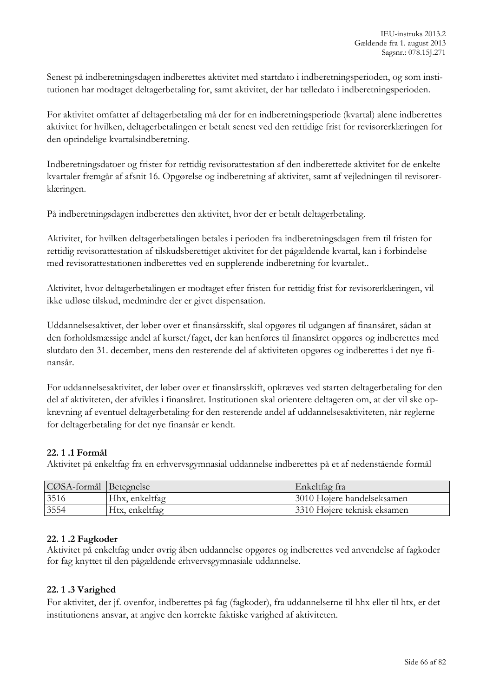Senest på indberetningsdagen indberettes aktivitet med startdato i indberetningsperioden, og som institutionen har modtaget deltagerbetaling for, samt aktivitet, der har tælledato i indberetningsperioden.

For aktivitet omfattet af deltagerbetaling må der for en indberetningsperiode (kvartal) alene indberettes aktivitet for hvilken, deltagerbetalingen er betalt senest ved den rettidige frist for revisorerklæringen for den oprindelige kvartalsindberetning.

Indberetningsdatoer og frister for rettidig revisorattestation af den indberettede aktivitet for de enkelte kvartaler fremgår af afsnit 16. Opgørelse og indberetning af aktivitet, samt af vejledningen til revisorerklæringen.

På indberetningsdagen indberettes den aktivitet, hvor der er betalt deltagerbetaling.

Aktivitet, for hvilken deltagerbetalingen betales i perioden fra indberetningsdagen frem til fristen for rettidig revisorattestation af tilskudsberettiget aktivitet for det pågældende kvartal, kan i forbindelse med revisorattestationen indberettes ved en supplerende indberetning for kvartalet..

Aktivitet, hvor deltagerbetalingen er modtaget efter fristen for rettidig frist for revisorerklæringen, vil ikke udløse tilskud, medmindre der er givet dispensation.

Uddannelsesaktivet, der løber over et finansårsskift, skal opgøres til udgangen af finansåret, sådan at den forholdsmæssige andel af kurset/faget, der kan henføres til finansåret opgøres og indberettes med slutdato den 31. december, mens den resterende del af aktiviteten opgøres og indberettes i det nye finansår.

For uddannelsesaktivitet, der løber over et finansårsskift, opkræves ved starten deltagerbetaling for den del af aktiviteten, der afvikles i finansåret. Institutionen skal orientere deltageren om, at der vil ske opkrævning af eventuel deltagerbetaling for den resterende andel af uddannelsesaktiviteten, når reglerne for deltagerbetaling for det nye finansår er kendt.

# **22. 1 .1 Formål**

Aktivitet på enkeltfag fra en erhvervsgymnasial uddannelse indberettes på et af nedenstående formål

| CØSA-formål Betegnelse |                | Enkeltfag fra               |
|------------------------|----------------|-----------------------------|
| 3516                   | Hhx, enkeltfag | 3010 Højere handelseksamen  |
| 3554                   | Htx, enkeltfag | 3310 Højere teknisk eksamen |

#### **22. 1 .2 Fagkoder**

Aktivitet på enkeltfag under øvrig åben uddannelse opgøres og indberettes ved anvendelse af fagkoder for fag knyttet til den pågældende erhvervsgymnasiale uddannelse.

#### **22. 1 .3 Varighed**

For aktivitet, der jf. ovenfor, indberettes på fag (fagkoder), fra uddannelserne til hhx eller til htx, er det institutionens ansvar, at angive den korrekte faktiske varighed af aktiviteten.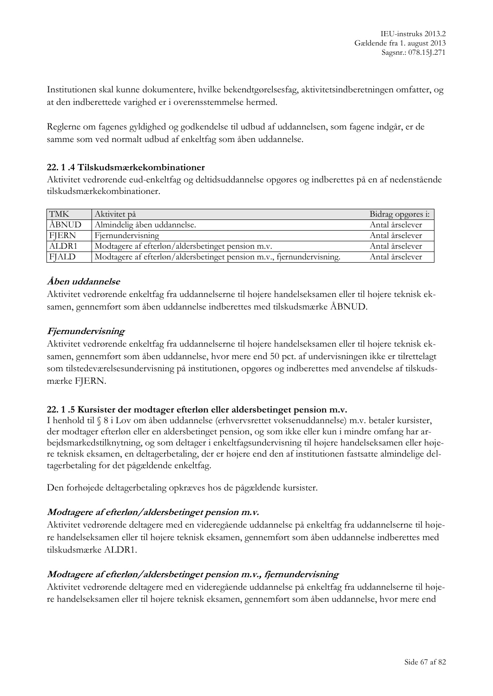Institutionen skal kunne dokumentere, hvilke bekendtgørelsesfag, aktivitetsindberetningen omfatter, og at den indberettede varighed er i overensstemmelse hermed.

Reglerne om fagenes gyldighed og godkendelse til udbud af uddannelsen, som fagene indgår, er de samme som ved normalt udbud af enkeltfag som åben uddannelse.

#### **22. 1 .4 Tilskudsmærkekombinationer**

Aktivitet vedrørende eud-enkeltfag og deltidsuddannelse opgøres og indberettes på en af nedenstående tilskudsmærkekombinationer.

| <b>TMK</b>   | Aktivitet på                                                          | Bidrag opgøres i: |
|--------------|-----------------------------------------------------------------------|-------------------|
| ÅBNUD        | Almindelig åben uddannelse.                                           | Antal årselever   |
| <b>FJERN</b> | Fjernundervisning                                                     | Antal årselever   |
| ALDR1        | Modtagere af efterløn/aldersbetinget pension m.v.                     | Antal årselever   |
| <b>FJALD</b> | Modtagere af efterløn/aldersbetinget pension m.v., fjernundervisning. | Antal årselever   |

### **Åben uddannelse**

Aktivitet vedrørende enkeltfag fra uddannelserne til højere handelseksamen eller til højere teknisk eksamen, gennemført som åben uddannelse indberettes med tilskudsmærke ÅBNUD.

### **Fjernundervisning**

Aktivitet vedrørende enkeltfag fra uddannelserne til højere handelseksamen eller til højere teknisk eksamen, gennemført som åben uddannelse, hvor mere end 50 pct. af undervisningen ikke er tilrettelagt som tilstedeværelsesundervisning på institutionen, opgøres og indberettes med anvendelse af tilskudsmærke FJERN.

#### **22. 1 .5 Kursister der modtager efterløn eller aldersbetinget pension m.v.**

I henhold til § 8 i Lov om åben uddannelse (erhvervsrettet voksenuddannelse) m.v. betaler kursister, der modtager efterløn eller en aldersbetinget pension, og som ikke eller kun i mindre omfang har arbejdsmarkedstilknytning, og som deltager i enkeltfagsundervisning til højere handelseksamen eller højere teknisk eksamen, en deltagerbetaling, der er højere end den af institutionen fastsatte almindelige deltagerbetaling for det pågældende enkeltfag.

Den forhøjede deltagerbetaling opkræves hos de pågældende kursister.

#### **Modtagere af efterløn/aldersbetinget pension m.v.**

Aktivitet vedrørende deltagere med en videregående uddannelse på enkeltfag fra uddannelserne til højere handelseksamen eller til højere teknisk eksamen, gennemført som åben uddannelse indberettes med tilskudsmærke ALDR1.

#### **Modtagere af efterløn/aldersbetinget pension m.v., fjernundervisning**

Aktivitet vedrørende deltagere med en videregående uddannelse på enkeltfag fra uddannelserne til højere handelseksamen eller til højere teknisk eksamen, gennemført som åben uddannelse, hvor mere end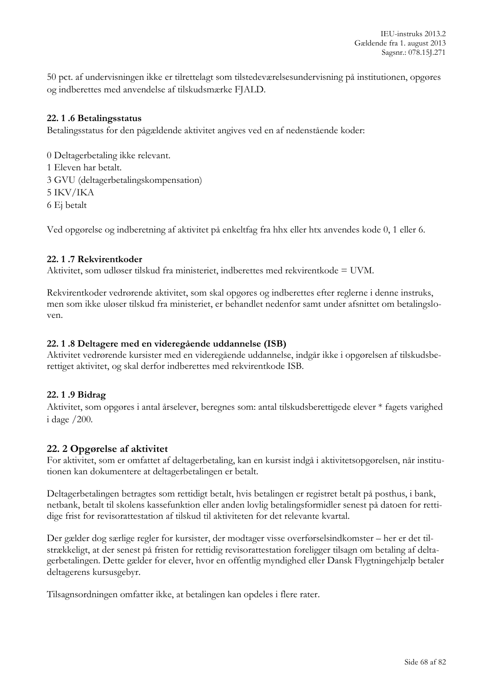50 pct. af undervisningen ikke er tilrettelagt som tilstedeværelsesundervisning på institutionen, opgøres og indberettes med anvendelse af tilskudsmærke FJALD.

#### **22. 1 .6 Betalingsstatus**

Betalingsstatus for den pågældende aktivitet angives ved en af nedenstående koder:

0 Deltagerbetaling ikke relevant. 1 Eleven har betalt. 3 GVU (deltagerbetalingskompensation) 5 IKV/IKA 6 Ej betalt

Ved opgørelse og indberetning af aktivitet på enkeltfag fra hhx eller htx anvendes kode 0, 1 eller 6.

### **22. 1 .7 Rekvirentkoder**

Aktivitet, som udløser tilskud fra ministeriet, indberettes med rekvirentkode = UVM.

Rekvirentkoder vedrørende aktivitet, som skal opgøres og indberettes efter reglerne i denne instruks, men som ikke uløser tilskud fra ministeriet, er behandlet nedenfor samt under afsnittet om betalingsloven.

#### **22. 1 .8 Deltagere med en videregående uddannelse (ISB)**

Aktivitet vedrørende kursister med en videregående uddannelse, indgår ikke i opgørelsen af tilskudsberettiget aktivitet, og skal derfor indberettes med rekvirentkode ISB.

#### **22. 1 .9 Bidrag**

Aktivitet, som opgøres i antal årselever, beregnes som: antal tilskudsberettigede elever \* fagets varighed i dage /200.

#### **22. 2 Opgørelse af aktivitet**

For aktivitet, som er omfattet af deltagerbetaling, kan en kursist indgå i aktivitetsopgørelsen, når institutionen kan dokumentere at deltagerbetalingen er betalt.

Deltagerbetalingen betragtes som rettidigt betalt, hvis betalingen er registret betalt på posthus, i bank, netbank, betalt til skolens kassefunktion eller anden lovlig betalingsformidler senest på datoen for rettidige frist for revisorattestation af tilskud til aktiviteten for det relevante kvartal.

Der gælder dog særlige regler for kursister, der modtager visse overførselsindkomster – her er det tilstrækkeligt, at der senest på fristen for rettidig revisorattestation foreligger tilsagn om betaling af deltagerbetalingen. Dette gælder for elever, hvor en offentlig myndighed eller Dansk Flygtningehjælp betaler deltagerens kursusgebyr.

Tilsagnsordningen omfatter ikke, at betalingen kan opdeles i flere rater.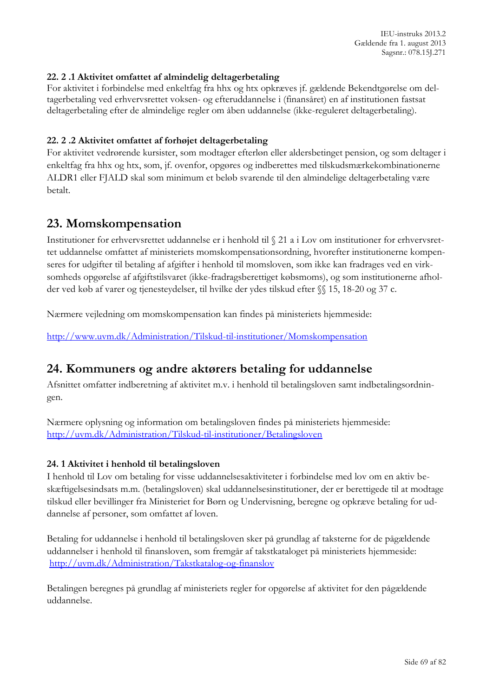## **22. 2 .1 Aktivitet omfattet af almindelig deltagerbetaling**

For aktivitet i forbindelse med enkeltfag fra hhx og htx opkræves jf. gældende Bekendtgørelse om deltagerbetaling ved erhvervsrettet voksen- og efteruddannelse i (finansåret) en af institutionen fastsat deltagerbetaling efter de almindelige regler om åben uddannelse (ikke-reguleret deltagerbetaling).

#### **22. 2 .2 Aktivitet omfattet af forhøjet deltagerbetaling**

For aktivitet vedrørende kursister, som modtager efterløn eller aldersbetinget pension, og som deltager i enkeltfag fra hhx og htx, som, jf. ovenfor, opgøres og indberettes med tilskudsmærkekombinationerne ALDR1 eller FJALD skal som minimum et beløb svarende til den almindelige deltagerbetaling være betalt.

# **23. Momskompensation**

Institutioner for erhvervsrettet uddannelse er i henhold til § 21 a i Lov om institutioner for erhvervsrettet uddannelse omfattet af ministeriets momskompensationsordning, hvorefter institutionerne kompenseres for udgifter til betaling af afgifter i henhold til momsloven, som ikke kan fradrages ved en virksomheds opgørelse af afgiftstilsvaret (ikke-fradragsberettiget købsmoms), og som institutionerne afholder ved køb af varer og tjenesteydelser, til hvilke der ydes tilskud efter §§ 15, 18-20 og 37 c.

Nærmere vejledning om momskompensation kan findes på ministeriets hjemmeside:

<http://www.uvm.dk/Administration/Tilskud-til-institutioner/Momskompensation>

# **24. Kommuners og andre aktørers betaling for uddannelse**

Afsnittet omfatter indberetning af aktivitet m.v. i henhold til betalingsloven samt indbetalingsordningen.

Nærmere oplysning og information om betalingsloven findes på ministeriets hjemmeside: <http://uvm.dk/Administration/Tilskud-til-institutioner/Betalingsloven>

# **24. 1 Aktivitet i henhold til betalingsloven**

I henhold til Lov om betaling for visse uddannelsesaktiviteter i forbindelse med lov om en aktiv beskæftigelsesindsats m.m. (betalingsloven) skal uddannelsesinstitutioner, der er berettigede til at modtage tilskud eller bevillinger fra Ministeriet for Børn og Undervisning, beregne og opkræve betaling for uddannelse af personer, som omfattet af loven.

Betaling for uddannelse i henhold til betalingsloven sker på grundlag af taksterne for de pågældende uddannelser i henhold til finansloven, som fremgår af takstkataloget på ministeriets hjemmeside: <http://uvm.dk/Administration/Takstkatalog-og-finanslov>

Betalingen beregnes på grundlag af ministeriets regler for opgørelse af aktivitet for den pågældende uddannelse.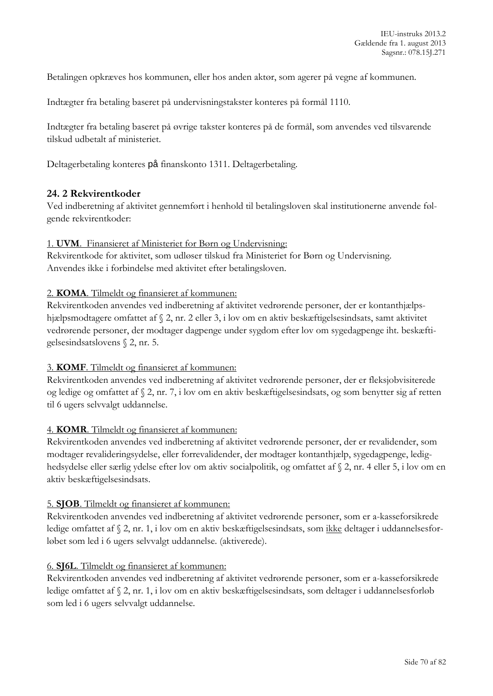Betalingen opkræves hos kommunen, eller hos anden aktør, som agerer på vegne af kommunen.

Indtægter fra betaling baseret på undervisningstakster konteres på formål 1110.

Indtægter fra betaling baseret på øvrige takster konteres på de formål, som anvendes ved tilsvarende tilskud udbetalt af ministeriet.

Deltagerbetaling konteres på finanskonto 1311. Deltagerbetaling.

# **24. 2 Rekvirentkoder**

Ved indberetning af aktivitet gennemført i henhold til betalingsloven skal institutionerne anvende følgende rekvirentkoder:

#### 1. **UVM**. Finansieret af Ministeriet for Børn og Undervisning:

Rekvirentkode for aktivitet, som udløser tilskud fra Ministeriet for Børn og Undervisning. Anvendes ikke i forbindelse med aktivitet efter betalingsloven.

### 2. **KOMA**. Tilmeldt og finansieret af kommunen:

Rekvirentkoden anvendes ved indberetning af aktivitet vedrørende personer, der er kontanthjælpshjælpsmodtagere omfattet af § 2, nr. 2 eller 3, i lov om en aktiv beskæftigelsesindsats, samt aktivitet vedrørende personer, der modtager dagpenge under sygdom efter lov om sygedagpenge iht. beskæftigelsesindsatslovens § 2, nr. 5.

#### 3. **KOMF**. Tilmeldt og finansieret af kommunen:

Rekvirentkoden anvendes ved indberetning af aktivitet vedrørende personer, der er fleksjobvisiterede og ledige og omfattet af § 2, nr. 7, i lov om en aktiv beskæftigelsesindsats, og som benytter sig af retten til 6 ugers selvvalgt uddannelse.

#### 4. **KOMR**. Tilmeldt og finansieret af kommunen:

Rekvirentkoden anvendes ved indberetning af aktivitet vedrørende personer, der er revalidender, som modtager revalideringsydelse, eller forrevalidender, der modtager kontanthjælp, sygedagpenge, ledighedsydelse eller særlig ydelse efter lov om aktiv socialpolitik, og omfattet af § 2, nr. 4 eller 5, i lov om en aktiv beskæftigelsesindsats.

#### 5. **SJOB**. Tilmeldt og finansieret af kommunen:

Rekvirentkoden anvendes ved indberetning af aktivitet vedrørende personer, som er a-kasseforsikrede ledige omfattet af § 2, nr. 1, i lov om en aktiv beskæftigelsesindsats, som ikke deltager i uddannelsesforløbet som led i 6 ugers selvvalgt uddannelse. (aktiverede).

# 6. **SJ6L**. Tilmeldt og finansieret af kommunen:

Rekvirentkoden anvendes ved indberetning af aktivitet vedrørende personer, som er a-kasseforsikrede ledige omfattet af § 2, nr. 1, i lov om en aktiv beskæftigelsesindsats, som deltager i uddannelsesforløb som led i 6 ugers selvvalgt uddannelse.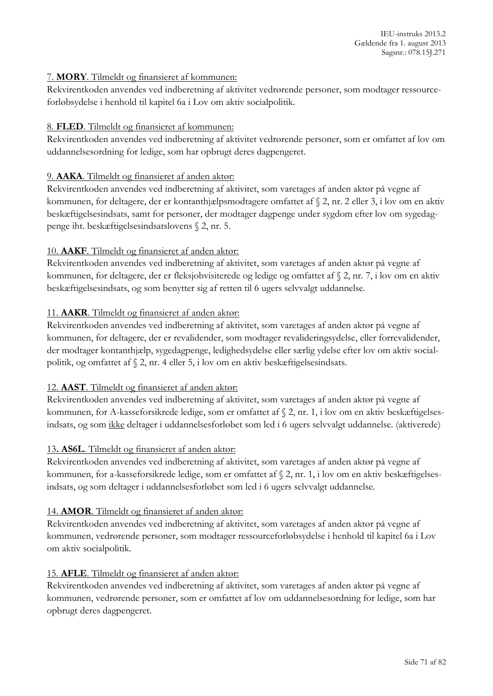# 7. **MORY**. Tilmeldt og finansieret af kommunen:

Rekvirentkoden anvendes ved indberetning af aktivitet vedrørende personer, som modtager ressourceforløbsydelse i henhold til kapitel 6a i Lov om aktiv socialpolitik.

# 8. **FLED**. Tilmeldt og finansieret af kommunen:

Rekvirentkoden anvendes ved indberetning af aktivitet vedrørende personer, som er omfattet af lov om uddannelsesordning for ledige, som har opbrugt deres dagpengeret.

# 9. **AAKA**. Tilmeldt og finansieret af anden aktør:

Rekvirentkoden anvendes ved indberetning af aktivitet, som varetages af anden aktør på vegne af kommunen, for deltagere, der er kontanthjælpsmodtagere omfattet af § 2, nr. 2 eller 3, i lov om en aktiv beskæftigelsesindsats, samt for personer, der modtager dagpenge under sygdom efter lov om sygedagpenge iht. beskæftigelsesindsatslovens § 2, nr. 5.

# 10. **AAKF**. Tilmeldt og finansieret af anden aktør:

Rekvirentkoden anvendes ved indberetning af aktivitet, som varetages af anden aktør på vegne af kommunen, for deltagere, der er fleksjobvisiterede og ledige og omfattet af § 2, nr. 7, i lov om en aktiv beskæftigelsesindsats, og som benytter sig af retten til 6 ugers selvvalgt uddannelse.

# 11. **AAKR**. Tilmeldt og finansieret af anden aktør:

Rekvirentkoden anvendes ved indberetning af aktivitet, som varetages af anden aktør på vegne af kommunen, for deltagere, der er revalidender, som modtager revalideringsydelse, eller forrevalidender, der modtager kontanthjælp, sygedagpenge, ledighedsydelse eller særlig ydelse efter lov om aktiv socialpolitik, og omfattet af § 2, nr. 4 eller 5, i lov om en aktiv beskæftigelsesindsats.

# 12. **AAST**. Tilmeldt og finansieret af anden aktør:

Rekvirentkoden anvendes ved indberetning af aktivitet, som varetages af anden aktør på vegne af kommunen, for A-kasseforsikrede ledige, som er omfattet af § 2, nr. 1, i lov om en aktiv beskæftigelsesindsats, og som ikke deltager i uddannelsesforløbet som led i 6 ugers selvvalgt uddannelse. (aktiverede)

# 13**. AS6L**. Tilmeldt og finansieret af anden aktør:

Rekvirentkoden anvendes ved indberetning af aktivitet, som varetages af anden aktør på vegne af kommunen, for a-kasseforsikrede ledige, som er omfattet af § 2, nr. 1, i lov om en aktiv beskæftigelsesindsats, og som deltager i uddannelsesforløbet som led i 6 ugers selvvalgt uddannelse.

# 14. **AMOR**. Tilmeldt og finansieret af anden aktør:

Rekvirentkoden anvendes ved indberetning af aktivitet, som varetages af anden aktør på vegne af kommunen, vedrørende personer, som modtager ressourceforløbsydelse i henhold til kapitel 6a i Lov om aktiv socialpolitik.

# 15. **AFLE**. Tilmeldt og finansieret af anden aktør:

Rekvirentkoden anvendes ved indberetning af aktivitet, som varetages af anden aktør på vegne af kommunen, vedrørende personer, som er omfattet af lov om uddannelsesordning for ledige, som har opbrugt deres dagpengeret.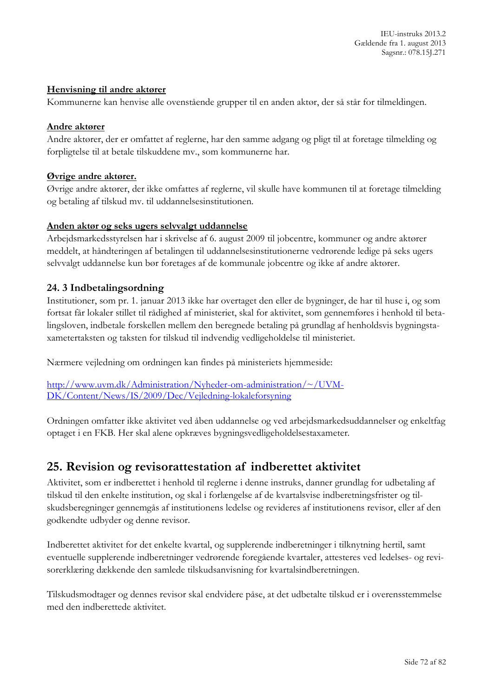### **Henvisning til andre aktører**

Kommunerne kan henvise alle ovenstående grupper til en anden aktør, der så står for tilmeldingen.

#### **Andre aktører**

Andre aktører, der er omfattet af reglerne, har den samme adgang og pligt til at foretage tilmelding og forpligtelse til at betale tilskuddene mv., som kommunerne har.

### **Øvrige andre aktører.**

Øvrige andre aktører, der ikke omfattes af reglerne, vil skulle have kommunen til at foretage tilmelding og betaling af tilskud mv. til uddannelsesinstitutionen.

### **Anden aktør og seks ugers selvvalgt uddannelse**

Arbejdsmarkedsstyrelsen har i skrivelse af 6. august 2009 til jobcentre, kommuner og andre aktører meddelt, at håndteringen af betalingen til uddannelsesinstitutionerne vedrørende ledige på seks ugers selvvalgt uddannelse kun bør foretages af de kommunale jobcentre og ikke af andre aktører.

### **24. 3 Indbetalingsordning**

Institutioner, som pr. 1. januar 2013 ikke har overtaget den eller de bygninger, de har til huse i, og som fortsat får lokaler stillet til rådighed af ministeriet, skal for aktivitet, som gennemføres i henhold til betalingsloven, indbetale forskellen mellem den beregnede betaling på grundlag af henholdsvis bygningstaxametertaksten og taksten for tilskud til indvendig vedligeholdelse til ministeriet.

Nærmere vejledning om ordningen kan findes på ministeriets hjemmeside:

[http://www.uvm.dk/Administration/Nyheder-om-administration/~/UVM-](http://www.uvm.dk/Administration/Nyheder-om-administration/~/UVM-DK/Content/News/IS/2009/Dec/Vejledning-lokaleforsyning)[DK/Content/News/IS/2009/Dec/Vejledning-lokaleforsyning](http://www.uvm.dk/Administration/Nyheder-om-administration/~/UVM-DK/Content/News/IS/2009/Dec/Vejledning-lokaleforsyning)

Ordningen omfatter ikke aktivitet ved åben uddannelse og ved arbejdsmarkedsuddannelser og enkeltfag optaget i en FKB. Her skal alene opkræves bygningsvedligeholdelsestaxameter.

# **25. Revision og revisorattestation af indberettet aktivitet**

Aktivitet, som er indberettet i henhold til reglerne i denne instruks, danner grundlag for udbetaling af tilskud til den enkelte institution, og skal i forlængelse af de kvartalsvise indberetningsfrister og tilskudsberegninger gennemgås af institutionens ledelse og revideres af institutionens revisor, eller af den godkendte udbyder og denne revisor.

Indberettet aktivitet for det enkelte kvartal, og supplerende indberetninger i tilknytning hertil, samt eventuelle supplerende indberetninger vedrørende foregående kvartaler, attesteres ved ledelses- og revisorerklæring dækkende den samlede tilskudsanvisning for kvartalsindberetningen.

Tilskudsmodtager og dennes revisor skal endvidere påse, at det udbetalte tilskud er i overensstemmelse med den indberettede aktivitet.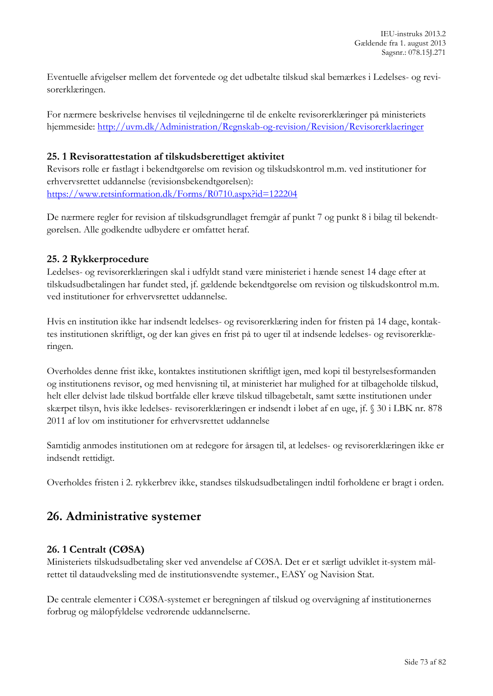Eventuelle afvigelser mellem det forventede og det udbetalte tilskud skal bemærkes i Ledelses- og revisorerklæringen.

For nærmere beskrivelse henvises til vejledningerne til de enkelte revisorerklæringer på ministeriets hjemmeside:<http://uvm.dk/Administration/Regnskab-og-revision/Revision/Revisorerklaeringer>

#### **25. 1 Revisorattestation af tilskudsberettiget aktivitet**

Revisors rolle er fastlagt i bekendtgørelse om revision og tilskudskontrol m.m. ved institutioner for erhvervsrettet uddannelse (revisionsbekendtgørelsen): <https://www.retsinformation.dk/Forms/R0710.aspx?id=122204>

De nærmere regler for revision af tilskudsgrundlaget fremgår af punkt 7 og punkt 8 i bilag til bekendtgørelsen. Alle godkendte udbydere er omfattet heraf.

## **25. 2 Rykkerprocedure**

Ledelses- og revisorerklæringen skal i udfyldt stand være ministeriet i hænde senest 14 dage efter at tilskudsudbetalingen har fundet sted, jf. gældende bekendtgørelse om revision og tilskudskontrol m.m. ved institutioner for erhvervsrettet uddannelse.

Hvis en institution ikke har indsendt ledelses- og revisorerklæring inden for fristen på 14 dage, kontaktes institutionen skriftligt, og der kan gives en frist på to uger til at indsende ledelses- og revisorerklæringen.

Overholdes denne frist ikke, kontaktes institutionen skriftligt igen, med kopi til bestyrelsesformanden og institutionens revisor, og med henvisning til, at ministeriet har mulighed for at tilbageholde tilskud, helt eller delvist lade tilskud bortfalde eller kræve tilskud tilbagebetalt, samt sætte institutionen under skærpet tilsyn, hvis ikke ledelses- revisorerklæringen er indsendt i løbet af en uge, jf. § 30 i LBK nr. 878 2011 af lov om institutioner for erhvervsrettet uddannelse

Samtidig anmodes institutionen om at redegøre for årsagen til, at ledelses- og revisorerklæringen ikke er indsendt rettidigt.

Overholdes fristen i 2. rykkerbrev ikke, standses tilskudsudbetalingen indtil forholdene er bragt i orden.

# **26. Administrative systemer**

## **26. 1 Centralt (CØSA)**

Ministeriets tilskudsudbetaling sker ved anvendelse af CØSA. Det er et særligt udviklet it-system målrettet til dataudveksling med de institutionsvendte systemer., EASY og Navision Stat.

De centrale elementer i CØSA-systemet er beregningen af tilskud og overvågning af institutionernes forbrug og målopfyldelse vedrørende uddannelserne.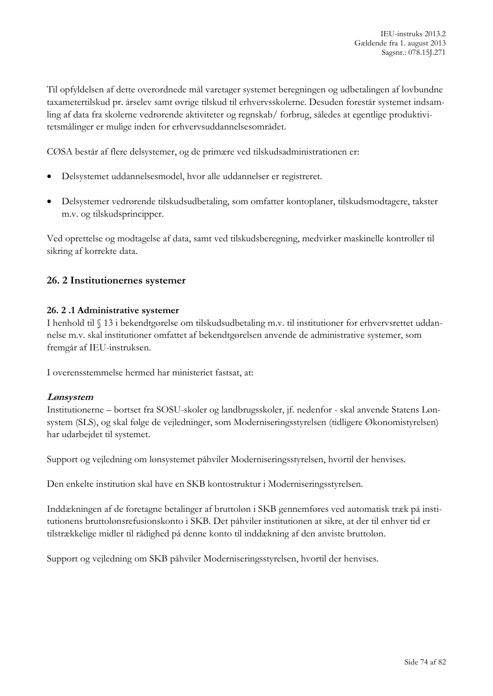Til opfyldelsen af dette overordnede mål varetager systemet beregningen og udbetalingen af lovbundne taxametertilskud pr. årselev samt øvrige tilskud til erhvervsskolerne. Desuden forestår systemet indsamling af data fra skolerne vedrørende aktiviteter og regnskab/ forbrug, således at egentlige produktivitetsmålinger er mulige inden for erhvervsuddannelsesområdet.

CØSA består af flere delsystemer, og de primære ved tilskudsadministrationen er:

- Delsystemet uddannelsesmodel, hvor alle uddannelser er registreret.
- Delsystemer vedrørende tilskudsudbetaling, som omfatter kontoplaner, tilskudsmodtagere, takster m.v. og tilskudsprincipper.

Ved oprettelse og modtagelse af data, samt ved tilskudsberegning, medvirker maskinelle kontroller til sikring af korrekte data.

## **26. 2 Institutionernes systemer**

#### **26. 2 .1 Administrative systemer**

I henhold til § 13 i bekendtgørelse om tilskudsudbetaling m.v. til institutioner for erhvervsrettet uddannelse m.v. skal institutioner omfattet af bekendtgørelsen anvende de administrative systemer, som fremgår af IEU-instruksen.

I overensstemmelse hermed har ministeriet fastsat, at:

#### **Lønsystem**

Institutionerne – bortset fra SOSU-skoler og landbrugsskoler, jf. nedenfor - skal anvende Statens Lønsystem (SLS), og skal følge de vejledninger, som Moderniseringsstyrelsen (tidligere Økonomistyrelsen) har udarbejdet til systemet.

Support og vejledning om lønsystemet påhviler Moderniseringsstyrelsen, hvortil der henvises.

Den enkelte institution skal have en SKB kontostruktur i Moderniseringsstyrelsen.

Inddækningen af de foretagne betalinger af bruttoløn i SKB gennemføres ved automatisk træk på institutionens bruttolønsrefusionskonto i SKB. Det påhviler institutionen at sikre, at der til enhver tid er tilstrækkelige midler til rådighed på denne konto til inddækning af den anviste bruttoløn.

Support og vejledning om SKB påhviler Moderniseringsstyrelsen, hvortil der henvises.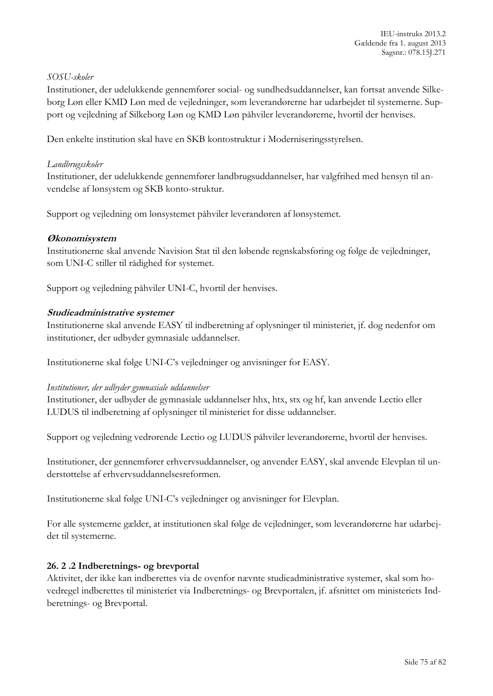#### *SOSU-skoler*

Institutioner, der udelukkende gennemfører social- og sundhedsuddannelser, kan fortsat anvende Silkeborg Løn eller KMD Løn med de vejledninger, som leverandørerne har udarbejdet til systemerne. Support og vejledning af Silkeborg Løn og KMD Løn påhviler leverandørerne, hvortil der henvises.

Den enkelte institution skal have en SKB kontostruktur i Moderniseringsstyrelsen.

#### *Landbrugsskoler*

Institutioner, der udelukkende gennemfører landbrugsuddannelser, har valgfrihed med hensyn til anvendelse af lønsystem og SKB konto-struktur.

Support og vejledning om lønsystemet påhviler leverandøren af lønsystemet.

#### **Økonomisystem**

Institutionerne skal anvende Navision Stat til den løbende regnskabsføring og følge de vejledninger, som UNI-C stiller til rådighed for systemet.

Support og vejledning påhviler UNI-C, hvortil der henvises.

#### **Studieadministrative systemer**

Institutionerne skal anvende EASY til indberetning af oplysninger til ministeriet, jf. dog nedenfor om institutioner, der udbyder gymnasiale uddannelser.

Institutionerne skal følge UNI-C's vejledninger og anvisninger for EASY.

#### *Institutioner, der udbyder gymnasiale uddannelser*

Institutioner, der udbyder de gymnasiale uddannelser hhx, htx, stx og hf, kan anvende Lectio eller LUDUS til indberetning af oplysninger til ministeriet for disse uddannelser.

Support og vejledning vedrørende Lectio og LUDUS påhviler leverandørerne, hvortil der henvises.

Institutioner, der gennemfører erhvervsuddannelser, og anvender EASY, skal anvende Elevplan til understøttelse af erhvervsuddannelsesreformen.

Institutionerne skal følge UNI-C's vejledninger og anvisninger for Elevplan.

For alle systemerne gælder, at institutionen skal følge de vejledninger, som leverandørerne har udarbejdet til systemerne.

## **26. 2 .2 Indberetnings- og brevportal**

Aktivitet, der ikke kan indberettes via de ovenfor nævnte studieadministrative systemer, skal som hovedregel indberettes til ministeriet via Indberetnings- og Brevportalen, jf. afsnittet om ministeriets Indberetnings- og Brevportal.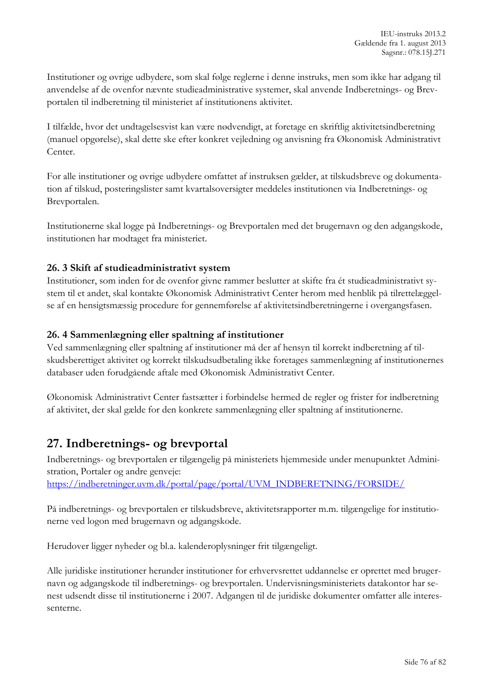Institutioner og øvrige udbydere, som skal følge reglerne i denne instruks, men som ikke har adgang til anvendelse af de ovenfor nævnte studieadministrative systemer, skal anvende Indberetnings- og Brevportalen til indberetning til ministeriet af institutionens aktivitet.

I tilfælde, hvor det undtagelsesvist kan være nødvendigt, at foretage en skriftlig aktivitetsindberetning (manuel opgørelse), skal dette ske efter konkret vejledning og anvisning fra Økonomisk Administrativt Center.

For alle institutioner og øvrige udbydere omfattet af instruksen gælder, at tilskudsbreve og dokumentation af tilskud, posteringslister samt kvartalsoversigter meddeles institutionen via Indberetnings- og Brevportalen.

Institutionerne skal logge på Indberetnings- og Brevportalen med det brugernavn og den adgangskode, institutionen har modtaget fra ministeriet.

# **26. 3 Skift af studieadministrativt system**

Institutioner, som inden for de ovenfor givne rammer beslutter at skifte fra ét studieadministrativt system til et andet, skal kontakte Økonomisk Administrativt Center herom med henblik på tilrettelæggelse af en hensigtsmæssig procedure for gennemførelse af aktivitetsindberetningerne i overgangsfasen.

## **26. 4 Sammenlægning eller spaltning af institutioner**

Ved sammenlægning eller spaltning af institutioner må der af hensyn til korrekt indberetning af tilskudsberettiget aktivitet og korrekt tilskudsudbetaling ikke foretages sammenlægning af institutionernes databaser uden forudgående aftale med Økonomisk Administrativt Center.

Økonomisk Administrativt Center fastsætter i forbindelse hermed de regler og frister for indberetning af aktivitet, der skal gælde for den konkrete sammenlægning eller spaltning af institutionerne.

# **27. Indberetnings- og brevportal**

Indberetnings- og brevportalen er tilgængelig på ministeriets hjemmeside under menupunktet Administration, Portaler og andre genveje: [https://indberetninger.uvm.dk/portal/page/portal/UVM\\_INDBERETNING/FORSIDE/](https://indberetninger.uvm.dk/portal/page/portal/UVM_INDBERETNING/FORSIDE/)

På indberetnings- og brevportalen er tilskudsbreve, aktivitetsrapporter m.m. tilgængelige for institutionerne ved logon med brugernavn og adgangskode.

Herudover ligger nyheder og bl.a. kalenderoplysninger frit tilgængeligt.

Alle juridiske institutioner herunder institutioner for erhvervsrettet uddannelse er oprettet med brugernavn og adgangskode til indberetnings- og brevportalen. Undervisningsministeriets datakontor har senest udsendt disse til institutionerne i 2007. Adgangen til de juridiske dokumenter omfatter alle interessenterne.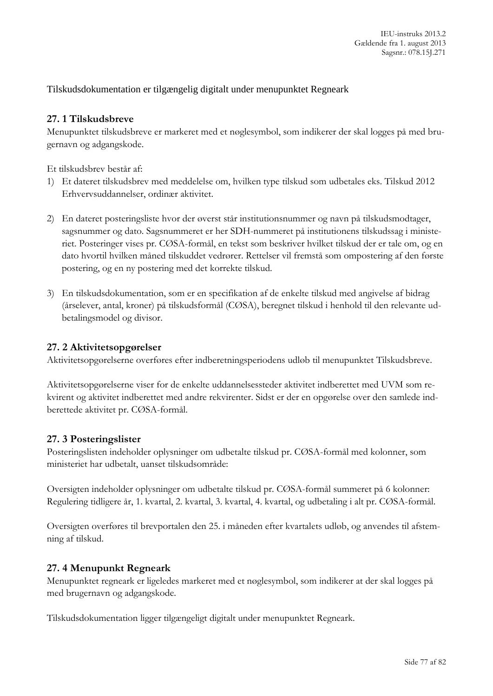Tilskudsdokumentation er tilgængelig digitalt under menupunktet Regneark

## **27. 1 Tilskudsbreve**

Menupunktet tilskudsbreve er markeret med et nøglesymbol, som indikerer der skal logges på med brugernavn og adgangskode.

Et tilskudsbrev består af:

- 1) Et dateret tilskudsbrev med meddelelse om, hvilken type tilskud som udbetales eks. Tilskud 2012 Erhvervsuddannelser, ordinær aktivitet.
- 2) En dateret posteringsliste hvor der øverst står institutionsnummer og navn på tilskudsmodtager, sagsnummer og dato. Sagsnummeret er her SDH-nummeret på institutionens tilskudssag i ministeriet. Posteringer vises pr. CØSA-formål, en tekst som beskriver hvilket tilskud der er tale om, og en dato hvortil hvilken måned tilskuddet vedrører. Rettelser vil fremstå som ompostering af den første postering, og en ny postering med det korrekte tilskud.
- 3) En tilskudsdokumentation, som er en specifikation af de enkelte tilskud med angivelse af bidrag (årselever, antal, kroner) på tilskudsformål (CØSA), beregnet tilskud i henhold til den relevante udbetalingsmodel og divisor.

#### **27. 2 Aktivitetsopgørelser**

Aktivitetsopgørelserne overføres efter indberetningsperiodens udløb til menupunktet Tilskudsbreve.

Aktivitetsopgørelserne viser for de enkelte uddannelsessteder aktivitet indberettet med UVM som rekvirent og aktivitet indberettet med andre rekvirenter. Sidst er der en opgørelse over den samlede indberettede aktivitet pr. CØSA-formål.

## **27. 3 Posteringslister**

Posteringslisten indeholder oplysninger om udbetalte tilskud pr. CØSA-formål med kolonner, som ministeriet har udbetalt, uanset tilskudsområde:

Oversigten indeholder oplysninger om udbetalte tilskud pr. CØSA-formål summeret på 6 kolonner: Regulering tidligere år, 1. kvartal, 2. kvartal, 3. kvartal, 4. kvartal, og udbetaling i alt pr. CØSA-formål.

Oversigten overføres til brevportalen den 25. i måneden efter kvartalets udløb, og anvendes til afstemning af tilskud.

## **27. 4 Menupunkt Regneark**

Menupunktet regneark er ligeledes markeret med et nøglesymbol, som indikerer at der skal logges på med brugernavn og adgangskode.

Tilskudsdokumentation ligger tilgængeligt digitalt under menupunktet Regneark.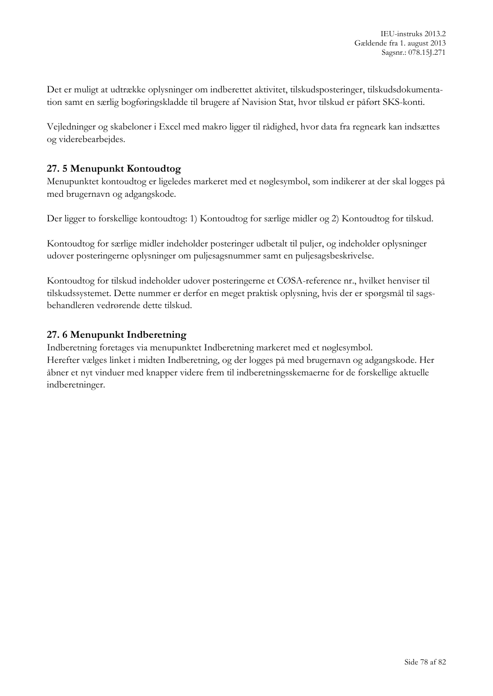Det er muligt at udtrække oplysninger om indberettet aktivitet, tilskudsposteringer, tilskudsdokumentation samt en særlig bogføringskladde til brugere af Navision Stat, hvor tilskud er påført SKS-konti.

Vejledninger og skabeloner i Excel med makro ligger til rådighed, hvor data fra regneark kan indsættes og viderebearbejdes.

# **27. 5 Menupunkt Kontoudtog**

Menupunktet kontoudtog er ligeledes markeret med et nøglesymbol, som indikerer at der skal logges på med brugernavn og adgangskode.

Der ligger to forskellige kontoudtog: 1) Kontoudtog for særlige midler og 2) Kontoudtog for tilskud.

Kontoudtog for særlige midler indeholder posteringer udbetalt til puljer, og indeholder oplysninger udover posteringerne oplysninger om puljesagsnummer samt en puljesagsbeskrivelse.

Kontoudtog for tilskud indeholder udover posteringerne et CØSA-reference nr., hvilket henviser til tilskudssystemet. Dette nummer er derfor en meget praktisk oplysning, hvis der er spørgsmål til sagsbehandleren vedrørende dette tilskud.

## **27. 6 Menupunkt Indberetning**

Indberetning foretages via menupunktet Indberetning markeret med et nøglesymbol. Herefter vælges linket i midten Indberetning, og der logges på med brugernavn og adgangskode. Her åbner et nyt vinduer med knapper videre frem til indberetningsskemaerne for de forskellige aktuelle indberetninger.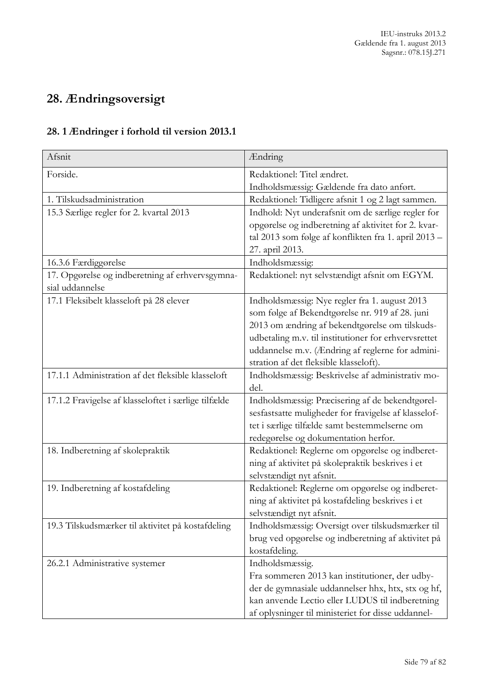# **28. Ændringsoversigt**

# **28. 1 Ændringer i forhold til version 2013.1**

| Afsnit                                               | Ændring                                              |
|------------------------------------------------------|------------------------------------------------------|
| Forside.                                             | Redaktionel: Titel ændret.                           |
|                                                      | Indholdsmæssig: Gældende fra dato anført.            |
| 1. Tilskudsadministration                            | Redaktionel: Tidligere afsnit 1 og 2 lagt sammen.    |
| 15.3 Særlige regler for 2. kvartal 2013              | Indhold: Nyt underafsnit om de særlige regler for    |
|                                                      | opgørelse og indberetning af aktivitet for 2. kvar-  |
|                                                      | tal 2013 som følge af konflikten fra 1. april 2013 - |
|                                                      | 27. april 2013.                                      |
| 16.3.6 Færdiggørelse                                 | Indholdsmæssig:                                      |
| 17. Opgørelse og indberetning af erhvervsgymna-      | Redaktionel: nyt selvstændigt afsnit om EGYM.        |
| sial uddannelse                                      |                                                      |
| 17.1 Fleksibelt klasseloft på 28 elever              | Indholdsmæssig: Nye regler fra 1. august 2013        |
|                                                      | som følge af Bekendtgørelse nr. 919 af 28. juni      |
|                                                      | 2013 om ændring af bekendtgørelse om tilskuds-       |
|                                                      | udbetaling m.v. til institutioner for erhvervsrettet |
|                                                      | uddannelse m.v. (Ændring af reglerne for admini-     |
|                                                      | stration af det fleksible klasseloft).               |
| 17.1.1 Administration af det fleksible klasseloft    | Indholdsmæssig: Beskrivelse af administrativ mo-     |
|                                                      | del.                                                 |
| 17.1.2 Fravigelse af klasseloftet i særlige tilfælde | Indholdsmæssig: Præcisering af de bekendtgørel-      |
|                                                      | sesfastsatte muligheder for fravigelse af klasselof- |
|                                                      | tet i særlige tilfælde samt bestemmelserne om        |
|                                                      | redegørelse og dokumentation herfor.                 |
| 18. Indberetning af skolepraktik                     | Redaktionel: Reglerne om opgørelse og indberet-      |
|                                                      | ning af aktivitet på skolepraktik beskrives i et     |
|                                                      | selvstændigt nyt afsnit.                             |
| 19. Indberetning af kostafdeling                     | Redaktionel: Reglerne om opgørelse og indberet-      |
|                                                      | ning af aktivitet på kostafdeling beskrives i et     |
|                                                      | selvstændigt nyt afsnit.                             |
| 19.3 Tilskudsmærker til aktivitet på kostafdeling    | Indholdsmæssig: Oversigt over tilskudsmærker til     |
|                                                      | brug ved opgørelse og indberetning af aktivitet på   |
|                                                      | kostafdeling.                                        |
| 26.2.1 Administrative systemer                       | Indholdsmæssig.                                      |
|                                                      | Fra sommeren 2013 kan institutioner, der udby-       |
|                                                      | der de gymnasiale uddannelser hhx, htx, stx og hf,   |
|                                                      | kan anvende Lectio eller LUDUS til indberetning      |
|                                                      | af oplysninger til ministeriet for disse uddannel-   |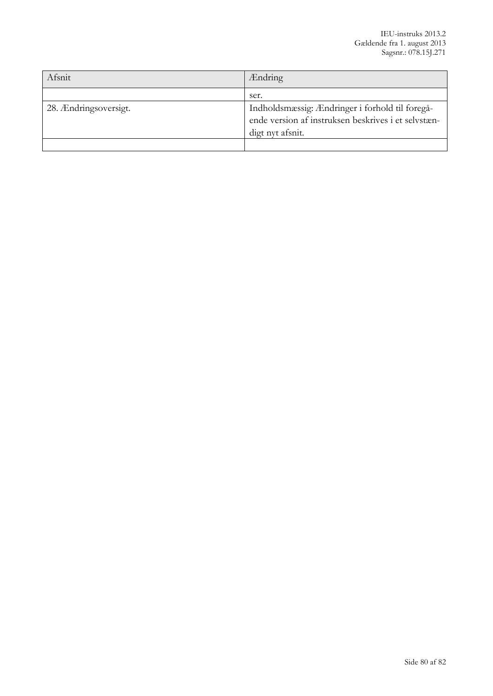| Afsnit                | <b>Ændring</b>                                                                                                             |
|-----------------------|----------------------------------------------------------------------------------------------------------------------------|
|                       | ser.                                                                                                                       |
| 28. Ændringsoversigt. | Indholdsmæssig: Ændringer i forhold til foregå-<br>ende version af instruksen beskrives i et selvstæn-<br>digt nyt afsnit. |
|                       |                                                                                                                            |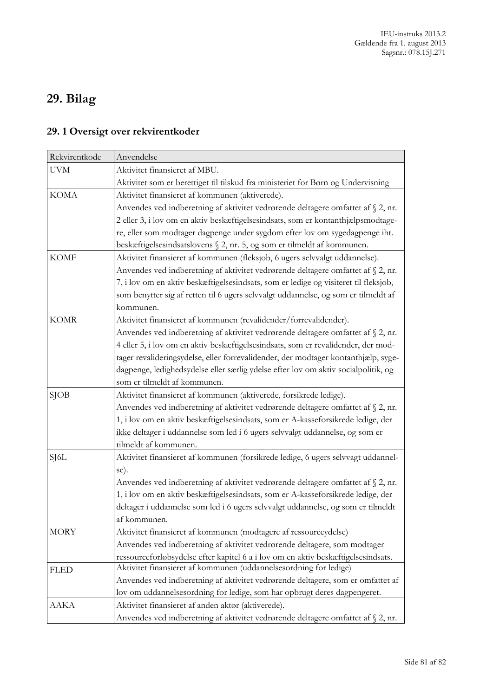# **29. Bilag**

# **29. 1 Oversigt over rekvirentkoder**

| Rekvirentkode | Anvendelse                                                                           |
|---------------|--------------------------------------------------------------------------------------|
| <b>UVM</b>    | Aktivitet finansieret af MBU.                                                        |
|               | Aktivitet som er berettiget til tilskud fra ministeriet for Børn og Undervisning     |
| <b>KOMA</b>   | Aktivitet finansieret af kommunen (aktiverede).                                      |
|               | Anvendes ved indberetning af aktivitet vedrørende deltagere omfattet af § 2, nr.     |
|               | 2 eller 3, i lov om en aktiv beskæftigelsesindsats, som er kontanthjælpsmodtage-     |
|               | re, eller som modtager dagpenge under sygdom efter lov om sygedagpenge iht.          |
|               | beskæftigelsesindsatslovens § 2, nr. 5, og som er tilmeldt af kommunen.              |
| <b>KOMF</b>   | Aktivitet finansieret af kommunen (fleksjob, 6 ugers selvvalgt uddannelse).          |
|               | Anvendes ved indberetning af aktivitet vedrørende deltagere omfattet af § 2, nr.     |
|               | 7, i lov om en aktiv beskæftigelsesindsats, som er ledige og visiteret til fleksjob, |
|               | som benytter sig af retten til 6 ugers selvvalgt uddannelse, og som er tilmeldt af   |
|               | kommunen.                                                                            |
| <b>KOMR</b>   | Aktivitet finansieret af kommunen (revalidender/forrevalidender).                    |
|               | Anvendes ved indberetning af aktivitet vedrørende deltagere omfattet af § 2, nr.     |
|               | 4 eller 5, i lov om en aktiv beskæftigelsesindsats, som er revalidender, der mod-    |
|               | tager revalideringsydelse, eller forrevalidender, der modtager kontanthjælp, syge-   |
|               | dagpenge, ledighedsydelse eller særlig ydelse efter lov om aktiv socialpolitik, og   |
|               | som er tilmeldt af kommunen.                                                         |
| $S$ JOB       | Aktivitet finansieret af kommunen (aktiverede, forsikrede ledige).                   |
|               | Anvendes ved indberetning af aktivitet vedrørende deltagere omfattet af § 2, nr.     |
|               | 1, i lov om en aktiv beskæftigelsesindsats, som er A-kasseforsikrede ledige, der     |
|               | ikke deltager i uddannelse som led i 6 ugers selvvalgt uddannelse, og som er         |
|               | tilmeldt af kommunen.                                                                |
| SJ6L          | Aktivitet finansieret af kommunen (forsikrede ledige, 6 ugers selvvagt uddannel-     |
|               | se).                                                                                 |
|               | Anvendes ved indberetning af aktivitet vedrørende deltagere omfattet af § 2, nr.     |
|               | 1, i lov om en aktiv beskæftigelsesindsats, som er A-kasseforsikrede ledige, der     |
|               | deltager i uddannelse som led i 6 ugers selvvalgt uddannelse, og som er tilmeldt     |
|               | af kommunen.                                                                         |
| MORY          | Aktivitet finansieret af kommunen (modtagere af ressourceydelse)                     |
|               | Anvendes ved indberetning af aktivitet vedrørende deltagere, som modtager            |
|               | ressourceforløbsydelse efter kapitel 6 a i lov om en aktiv beskæftigelsesindsats.    |
| <b>FLED</b>   | Aktivitet finansieret af kommunen (uddannelsesordning for ledige)                    |
|               | Anvendes ved indberetning af aktivitet vedrørende deltagere, som er omfattet af      |
|               | lov om uddannelsesordning for ledige, som har opbrugt deres dagpengeret.             |
| AAKA          | Aktivitet finansieret af anden aktør (aktiverede).                                   |
|               | Anvendes ved indberetning af aktivitet vedrørende deltagere omfattet af § 2, nr.     |